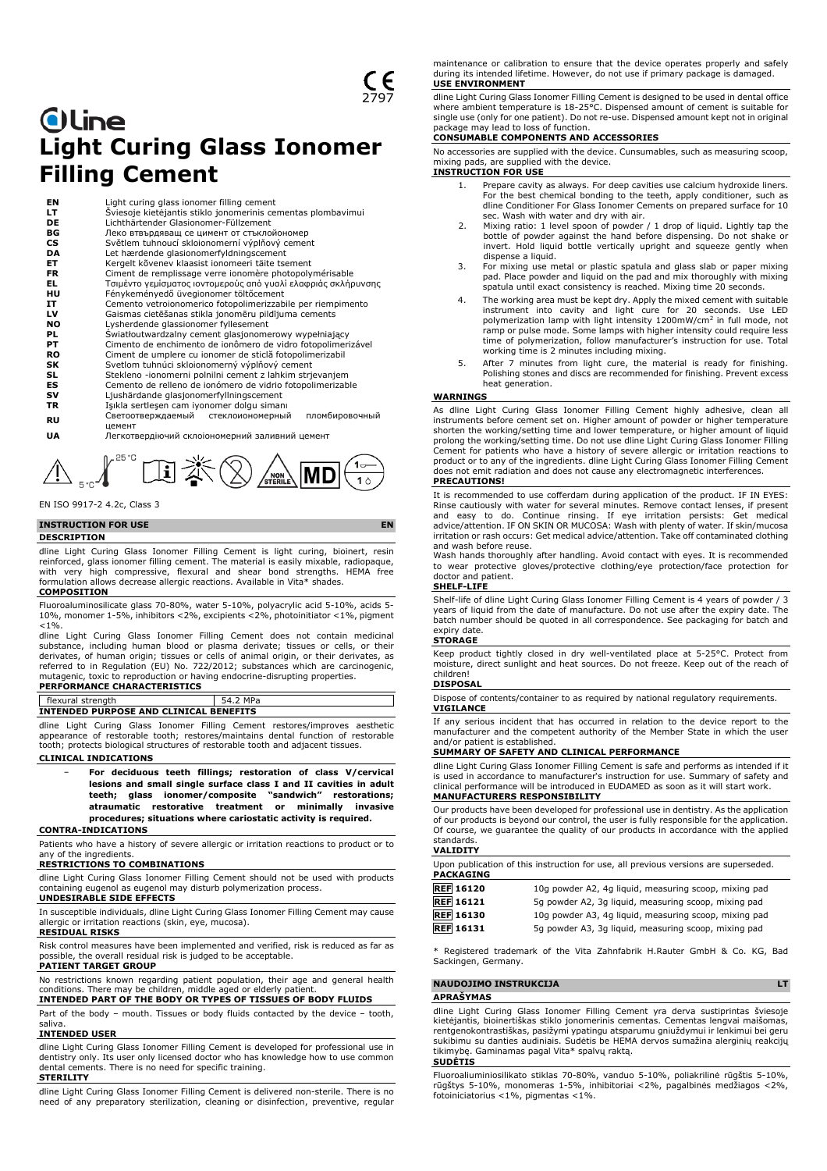# **Oline Light Curing Glass Ionomer Filling Cement**

| ΕN        | Light curing glass ionomer filling cement                      |
|-----------|----------------------------------------------------------------|
| LT.       | Šviesoje kietėjantis stiklo jonomerinis cementas plombavimui   |
| DE        | Lichthärtender Glasionomer-Füllzement                          |
| ВG        | Леко втвърдяващ се цимент от стъклойономер                     |
| <b>CS</b> | Světlem tuhnoucí skloionomerní výplňový cement                 |
| DA        | Let hærdende glasionomerfyldningscement                        |
| ET        | Kergelt kõvenev klaasist ionomeeri täite tsement               |
| FR        | Ciment de remplissage verre ionomère photopolymérisable        |
| EL.       | Τσιμέντο γεμίσματος ιοντομερούς από γυαλί ελαφριάς σκλήρυνσης  |
| HU        | Fénykeményedő üvegionomer töltőcement                          |
| IT        | Cemento vetroionomerico fotopolimerizzabile per riempimento    |
| LV        | Gaismas cietēšanas stikla jonomēru pildījuma cements           |
| NO        | Lysherdende glassionomer fyllesement                           |
| PL        | Światłoutwardzalny cement glasjonomerowy wypełniający          |
| PТ        | Cimento de enchimento de ionômero de vidro fotopolimerizável   |
| RO        | Ciment de umplere cu ionomer de sticlă fotopolimerizabil       |
| SK        | Svetlom tuhnúci skloionomerný výplňový cement                  |
| SL        | Stekleno -ionomerni polnilni cement z lahkim strjevanjem       |
| ES        | Cemento de relleno de ionómero de vidrio fotopolimerizable     |
| sv        | Ljushärdande glasjonomerfyllningscement                        |
| TR        | Işıkla sertleşen cam iyonomer dolgu simanı                     |
| RU        | Светоотверждаемый стеклоиономерный<br>пломбировочный<br>цемент |
| UA        | Легкотвердіючий склоіономерний заливний цемент                 |

 $\bigwedge_{\mathbb{S}^{r_{\mathbb{C}}}}\int_{\mathbb{S}^{r_{\mathbb{C}}}}\mathbb{E} \mathbb{E} \left( \bigwedge_{\mathbb{S}^{r_{\mathbb{C}}}}\mathbb{E} \left( \bigwedge_{\mathbb{S}^{r_{\mathbb{C}}}}\mathbb{E} \left( \bigwedge_{\mathbb{S}^{r_{\mathbb{C}}}}\mathbb{E} \left( \bigwedge_{\mathbb{S}^{r_{\mathbb{C}}}}\mathbb{E} \left( \bigwedge_{\mathbb{S}^{r_{\mathbb{C}}}}\mathbb{E} \left( \bigwedge_{\mathbb{S}^{r_{\$ 

EN ISO 9917-2 4.2c, Class 3

## **INSTRUCTION FOR USE EN**

#### **DESCRIPTION**

dline Light Curing Glass Ionomer Filling Cement is light curing, bioinert, resin reinforced, glass ionomer filling cement. The material is easily mixable, radiopaque, with very high compressive, flexural and shear bond strengths. HEMA free formulation allows decrease allergic reactions. Available in Vita\* shades.

#### **COMPOSITION**

Fluoroaluminosilicate glass 70-80%, water 5-10%, polyacrylic acid 5-10%, acids 5- 10%, monomer 1-5%, inhibitors <2%, excipients <2%, photoinitiator <1%, pigment  $< 1\%$ .

dline Light Curing Glass Ionomer Filling Cement does not contain medicinal substance, including human blood or plasma derivate; tissues or cells, or their derivates, of human origin; tissues or cells of animal origin, or their derivates, as referred to in Regulation (EU) No. 722/2012; substances which are carcinogenic, mutagenic, toxic to reproduction or having endocrine-disrupting properties. **PERFORMANCE CHARACTERISTICS**

flexural strength 54.2 MPa **INTENDED PURPOSE AND CLINICAL BENEFITS**

dline Light Curing Glass Ionomer Filling Cement restores/improves aesthetic appearance of restorable tooth; restores/maintains dental function of restorable tooth; protects biological structures of restorable tooth and adjacent tissues.

#### **CLINICAL INDICATIONS**

− **For deciduous teeth fillings; restoration of class V/cervical lesions and small single surface class I and II cavities in adult teeth; glass ionomer/composite "sandwich" restorations; atraumatic restorative treatment or minimally invasive procedures; situations where cariostatic activity is required.**

**CONTRA-INDICATIONS**

Patients who have a history of severe allergic or irritation reactions to product or to any of the ingredients.

## **RESTRICTIONS TO COMBINATIONS**

dline Light Curing Glass Ionomer Filling Cement should not be used with products containing eugenol as eugenol may disturb polymerization process.

#### **UNDESIRABLE SIDE EFFECTS**

In susceptible individuals, dline Light Curing Glass Ionomer Filling Cement may cause allergic or irritation reactions (skin, eye, mucosa).

#### **RESIDUAL RISKS**

Risk control measures have been implemented and verified, risk is reduced as far as ssible, the overall residual risk is judged to be acceptable. **PATIENT TARGET GROUP**

No restrictions known regarding patient population, their age and general health conditions. There may be children, middle aged or elderly patient. **INTENDED PART OF THE BODY OR TYPES OF TISSUES OF BODY FLUIDS**

Part of the body – mouth. Tissues or body fluids contacted by the device – tooth, saliva.

#### **INTENDED USER**

dline Light Curing Glass Ionomer Filling Cement is developed for professional use in dentistry only. Its user only licensed doctor who has knowledge how to use common dental cements. There is no need for specific training. **STERILITY**

dline Light Curing Glass Ionomer Filling Cement is delivered non-sterile. There is no need of any preparatory sterilization, cleaning or disinfection, preventive, regular maintenance or calibration to ensure that the device operates properly and safely during its intended lifetime. However, do not use if primary package is damaged. **USE ENVIRONMENT**

dline Light Curing Glass Ionomer Filling Cement is designed to be used in dental office where ambient temperature is 18-25°C. Dispensed amount of cement is suitable for single use (only for one patient). Do not re-use. Dispensed amount kept not in original

# package may lead to loss of function. **CONSUMABLE COMPONENTS AND ACCESSORIES**

No accessories are supplied with the device. Cunsumables, such as measuring scoop, mixing pads, are supplied with the device. **INSTRUCTION FOR USE**

#### 1. Prepare cavity as always. For deep cavities use calcium hydroxide liners. For the best chemical bonding to the teeth, apply conditioner, such as dline Conditioner For Glass Ionomer Cements on prepared surface for 10 sec. Wash with water and dry with air.

- 2. Mixing ratio: 1 level spoon of powder / 1 drop of liquid. Lightly tap the bottle of powder against the hand before dispensing. Do not shake or invert. Hold liquid bottle vertically upright and squeeze gently when dispense a liquid.
- 3. For mixing use metal or plastic spatula and glass slab or paper mixing pad. Place powder and liquid on the pad and mix thoroughly with mixing spatula until exact consistency is reached. Mixing time 20 seconds.
- 4. The working area must be kept dry. Apply the mixed cement with suitable instrument into cavity and light cure for 20 seconds. Use LED polymerization lamp with light intensity 1200mW/cm<sup>2</sup> in full mode, not ramp or pulse mode. Some lamps with higher intensity could require less time of polymerization, follow manufacturer's instruction for use. Total working time is 2 minutes including mixing.
- 5. After 7 minutes from light cure, the material is ready for finishing. Polishing stones and discs are recommended for finishing. Prevent excess heat generation.

#### **WARNINGS**

As dline Light Curing Glass Ionomer Filling Cement highly adhesive, clean all instruments before cement set on. Higher amount of powder or higher temperature shorten the working/setting time and lower temperature, or higher amount of liquid prolong the working/setting time. Do not use dline Light Curing Glass Ionomer Filling Cement for patients who have a history of severe allergic or irritation reactions to product or to any of the ingredients. dline Light Curing Glass Ionomer Filling Cement does not emit radiation and does not cause any electromagnetic interferences.

#### **PRECAUTIONS!**

It is recommended to use cofferdam during application of the product. IF IN EYES: Rinse cautiously with water for several minutes. Remove contact lenses, if present<br>and easy to do. Continue rinsing. If eye irritation persists: Get medical<br>advice/attention. IF ON SKIN OR MUCOSA: Wash with plen irritation or rash occurs: Get medical advice/attention. Take off contaminated clothing

and wash before reuse. Wash hands thoroughly after handling. Avoid contact with eyes. It is recommended to wear protective gloves/protective clothing/eye protection/face protection for doctor and patient.

#### **SHELF-LIFE**

Shelf-life of dline Light Curing Glass Ionomer Filling Cement is 4 years of powder / 3 years of liquid from the date of manufacture. Do not use after the expiry date. The batch number should be quoted in all correspondence. See packaging for batch and expiry date.

#### **STORAGE**

Keep product tightly closed in dry well-ventilated place at 5-25°C. Protect from moisture, direct sunlight and heat sources. Do not freeze. Keep out of the reach of children!

#### **DISPOSAL**

Dispose of contents/container to as required by national regulatory requirements. **VIGILANCE**

If any serious incident that has occurred in relation to the device report to the manufacturer and the competent authority of the Member State in which the user and/or patient is established.

#### **SUMMARY OF SAFETY AND CLINICAL PERFORMANCE**

dline Light Curing Glass Ionomer Filling Cement is safe and performs as intended if it is used in accordance to manufacturer's instruction for use. Summary of safety and clinical performance will be introduced in EUDAMED as soon as it will start work. **MANUFACTURERS RESPONSIBILITY**

Our products have been developed for professional use in dentistry. As the application of our products is beyond our control, the user is fully responsible for the application. Of course, we guarantee the quality of our products in accordance with the applied standards.

#### **VALIDITY**

| <b>PACKAGING</b> | Upon publication of this instruction for use, all previous versions are superseded. |
|------------------|-------------------------------------------------------------------------------------|
| <b>REF</b> 16120 | 10g powder A2, 4g liquid, measuring scoop, mixing pad                               |
| <b>REF</b> 16121 | 5q powder A2, 3q liquid, measuring scoop, mixing pad                                |
| <b>REF</b> 16130 | 10q powder A3, 4q liquid, measuring scoop, mixing pad                               |
| <b>REF</b> 16131 | 5g powder A3, 3g liquid, measuring scoop, mixing pad                                |

\* Registered trademark of the Vita Zahnfabrik H.Rauter GmbH & Co. KG, Bad Sackingen, Germany.

#### **NAUDOJIMO INSTRUKCIJA LT**

#### **APRAŠYMAS**

dline Light Curing Glass Ionomer Filling Cement yra derva sustiprintas šviesoje kietėjantis, bioinertiškas stiklo jonomerinis cementas. Cementas lengvai maišomas, rentgenokontrastiškas, pasižymi ypatingu atsparumu gniuždymui ir lenkimui bei geru sukibimu su danties audiniais. Sudėtis be HEMA dervos sumažina alerginių reakcijų tikimybę. Gaminamas pagal Vita\* spalvų raktą. **SUDĖTIS**

Fluoroaliuminiosilikato stiklas 70-80%, vanduo 5-10%, poliakrilinė rūgštis 5-10%, rūgštys 5-10%, monomeras 1-5%, inhibitoriai <2%, pagalbinės medžiagos <2%, fotoiniciatorius <1%, pigmentas <1%.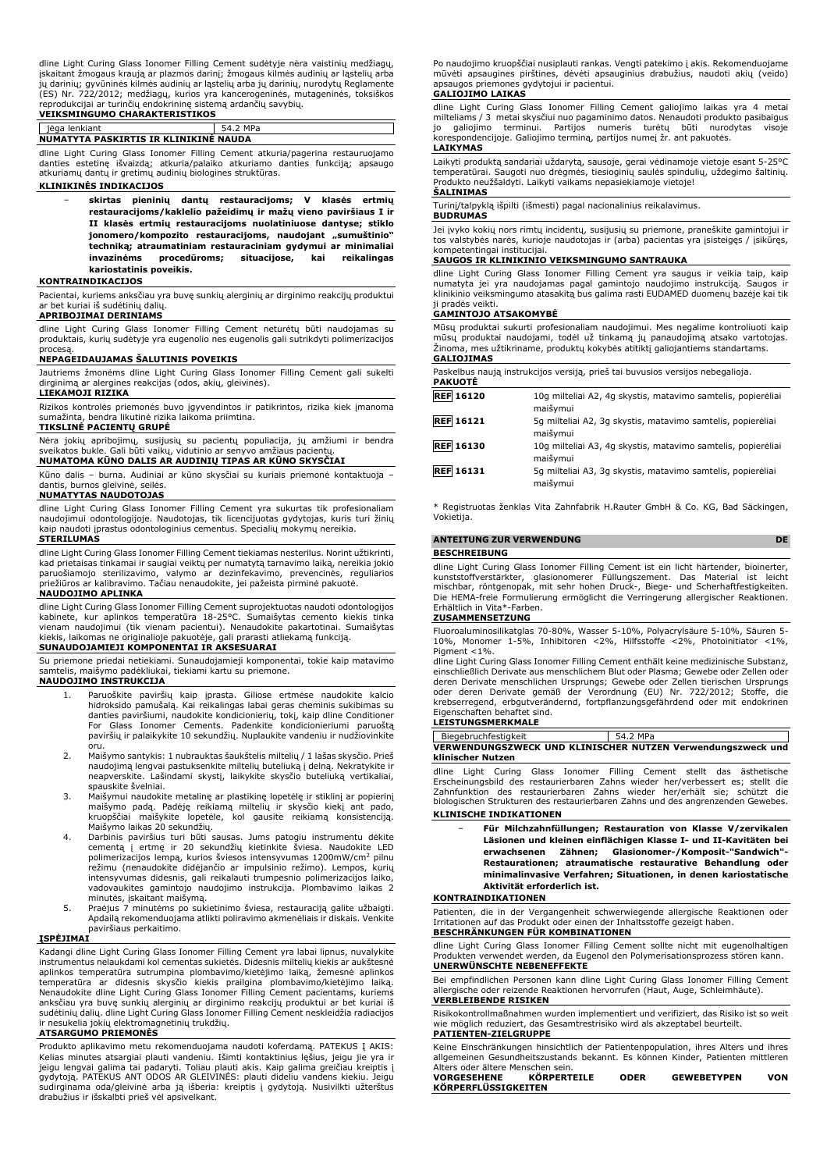dline Light Curing Glass Ionomer Filling Cement sudėtyje nėra vaistinių medžiagų, įskaitant žmogaus kraują ar plazmos darinį; žmogaus kilmės audinių ar ląstelių arba jų darinių; gyvūninės kilmės audinių ar ląstelių arba jų darinių, nurodytų Reglamente (ES) Nr. 722/2012; medžiagų, kurios yra kancerogeninės, mutageninės, toksiškos reprodukcijai ar turinčių endokrininę sistemą ardančių savybių. **VEIKSMINGUMO CHARAKTERISTIKOS**

#### jėga lenkiant 54.2 MPa

**NUMATYTA PASKIRTIS IR KLINIKINĖ NAUDA**

dline Light Curing Glass Ionomer Filling Cement atkuria/pagerina restauruojamo danties estetinę išvaizdą; atkuria/palaiko atkuriamo danties funkciją; apsaugo atkuriamų dantų ir gretimų audinių biologines struktūras.

#### **KLINIKINĖS INDIKACIJOS**

− **skirtas pieninių dantų restauracijoms; V klasės ertmių restauracijoms/kaklelio pažeidimų ir mažų vieno paviršiaus I ir II klasės ertmių restauracijoms nuolatiniuose dantyse; stiklo jonomero/kompozito restauracijoms, naudojant "sumuštinio" techniką; atraumatiniam restauraciniam gydymui ar minimaliai invazinėms procedūroms; situacijose, kai reikalingas kariostatinis poveikis.**

#### **KONTRAINDIKACIJOS**

Pacientai, kuriems anksčiau yra buvę sunkių alerginių ar dirginimo reakcijų produktui ar bet kuriai iš sudėtinių dalių.

#### **APRIBOJIMAI DERINIAMS**

dline Light Curing Glass Ionomer Filling Cement neturėtų būti naudojamas su produktais, kurių sudėtyje yra eugenolio nes eugenolis gali sutrikdyti polimerizacijos procesą.

#### **NEPAGEIDAUJAMAS ŠALUTINIS POVEIKIS**

Jautriems žmonėms dline Light Curing Glass Ionomer Filling Cement gali sukelti dirginimą ar alergines reakcijas (odos, akių, gleivinės).

# **LIEKAMOJI RIZIKA**

Rizikos kontrolės priemonės buvo įgyvendintos ir patikrintos, rizika kiek įmanoma sumažinta, bendra likutinė rizika laikoma priimtina.

**TIKSLINĖ PACIENTŲ GRUPĖ** Nėra jokių apribojimų, susijusių su pacientų populiacija, jų amžiumi ir bendra

sveikatos bukle. Gali būti vaikų, vidutinio ar senyvo amžiaus pacientų. **NUMATOMA KŪNO DALIS AR AUDINIŲ TIPAS AR KŪNO SKYSČIAI**

Kūno dalis – burna. Audiniai ar kūno skysčiai su kuriais priemonė kontaktuoja – dantis, burnos gleivinė, seilės.

#### **NUMATYTAS NAUDOTOJAS**

dline Light Curing Glass Ionomer Filling Cement yra sukurtas tik profesionaliam naudojimui odontologijoje. Naudotojas, tik licencijuotas gydytojas, kuris turi žinių kaip naudoti įprastus odontologinius cementus. Specialių mokymų nereikia. **STERILUMAS**

dline Light Curing Glass Ionomer Filling Cement tiekiamas nesterilus. Norint užtikrinti, kad prietaisas tinkamai ir saugiai veiktų per numatytą tarnavimo laiką, nereikia jokio paruošiamojo sterilizavimo, valymo ar dezinfekavimo, prevencinės, reguliarios priežiūros ar kalibravimo. Tačiau nenaudokite, jei pažeista pirminė pakuotė.

#### **NAUDOJIMO APLINKA**

dline Light Curing Glass Ionomer Filling Cement suprojektuotas naudoti odontologijos kabinete, kur aplinkos temperatūra 18-25°C. Sumaišytas cemento kiekis tinka vienam naudojimui (tik vienam pacientui). Nenaudokite pakartotinai. Sumaišytas kiekis, laikomas ne originalioje pakuotėje, gali prarasti atliekamą funkciją.

## **SUNAUDOJAMIEJI KOMPONENTAI IR AKSESUARAI**

Su priemone priedai netiekiami. Sunaudojamieji komponentai, tokie kaip matavimo samtelis, maišymo padėkliukai, tiekiami kartu su priemone. **NAUDOJIMO INSTRUKCIJA**

- 1. Paruoškite paviršių kaip įprasta. Giliose ertmėse naudokite kalcio hidroksido pamušalą. Kai reikalingas labai geras cheminis sukibimas su danties paviršiumi, naudokite kondicionierių, tokį, kaip dline Conditioner<br>For Glass Ionomer Cements. Padenkite kondicionieriumi paruoštą<br>paviršių ir palaikykite 10 sekundžių. Nuplaukite vandeniu ir nudžiovinkite oru.
- 2. Maišymo santykis: 1 nubrauktas šaukštelis miltelių / 1 lašas skysčio. Prieš naudojimą lengvai pastuksenkite miltelių buteliuką į delną. Nekratykite ir neapverskite. Lašindami skystį, laikykite skysčio buteliuką vertikaliai, spauskite švelniai.
- 3. Maišymui naudokite metalinę ar plastikinę lopetėlę ir stiklinį ar popierinį maišymo padą. Padėję reikiamą miltelių ir skysčio kiekį ant pado, kruopščiai maišykite lopetėle, kol gausite reikiamą konsistenciją. Maišymo laikas 20 sekundžių.
- 4. Darbinis paviršius turi būti sausas. Jums patogiu instrumentu dėkite cementą į ertmę ir 20 sekundžių kietinkite šviesa. Naudokite LED polimerizacijos lempą, kurios šviesos intensyvumas 1200mW/cm<sup>2</sup> pilnu<br>režimu (nenaudokite didėjančio ar impulsinio režimo). Lempos, kurių intensyvumas didesnis, gali reikalauti trumpesnio polimerizacijos laiko, vadovaukites gamintojo naudojimo instrukcija. Plombavimo laikas 2 minutės, įskaitant maišymą.
- 5. Praėjus 7 minutėms po sukietinimo šviesa, restauraciją galite užbaigti. Apdailą rekomenduojama atlikti poliravimo akmenėliais ir diskais. Venkite paviršiaus perkaitimo.

#### **ĮSPĖJIMAI**

Kadangi dline Light Curing Glass Ionomer Filling Cement yra labai lipnus, nuvalykite instrumentus nelaukdami kol cementas sukietės. Didesnis miltelių kiekis ar aukštesnė<br>aplinkos temperatūra sutrumpina plombavimo/kietėjimo laiką, žemesnė aplinkos<br>temperatūra ar didesnis skysčio kiekis prailgina plombavimo/ anksčiau yra buvę sunkių alerginių ar dirginimo reakcijų produktui ar bet kuriai iš sudėtinių dalių. dline Light Curing Glass Ionomer Filling Cement neskleidžia radiacijos ir nesukelia jokių elektromagnetinių trukdžių.

#### **ATSARGUMO PRIEMONĖS**

Produkto aplikavimo metu rekomenduojama naudoti koferdamą. PATEKUS Į AKIS: Kelias minutes atsargiai plauti vandeniu. Išimti kontaktinius lęšius, jeigu jie yra ir jeigu lengvai galima tai padaryti. Toliau plauti akis. Kaip galima greičiau kreiptis į gydytoją. PATEKUS ANT ODOS AR GLEIVINĖS: plauti dideliu vandens kiekiu. Jeigu sudirginama oda/gleivinė arba ją išberia: kreiptis į gydytoją. Nusivilkti užterštus drabužius ir išskalbti prieš vėl apsivelkant.

Po naudojimo kruopščiai nusiplauti rankas. Vengti patekimo į akis. Rekomenduojame mūvėti apsaugines pirštines, dėvėti apsauginius drabužius, naudoti akių (veido) apsaugos priemones gydytojui ir pacientui.

#### **GALIOJIMO LAIKAS**

dline Light Curing Glass Ionomer Filling Cement galiojimo laikas yra 4 metai milteliams / 3 metai skysčiui nuo pagaminimo datos. Nenaudoti produkto pasibaigus galiojimo terminui. Partijos numeris turėtų būti nurodytas korespondencijoje. Galiojimo terminą, partijos numeį žr. ant pakuotės. **LAIKYMAS**

Laikyti produktą sandariai uždarytą, sausoje, gerai vėdinamoje vietoje esant 5-25°C temperatūrai. Saugoti nuo drėgmės, tiesioginių saulės spindulių, uždegimo šaltinių. Produkto neužšaldyti. Laikyti vaikams nepasiekiamoje vietoje! **ŠALINIMAS**

Turinį/talpyklą išpilti (išmesti) pagal nacionalinius reikalavimus.

#### **BUDRUMAS**

Jei įvyko kokių nors rimtų incidentų, susijusių su priemone, praneškite gamintojui ir tos valstybės narės, kurioje naudotojas ir (arba) pacientas yra įsisteigęs / įsikūręs, kompetentingai institucijai.

#### **SAUGOS IR KLINIKINIO VEIKSMINGUMO SANTRAUKA**

dline Light Curing Glass Ionomer Filling Cement yra saugus ir veikia taip, kaip numatyta jei yra naudojamas pagal gamintojo naudojimo instrukciją. Saugos ir klinikinio veiksmingumo atasakitą bus galima rasti EUDAMED duomenų bazėje kai tik

# ji pradės veikti. **GAMINTOJO ATSAKOMYBĖ**

Mūsų produktai sukurti profesionaliam naudojimui. Mes negalime kontroliuoti kaip mūsų produktai naudojami, todėl už tinkamą jų panaudojimą atsako vartotojas. Žinoma, mes užtikriname, produktų kokybės atitiktį galiojantiems standartams. **GALIOJIMAS**

| <b>PAKUOTĖ</b>   | Paskelbus naują instrukcijos versiją, prieš tai buvusios versijos nebegalioja. |
|------------------|--------------------------------------------------------------------------------|
| <b>REF</b> 16120 | 10g milteliai A2, 4g skystis, matavimo samtelis, popierėliai<br>maišymui       |
| <b>REF</b> 16121 | 5q milteliai A2, 3q skystis, matavimo samtelis, popierėliai<br>maišymui        |
| <b>REF</b> 16130 | 10q milteliai A3, 4g skystis, matavimo samtelis, popierėliai<br>maišymui       |
| <b>REF</b> 16131 | 5q milteliai A3, 3g skystis, matavimo samtelis, popierėliai<br>maišymui        |

\* Registruotas ženklas Vita Zahnfabrik H.Rauter GmbH & Co. KG, Bad Säckingen, Vokietija.

#### **ANTEITUNG ZUR VERWENDUNG DE BESCHREIBUNG**

dline Light Curing Glass Ionomer Filling Cement ist ein licht härtender, bioinerter,<br>kunststoffverstärkter, glasionomerer Füllungszement. Das Material ist leicht<br>mischbar, röntgenopak, mit sehr hohen Druck-, Biege- u Die HEMA-freie Formulierung ermöglicht die Verringerung allergischer Reaktionen. Erhältlich in Vita\*-Farben.

#### **ZUSAMMENSETZUNG**

Fluoroaluminosilikatglas 70-80%, Wasser 5-10%, Polyacrylsäure 5-10%, Säuren 5- 10%, Monomer 1-5%, Inhibitoren <2%, Hilfsstoffe <2%, Photoinitiator <1%, Pigment <1%.

dline Light Curing Glass Ionomer Filling Cement enthält keine medizinische Substanz, einschließlich Derivate aus menschlichem Blut oder Plasma; Gewebe oder Zellen oder deren Derivate menschlichen Ursprungs; Gewebe oder Zellen tierischen Ursprungs oder deren Derivate gemäß der Verordnung (EU) Nr. 722/2012; Stoffe, die krebserregend, erbgutverändernd, fortpflanzungsgefährdend oder mit endokrinen Eigenschaften behaftet sind.

#### **LEISTUNGSMERKMALE**

Biegebruchfestigkeit | 54.2 MPa **VERWENDUNGSZWECK UND KLINISCHER NUTZEN Verwendungszweck und klinischer Nutzen**

dline Light Curing Glass Ionomer Filling Cement stellt das ästhetische Erscheinungsbild des restaurierbaren Zahns wieder her/verbessert es; stellt die Zahnfunktion des restaurierbaren Zahns wieder her/erhält sie; schützt die biologischen Strukturen des restaurierbaren Zahns und des angrenzenden Gewebes.

**KLINISCHE INDIKATIONEN**

− **Für Milchzahnfüllungen; Restauration von Klasse V/zervikalen Läsionen und kleinen einflächigen Klasse I- und II-Kavitäten bei erwachsenen Zähnen; Glasionomer-/Komposit-"Sandwich"- Restaurationen; atraumatische restaurative Behandlung oder minimalinvasive Verfahren; Situationen, in denen kariostatische Aktivität erforderlich ist.**

#### **KONTRAINDIKATIONEN**

Patienten, die in der Vergangenheit schwerwiegende allergische Reaktionen oder Irritationen auf das Produkt oder einen der Inhaltsstoffe gezeigt haben. **BESCHRÄNKUNGEN FÜR KOMBINATIONEN**

dline Light Curing Glass Ionomer Filling Cement sollte nicht mit eugenolhaltigen verwendet werden, da Eugenol den Polymerisationsprozess stören kann. **UNERWÜNSCHTE NEBENEFFEKTE**

Bei empfindlichen Personen kann dline Light Curing Glass Ionomer Filling Cement allergische oder reizende Reaktionen hervorrufen (Haut, Auge, Schleimhäute). **VERBLEIBENDE RISIKEN**

Risikokontrollmaßnahmen wurden implementiert und verifiziert, das Risiko ist so weit wie möglich reduziert, das Gesamtrestrisiko wird als akzeptabel beurteilt. **PATIENTEN-ZIELGRUPPE**

Keine Einschränkungen hinsichtlich der Patientenpopulation, ihres Alters und ihres allgemeinen Gesundheitszustands bekannt. Es können Kinder, Patienten mittleren Alters oder ältere Menschen sein.

| י וונכוש טעכו עונכוכ ו וכווטכווכוו טכוווי<br><b>VORGESEHENE</b> | KÖRPERTEILE | <b>ODER</b> | <b>GEWEBETYPEN</b> | VON |
|-----------------------------------------------------------------|-------------|-------------|--------------------|-----|
| KÖRPERFLÜSSIGKEITEN                                             |             |             |                    |     |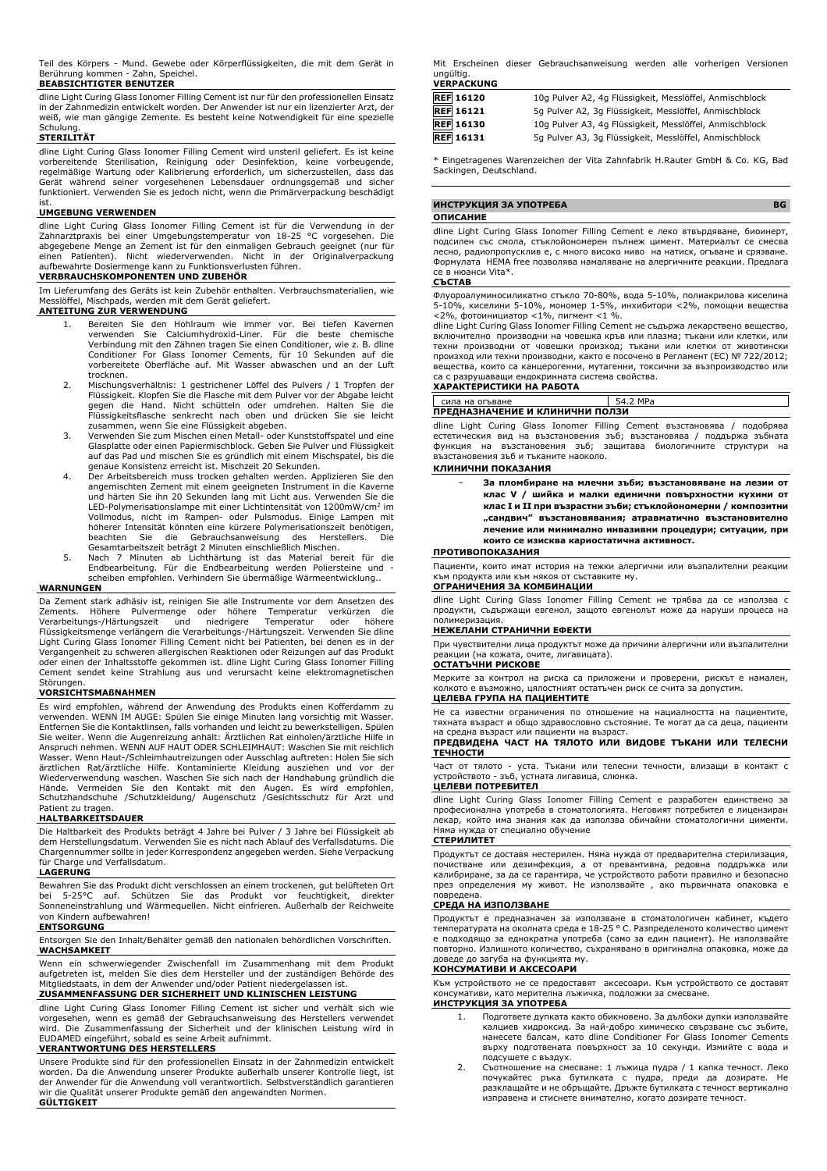Teil des Körpers - Mund. Gewebe oder Körperflüssigkeiten, die mit dem Gerät in Berührung kommen - Zahn, Speichel.

**BEABSICHTIGTER BENUTZER**

dline Light Curing Glass Ionomer Filling Cement ist nur für den professionellen Einsatz in der Zahnmedizin entwickelt worden. Der Anwender ist nur ein lizenzierter Arzt, der weiß, wie man gängige Zemente. Es besteht keine Notwendigkeit für eine spezielle

# Schulung. **STERILITÄT**

dline Light Curing Glass Ionomer Filling Cement wird unsteril geliefert. Es ist keine<br>vorbereitende Sterilisation, Reinigung oder Desinfektion, keine vorbeugende,<br>regelmäßige Wartung oder Kalibrierung erforderlich, Gerät während seiner vorgesehenen Lebensdauer ordnungsgemäß und sicher funktioniert. Verwenden Sie es jedoch nicht, wenn die Primärverpackung beschädigt

#### ist. **UMGEBUNG VERWENDEN**

dline Light Curing Glass Ionomer Filling Cement ist für die Verwendung in der Zahnarztpraxis bei einer Umgebungstemperatur von 18-25 °C vorgesehen. Die abgegebene Menge an Zement ist für den einmaligen Gebrauch geeignet (nur für einen Patienten). Nicht wiederverwenden. Nicht in der Originalverpackung aufbewahrte Dosiermenge kann zu Funktionsverlusten führen.

#### **VERBRAUCHSKOMPONENTEN UND ZUBEHÖR**

Im Lieferumfang des Geräts ist kein Zubehör enthalten. Verbrauchsmaterialien, wie Messlöffel, Mischpads, werden mit dem Gerät geliefert.

## **ANTEITUNG ZUR VERWENDUNG**

- 1. Bereiten Sie den Hohlraum wie immer vor. Bei tiefen Kavernen<br>verwenden Sie Calciumhydroxid-Liner. Für die beste chemische<br>Verbindung mit den Zähnen tragen Sie einen Conditioner, wie z. B. dline<br>Conditioner For Glass Ion vorbereitete Oberfläche auf. Mit Wasser abwaschen und an der Luft trocknen.
- 2. Mischungsverhältnis: 1 gestrichener Löffel des Pulvers / 1 Tropfen der Flüssigkeit. Klopfen Sie die Flasche mit dem Pulver vor der Abgabe leicht gegen die Hand. Nicht schütteln oder umdrehen. Halten Sie die Flüssigkeitsflasche senkrecht nach oben und drücken Sie sie leicht zusammen, wenn Sie eine Flüssigkeit abgeben.
- 3. Verwenden Sie zum Mischen einen Metall- oder Kunststoffspatel und eine Glasplatte oder einen Papiermischblock. Geben Sie Pulver und Flüssigkeit auf das Pad und mischen Sie es gründlich mit einem Mischspatel, bis die genaue Konsistenz erreicht ist. Mischzeit 20 Sekunden.
- 4. Der Arbeitsbereich muss trocken gehalten werden. Applizieren Sie den angemischten Zement mit einem geeigneten Instrument in die Kaverne und härten Sie ihn 20 Sekunden lang mit Licht aus. Verwenden Sie die LED-Polymerisationslampe mit einer Lichtintensität von 1200mW/cm<sup>2</sup> im Vollmodus, nicht im Rampen- oder Pulsmodus. Einige Lampen mit höherer Intensität könnten eine kürzere Polymerisationszeit benötigen, beachten Sie die Gebrauchsanweisung des Herstellers. Die Gesamtarbeitszeit beträgt 2 Minuten einschließlich Mischen.
- 5. Nach 7 Minuten ab Lichthärtung ist das Material bereit für die Endbearbeitung. Für die Endbearbeitung werden Poliersteine und - scheiben empfohlen. Verhindern Sie übermäßige Wärmeentwicklung..

#### **WARNUNGEN**

Da Zement stark adhäsiv ist, reinigen Sie alle Instrumente vor dem Ansetzen des Zements. Höhere Pulvermenge oder höhere Temperatur verkürzen die<br>Verarbeitungs-/Härtungszeit und niedrigere Temperatur oder höhere<br>Flüssigkeitsmenge-verlängern-die-Verarbeitungs-/Härtungszeit.-Verwenden-Sie-dline Light Curing Glass Ionomer Filling Cement nicht bei Patienten, bei denen es in der Vergangenheit zu schweren allergischen Reaktionen oder Reizungen auf das Produkt oder einen der Inhaltsstoffe gekommen ist. dline Light Curing Glass Ionomer Filling Cement sendet keine Strahlung aus und verursacht keine elektromagnetischen Störungen

#### **VORSICHTSMAßNAHMEN**

Es wird empfohlen, während der Anwendung des Produkts einen Kofferdamm zu verwenden. WENN IM AUGE: Spülen Sie einige Minuten lang vorsichtig mit Wasser. Entfernen Sie die Kontaktlinsen, falls vorhanden und leicht zu bewerkstelligen. Spülen Sie weiter. Wenn die Augenreizung anhält: Ärztlichen Rat einholen/ärztliche Hilfe in Anspruch nehmen. WENN AUF HAUT ODER SCHLEIMHAUT: Waschen Sie mit reichlich Wasser. Wenn Haut-/Schleimhautreizungen oder Ausschlag auftreten: Holen Sie sich ärztlichen Rat/ärztliche Hilfe. Kontaminierte Kleidung ausziehen und vor der<br>Wiederverwendung waschen. Waschen Sie-sich nach der Handhabung-gründlich-die<br>Hände. Vermeiden Sie den Kontakt mit den Augen. Es wird empfohlen,<br>S Patient zu tragen.

#### **HALTBARKEITSDAUER**

Die Haltbarkeit des Produkts beträgt 4 Jahre bei Pulver / 3 Jahre bei Flüssigkeit ab dem Herstellungsdatum. Verwenden Sie es nicht nach Ablauf des Verfallsdatums. Die Chargennummer sollte in jeder Korrespondenz angegeben werden. Siehe Verpackung für Charge und Verfallsdatum.

#### **LAGERUNG**

Bewahren Sie das Produkt dicht verschlossen an einem trockenen, gut belüfteten Ort bei 5-25°C auf. Schützen Sie das Produkt vor feuchtigkeit, direkter Sonneneinstrahlung und Wärmequellen. Nicht einfrieren. Außerhalb der Reichweite von Kindern aufbewahren!

#### **ENTSORGUNG**

Entsorgen Sie den Inhalt/Behälter gemäß den nationalen behördlichen Vorschriften. **WACHSAMKEIT**

Wenn ein schwerwiegender Zwischenfall im Zusammenhang mit dem Produkt aufgetreten ist, melden Sie dies dem Hersteller und der zuständigen Behörde des Mitgliedstaats, in dem der Anwender und/oder Patient niedergelassen ist.

# **ZUSAMMENFASSUNG DER SICHERHEIT UND KLINISCHEN LEISTUNG**

dline Light Curing Glass Ionomer Filling Cement ist sicher und verhält sich wie<br>vorgesehen, wenn es gemäß der Gebrauchsanweisung des Herstellers verwendet<br>wird. Die Zusammenfassung der Sicherheit und der klinischen Leistun

# **VERANTWORTUNG DES HERSTELLERS**

Unsere Produkte sind für den professionellen Einsatz in der Zahnmedizin entwickelt worden. Da die Anwendung unserer Produkte außerhalb unserer Kontrolle liegt, ist der Anwender für die Anwendung voll verantwortlich. Selbstverständlich garantieren wir die Qualität unserer Produkte gemäß den angewandten Normen. **GÜLTIGKEIT**

Mit Erscheinen dieser Gebrauchsanweisung werden alle vorherigen Versionen ungültig. **VERPACKUNG**

| <b>REF</b> 16120 | 10g Pulver A2, 4g Flüssigkeit, Messlöffel, Anmischblock |
|------------------|---------------------------------------------------------|
| <b>REF</b> 16121 | 5q Pulver A2, 3q Flüssigkeit, Messlöffel, Anmischblock  |
| <b>REF</b> 16130 | 10g Pulver A3, 4g Flüssigkeit, Messlöffel, Anmischblock |
| <b>REF</b> 16131 | 5q Pulver A3, 3q Flüssigkeit, Messlöffel, Anmischblock  |

\* Eingetragenes Warenzeichen der Vita Zahnfabrik H.Rauter GmbH & Co. KG, Bad Sackingen, Deutschland.

#### **ИНСТРУКЦИЯ ЗА УПОТРЕБА BG**

#### **ОПИСАНИЕ**

dline Light Curing Glass Ionomer Filling Cement е леко втвърдяване, биоинерт, подсилен със смола, стъклойономерен пълнеж цимент. Материалът се смесва лесно, радиопропусклив е, с много високо ниво на натиск, огъване и срязване. Формулата HEMA free позволява намаляване на алергичните реакции. Предлага се в нюанси Vita\*.

#### **СЪСТАВ**

Флуороалуминосиликатно стъкло 70-80%, вода 5-10%, полиакрилова киселина 5-10%, киселини 5-10%, мономер 1-5%, инхибитори <2%, помощни вещества <2%, фотоинициатор <1%, пигмент <1 %.

dline Light Curing Glass Ionomer Filling Cement не съдържа лекарствено вещество, включително производни на човешка кръв или плазма; тъкани или клетки, или техни производни от човешки произход; тъкани или клетки от животински произход или техни производни, както е посочено в Регламент (ЕС) № 722/2012; вещества, които са канцерогенни, мутагенни, токсични за възпроизводство или са с разрушаващи ендокринната система свойства.

#### **ХАРАКТЕРИСТИКИ НА РАБОТА**

| сила на огъване                 | 54.2 MPa |  |
|---------------------------------|----------|--|
| ПРЕДНАЗНАЧЕНИЕ И КЛИНИЧНИ ПОЛЗИ |          |  |

dline Light Curing Glass Ionomer Filling Cement възстановява / подобрява естетическия вид на възстановения зъб; възстановява / поддържа зъбната функция на възстановения зъб; защитава биологичните структури на възстановения зъб и тъканите наоколо.

## **КЛИНИЧНИ ПОКАЗАНИЯ**

− **За пломбиране на млечни зъби; възстановяване на лезии от клас V / шийка и малки единични повърхностни кухини от клас I и II при възрастни зъби; стъклойономерни / композитни "сандвич" възстановявания; атравматично възстановително лечение или минимално инвазивни процедури; ситуации, при които се изисква кариостатична активност.**

#### **ПРОТИВОПОКАЗАНИЯ**

Пациенти, които имат история на тежки алергични или възпалителни реакции продукта или към някоя от съставките му. **ОГРАНИЧЕНИЯ ЗА КОМБИНАЦИИ**

dline Light Curing Glass Ionomer Filling Cement не трябва да се използва с продукти, съдържащи евгенол, защото евгенолът може да наруши процеса на полимеризация.

#### **НЕЖЕЛАНИ СТРАНИЧНИ ЕФЕКТИ**

При чувствителни лица продуктът може да причини алергични или възпалителни реакции (на кожата, очите, лигавицата). **ОСТАТЪЧНИ РИСКОВЕ**

Мерките за контрол на риска са приложени и проверени, рискът е намален, колкото е възможно, цялостният остатъчен риск се счита за допустим.

#### **ЦЕЛЕВА ГРУПА НА ПАЦИЕНТИТЕ**

Не са известни ограничения по отношение на нациалността на пациентите, тяхната възраст и общо здравословно състояние. Те могат да са деца, пациенти на средна възраст или пациенти на възраст.

#### **ПРЕДВИДЕНА ЧАСТ НА ТЯЛОТО ИЛИ ВИДОВЕ ТЪКАНИ ИЛИ ТЕЛЕСНИ ТЕЧНОСТИ**

Част от тялото - уста. Тъкани или телесни течности, влизащи в контакт с устройството - зъб, устната лигавица, слюнка.

#### **ЦЕЛЕВИ ПОТРЕБИТЕЛ**

dline Light Curing Glass Ionomer Filling Cement е разработен единствено за професионална употреба в стоматологията. Неговият потребител е лицензиран лекар, който има знания как да използва обичайни стоматологични цименти. Няма нужда от специално обучение

#### **СТЕРИЛИТЕТ**

Продуктът се доставя нестерилен. Няма нужда от предварителна стерилизация, почистване или дезинфекция, а от превантивна, редовна поддръжка или калибриране, за да се гарантира, че устройството работи правилно и безопасно през определения му живот. Не използвайте , ако първичната опаковка е повредена.

#### **СРЕДА НА ИЗПОЛЗВАНЕ**

Продуктът е предназначен за използване в стоматологичен кабинет, където температурата на околната среда е 18-25 ° C. Разпределеното количество цимент е подходящо за еднократна употреба (само за един пациент). Не използвайте повторно. Излишното количество, съхранявано в оригинална опаковка, може да доведе до загуба на функцията му.

#### **КОНСУМАТИВИ И АКСЕСОАРИ**

Към устройството не се предоставят аксесоари. Към устройството се доставят консумативи, като мерителна лъжичка, подложки за смесване.

#### **ИНСТРУКЦИЯ ЗА УПОТРЕБА**

- 1. Подгответе дупката както обикновено. За дълбоки дупки използвайте калциев хидроксид. За най-добро химическо свързване със зъбите, нанесете балсам, като dline Conditioner For Glass Ionomer Cements върху подготвената повърхност за 10 секунди. Измийте с вода и подсушете с въздух.
- 2. Съотношение на смесване: 1 лъжица пудра / 1 капка течност. Леко почукайтес ръка бутилката с пудра, преди да дозирате. Не разклащайте и не обръщайте. Дръжте бутилката с течност вертикално изправена и стиснете внимателно, когато дозирате течност.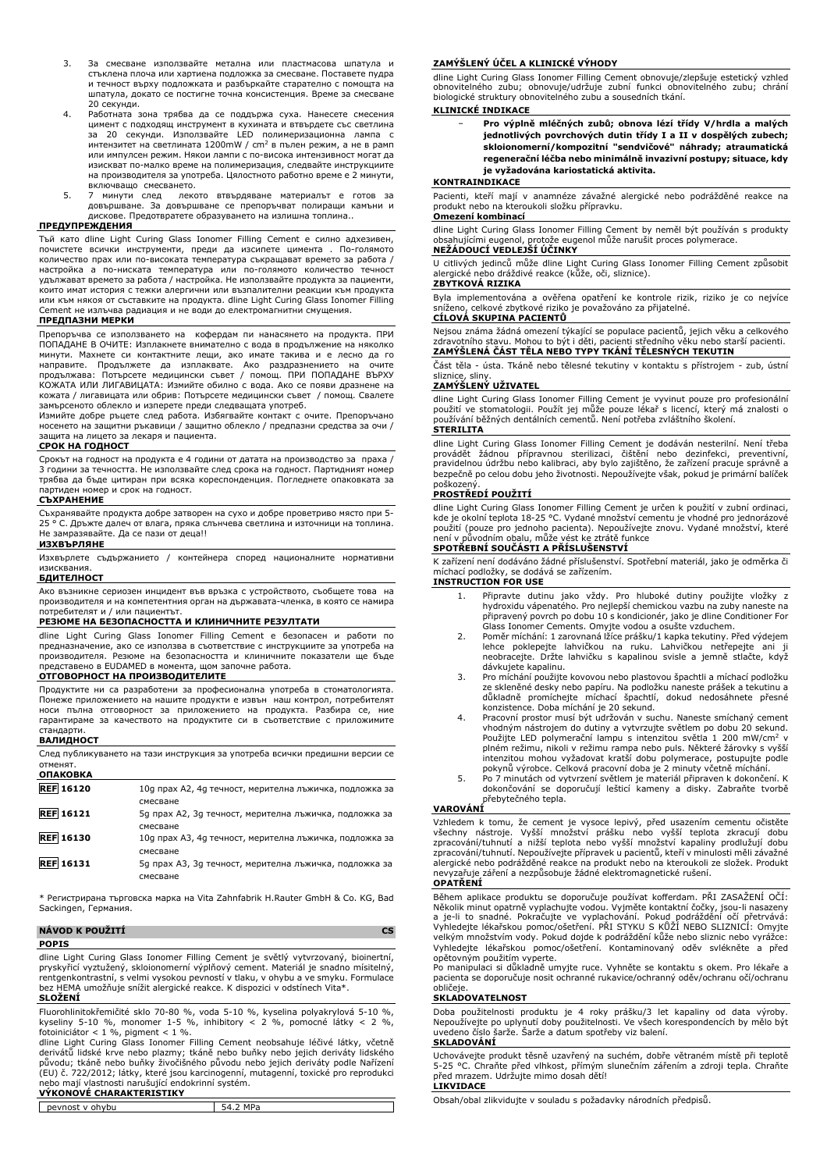- 3. За смесване използвайте метална или пластмасова шпатула и стъклена плоча или хартиена подложка за смесване. Поставете пудра и течност върху подложката и разбъркайте старателно с помощта на шпатула, докато се постигне точна консистенция. Време за смесване 20 секунди.
- 4. Работната зона трябва да се поддържа суха. Нанесете смесения цимент с подходящ инструмент в кухината и втвърдете със светлина за 20 секунди. Използвайте LED полимеризационна лампа с  $\mu$ итензитет на светлината 1200mW /  $\text{cm}^2$  в пълен режим, а не в рамп или импулсен режим. Някои лампи с по-висока интензивност могат да изискват по-малко време на полимеризация, следвайте инструкциите на производителя за употреба. Цялостното работно време е 2 минути,
- включващо смесването. 5. 7 минути след лекото втвърдяване материалът е готов за довършване. За довършване се препоръчват полиращи камъни и дискове. Предотвратете образуването на излишна топлина..

#### **ПРЕДУПРЕЖДЕНИЯ**

Тъй като dline Light Curing Glass Ionomer Filling Cement е силно адхезивен, почистете всички инструменти, преди да изсипете цимента . По-голямото количество прах или по-високата температура съкращават времето за работа / настройка а по-ниската температура или по-голямото количество течност удължават времето за работа / настройка. Не използвайте продукта за пациенти, които имат история с тежки алергични или възпалителни реакции към продукта или към някоя от съставките на продукта. dline Light Curing Glass Ionomer Filling Cement не излъчва радиация и не води до електромагнитни смущения.

#### **ПРЕДПАЗНИ МЕРКИ**

Препоръчва се използването на кофердам пи нанасянето на продукта. ПРИ ПОПАДАНЕ В ОЧИТЕ: Изплакнете внимателно с вода в продължение на няколко минути. Махнете си контактните лещи, ако имате такива и е лесно да го направите. Продължете да изплаквате. Ако раздразнението на очите<br>продължава: Потърсете медицински съвет / помощ. ПРИ ПОПАДАНЕ ВЪРХУ<br>КОЖАТА ИЛИ ЛИГАВИЦАТА: Измийте обилно с вода. Ако се появи дразнене на<br>кожата / лигавицат

замърсеното облекло и изперете преди следващата употреб. Измийте добре ръцете след работа. Избягвайте контакт с очите. Препоръчано носенето на защитни ръкавици / защитно облекло / предпазни средства за очи / защита на лицето за лекаря и пациента.

#### **СРОК НА ГОДНОСТ**

Срокът на годност на продукта е 4 години от датата на производство за праха / 3 години за течността. Не използвайте след срока на годност. Партидният номер трябва да бъде цитиран при всяка кореспонденция. Погледнете опаковката за партиден номер и срок на годност.

#### **СЪХРАНЕНИЕ**

Съхранявайте продукта добре затворен на сухо и добре проветриво място при 5- 25 ° C. Дръжте далеч от влага, пряка слънчева светлина и източници на топлина. Не замразявайте. Да се пази от деца!!

#### **ИЗХВЪРЛЯНЕ**

Изхвърлете съдържанието / контейнера според националните нормативни изисквания.

#### **БДИТЕЛНОСТ**

Ако възникне сериозен инцидент във връзка с устройството, съобщете това на производителя и на компетентния орган на държавата-членка, в която се намира потребителят и / или пациентът.

#### **РЕЗЮМЕ НА БЕЗОПАСНОСТТА И КЛИНИЧНИТЕ РЕЗУЛТАТИ**

dline Light Curing Glass Ionomer Filling Cement е безопасен и работи по предназначение, ако се използва в съответствие с инструкциите за употреба на производителя. Резюме на безопасността и клиничните показатели ще бъде

# представено в EUDAMED в момента, щом започне работа. **ОТГОВОРНОСТ НА ПРОИЗВОДИТЕЛИТЕ**

Продуктите ни са разработени за професионална употреба в стоматологията. Понеже приложението на нашите продукти е извън наш контрол, потребителят носи пълна отговорност за приложението на продукта. Разбира се, ние гарантираме за качеството на продуктите си в съответствие с приложимите стандарти.

#### **ВАЛИДНОСТ**

| След публикуването на тази инструкция за употреба всички предишни версии се |
|-----------------------------------------------------------------------------|
| отменят.                                                                    |
| ОПАКОВКА                                                                    |

| UIIANUDNA        |                                                         |
|------------------|---------------------------------------------------------|
| <b>REF</b> 16120 | 10g прах А2, 4g течност, мерителна лъжичка, подложка за |
|                  | смесване                                                |
| <b>REF</b> 16121 | 5д прах А2, 3д течност, мерителна лъжичка, подложка за  |
|                  | смесване                                                |
| <b>REF 16130</b> | 10g прах АЗ, 4g течност, мерителна лъжичка, подложка за |
|                  | смесване                                                |
| <b>REF</b> 16131 | 5д прах АЗ, 3д течност, мерителна лъжичка, подложка за  |
|                  | смесване                                                |

\* Регистрирана търговска марка на Vita Zahnfabrik H.Rauter GmbH & Co. KG, Bad Sackingen, Германия.

#### **NÁVOD K POUŽITÍ CS POPIS**

dline Light Curing Glass Ionomer Filling Cement je světlý vytvrzovaný, bioinertní, pryskyřicí vyztužený, skloionomerní výplňový cement. Materiál je snadno mísitelný, rentgenkontrastní, s velmi vysokou pevností v tlaku, v ohybu a ve smyku. Formulace bez HEMA umožňuje snížit alergické reakce. K dispozici v odstínech Vita\*. **SLOŽENÍ**

Fluorohlinitokřemičité sklo 70-80 %, voda 5-10 %, kyselina polyakrylová 5-10 %, kyseliny 5-10 %, monomer 1-5 %, inhibitory < 2 %, pomocné látky < 2 %,

fotoiniciátor < 1 %, pigment < 1 %.<br>dline Light Curing Glass Ionomer Filling Cement neobsahuje léčivé látky, včetně<br>derivátů lidské krve nebo plazmy; tkáně nebo buňky nebo jejich deriváty lidského<br>původu; tkáně nebo buňky (EU) č. 722/2012; látky, které jsou karcinogenní, mutagenní, toxické pro reprodukci nebo mají vlastnosti narušující endokrinní systém.

# **VÝKONOVÉ CHARAKTERISTIKY**

| nevnost<br>ohvbu<br>$\mathbf{v}$ | MD<br>16 |
|----------------------------------|----------|
|                                  |          |

#### **ZAMÝŠLENÝ ÚČEL A KLINICKÉ VÝHODY**

dline Light Curing Glass Ionomer Filling Cement obnovuje/zlepšuje estetický vzhled obnovitelného zubu; obnovuje/udržuje zubní funkci obnovitelného zubu; chrání biologické struktury obnovitelného zubu a sousedních tkání.

#### **KLINICKÉ INDIKACE**

− **Pro výplně mléčných zubů; obnova lézí třídy V/hrdla a malých jednotlivých povrchových dutin třídy I a II v dospělých zubech; skloionomerní/kompozitní "sendvičové" náhrady; atraumatická regenerační léčba nebo minimálně invazivní postupy; situace, kdy je vyžadována kariostatická aktivita.**

#### **KONTRAINDIKACE**

Pacienti, kteří mají v anamnéze závažné alergické nebo podrážděné reakce na produkt nebo na kteroukoli složku přípravku. **Omezení kombinací**

dline Light Curing Glass Ionomer Filling Cement by neměl být používán s produkty obsahujícími eugenol, protože eugenol může narušit proces polymerace. **NEŽÁDOUCÍ VEDLEJŠÍ ÚČINKY**

U citlivých jedinců může dline Light Curing Glass Ionomer Filling Cement způsobit alergické nebo dráždivé reakce (kůže, oči, sliznice). **ZBYTKOVÁ RIZIKA**

Byla implementována a ověřena opatření ke kontrole rizik, riziko je co nejvíce sníženo, celkové zbytkové riziko je považováno za přijatelné.

#### **CÍLOVÁ SKUPINA PACIENTŮ**

Nejsou známa žádná omezení týkající se populace pacientů, jejich věku a celkového zdravotního stavu. Mohou to být i děti, pacienti středního věku nebo starší pacienti. **ZAMÝŠLENÁ ČÁST TĚLA NEBO TYPY TKÁNÍ TĚLESNÝCH TEKUTIN**

Část těla - ústa. Tkáně nebo tělesné tekutiny v kontaktu s přístrojem - zub, ústní sliznice, sliny.

#### **ZAMÝŠLENÝ UŽIVATEL**

dline Light Curing Glass Ionomer Filling Cement je vyvinut pouze pro profesionální<br>použití ve stomatologii. Použít jej může pouze lékař s licencí, který má znalosti o<br>používání běžných dentálních cementů. Není potřeba zvlá **STERILITA**

dline Light Curing Glass Ionomer Filling Cement je dodáván nesterilní. Není třeba<br>provádět žádnou přípravnou sterilizaci, čištění nebo dezinfekci, preventivní,<br>pravidelnou údržbu nebo kalibraci, aby bylo zajištěno, poškozeny

#### **PROSTŘEDÍ POUŽITÍ**

dline Light Curing Glass Ionomer Filling Cement je určen k použití v zubní ordinaci, kde je okolní teplota 18-25 °C. Vydané množství cementu je vhodné pro jednorázové<br>použití (pouze pro jednoho pacienta). Nepoužívejte znovu. Vydané množství, které<br>není v původním obalu, může vést ke ztrátě funkce **SPOTŘEBNÍ SOUČÁSTI A PŘÍSLUŠENSTVÍ**

K zařízení není dodáváno žádné příslušenství. Spotřební materiál, jako je odměrka či míchací podložky, se dodává se zařízením. **INSTRUCTION FOR USE**

- 1. Připravte dutinu jako vždy. Pro hluboké dutiny použijte vložky z hydroxidu vápenatého. Pro nejlepší chemickou vazbu na zuby naneste na připravený povrch po dobu 10 s kondicionér, jako je dline Conditioner For
- Glass Ionomer Cements. Omyjte vodou a osušte vzduchem. 2. Poměr míchání: 1 zarovnaná lžíce prášku/1 kapka tekutiny. Před výdejem lehce poklepejte lahvičkou na ruku. Lahvičkou netřepejte ani ji neobracejte. Držte lahvičku s kapalinou svisle a jemně stlačte, když dávkujete kapalinu.
- 3. Pro míchání použijte kovovou nebo plastovou špachtli a míchací podložku ze skleněné desky nebo papíru. Na podložku naneste prášek a tekutinu a důkladně promíchejte míchací špachtlí, dokud nedosáhnete přesné konzistence. Doba míchání je 20 sekund.
- 4. Pracovní prostor musí být udržován v suchu. Naneste smíchaný cement vhodným nástrojem do dutiny a vytvrzujte světlem po dobu 20 sekund. Použijte LED polymerační lampu s intenzitou světla 1 200 mW/cm<sup>2</sup> v plném režimu, nikoli v režimu rampa nebo puls. Některé žárovky s vyšší intenzitou mohou vyžadovat kratší dobu polymerace, postupujte podle pokynů výrobce. Celková pracovní doba je 2 minuty včetně míchání.
- 5. Po 7 minutách od vytvrzení světlem je materiál připraven k dokončení. K dokončování se doporučují lešticí kameny a disky. Zabraňte tvorbě přebytečného tepla.

#### **VAROVÁNÍ**

Vzhledem k tomu, že cement je vysoce lepivý, před usazením cementu očistěte<br>všechny nástroje. Vyšší množství prášku nebo vyšší teplota zkracují dobu<br>zpracování/tuhnutí a nižší teplota nebo vyšší množství kapaliny prodlužuj zpracování/tuhnutí. Nepoužívejte přípravek u pacientů, kteří v minulosti měli závažné alergické nebo podrážděné reakce na produkt nebo na kteroukoli ze složek. Produkt nevyzařuje záření a nezpůsobuje žádné elektromagnetické rušení. **OPATŘENÍ**

Během aplikace produktu se doporučuje používat kofferdam. PRI ZASAZENI OCI:<br>Několik minut opatrně vyplachujte vodou. Vyjměte kontaktní čočky, jsou-li nasazeny<br>a je-li to snadné. Pokračujte ve vyplachování. Pokud podráždění Vyhledejte lékařskou pomoc/ošetření. Kontaminovaný oděv svlékněte a před opětovným použitím vyperte. Po manipulaci si důkladně umyjte ruce. Vyhněte se kontaktu s okem. Pro lékaře a

pacienta se doporučuje nosit ochranné rukavice/ochranný oděv/ochranu očí/ochranu obličeje.

#### **SKLADOVATELNOST**

Doba použitelnosti produktu je 4 roky prášku/3 let kapaliny od data výroby. Nepoužívejte po uplynutí doby použitelnosti. Ve všech korespondencích by mělo být uvedeno číslo šarže. Šarže a datum spotřeby viz balení.

#### **SKLADOVÁNÍ**

Uchovávejte produkt těsně uzavřený na suchém, dobře větraném místě při teplotě 5-25 °C. Chraňte před vlhkost, přímým slunečním zářením a zdroji tepla. Chraňte před mrazem. Udržujte mimo dosah dětí! **LIKVIDACE**

Obsah/obal zlikvidujte v souladu s požadavky národních předpisů.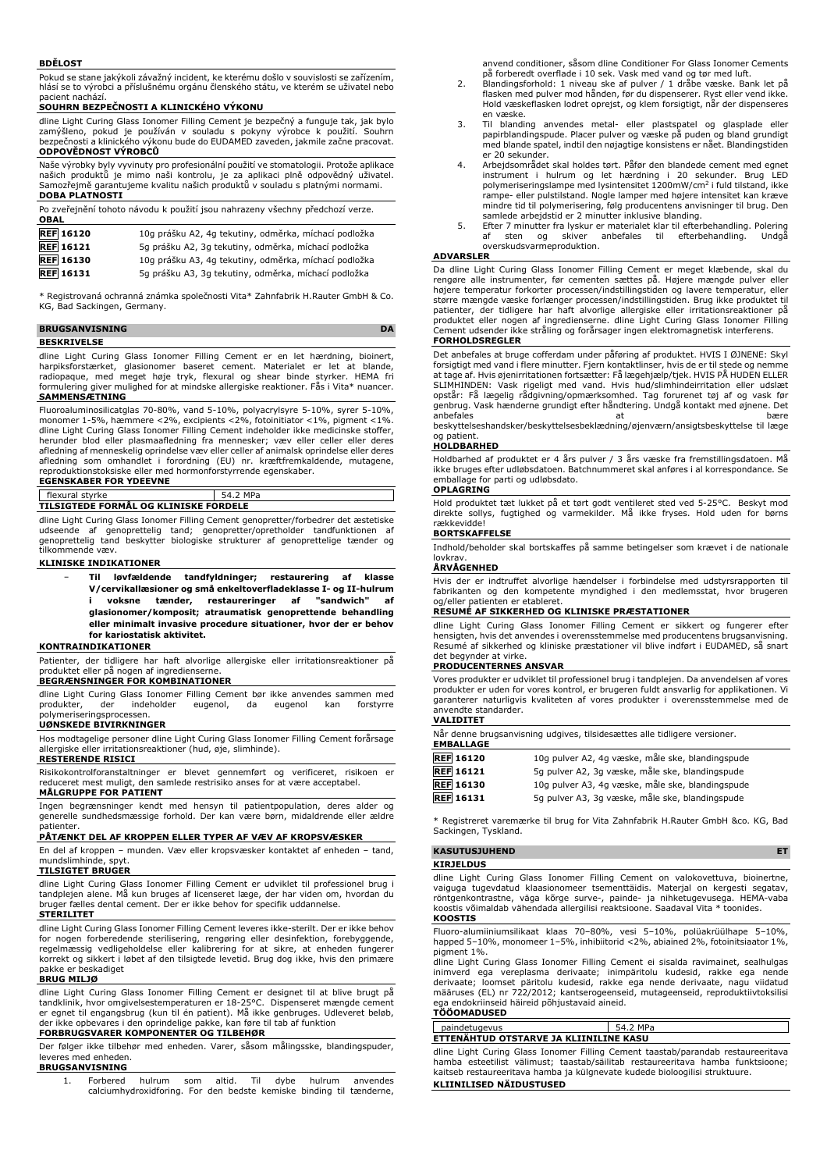#### **BDĚLOST**

Pokud se stane jakýkoli závažný incident, ke kterému došlo v souvislosti se zařízením, hlásí se to výrobci a příslušnému orgánu členského státu, ve kterém se uživatel nebo pacient nachází.

#### **SOUHRN BEZPEČNOSTI A KLINICKÉHO VÝKONU**

dline Light Curing Glass Ionomer Filling Cement je bezpečný a funguje tak, jak bylo zamýšleno, pokud je používán v souladu s pokyny výrobce k použití. Souhrn bezpečnosti a klinického výkonu bude do EUDAMED zaveden, jakmile začne pracovat. **ODPOVĚDNOST VÝROBCŮ**

Naše výrobky byly vyvinuty pro profesionální použití ve stomatologii. Protože aplikace našich produktů je mimo naši kontrolu, je za aplikaci plně odpovědný uživatel. Samozřejmě garantujeme kvalitu našich produktů v souladu s platnými normami. **DOBA PLATNOSTI**

| <b>OBAL</b>      | Po zveřejnění tohoto návodu k použití jsou nahrazeny všechny předchozí verze. |
|------------------|-------------------------------------------------------------------------------|
| <b>REF</b> 16120 | 10g prášku A2, 4g tekutiny, odměrka, míchací podložka                         |
| <b>REF</b> 16121 | 5g prášku A2, 3g tekutiny, odměrka, míchací podložka                          |
| <b>REF</b> 16130 | 10g prášku A3, 4g tekutiny, odměrka, míchací podložka                         |
| <b>REF</b> 16131 | 5g prášku A3, 3g tekutiny, odměrka, míchací podložka                          |

\* Registrovaná ochranná známka společnosti Vita\* Zahnfabrik H.Rauter GmbH & Co. KG, Bad Sackingen, Germany.

| <b>BRUGSANVISNING</b> |  |
|-----------------------|--|
| <b>BESKRIVELSE</b>    |  |

dline Light Curing Glass Ionomer Filling Cement er en let hærdning, bioinert, harpiksforstærket, glasionomer baseret cement. Materialet er let at blande,<br>radiopaque, med meget høje tryk, flexural og shear binde styrker. HEMA fri<br>formulering-giver-mulighed-for-at-mindske-allergiske-reaktioner.-Fås-i-**SAMMENSÆTNING**

Fluoroaluminosilicatglas 70-80%, vand 5-10%, polyacrylsyre 5-10%, syrer 5-10%,<br>monomer 1-5%, hæmmere <2%, excipients <2%, fotoinitiator <1%, pigment <1%.<br>dline Light Curing Glass Ionomer Filling Cement indeholder ikke medi herunder blod eller plasmaafledning fra mennesker; væv eller celler eller deres afledning af menneskelig oprindelse væv eller celler af animalsk oprindelse eller deres afledning som omhandlet i forordning (EU) nr. kræftfremkaldende, mutagene, reproduktionstoksiske eller med hormonforstyrrende egenskaber.

## **EGENSKABER FOR YDEEVNE**

| flexural styrke                       | 54 7 MPa |  |
|---------------------------------------|----------|--|
| TILSIGTEDE FORMÅL OG KLINISKE FORDELE |          |  |

dline Light Curing Glass Ionomer Filling Cement genopretter/forbedrer det æstetiske<br>udseende af genoprettelig tand; genopretter/opretholder tandfunktionen af<br>genoprettelig tand beskytter biologiske strukturer af genoprette

#### **KLINISKE INDIKATIONER**

− **Til løvfældende tandfyldninger; restaurering af klasse V/cervikallæsioner og små enkeltoverfladeklasse I- og II-hulrum i voksne tænder, restaureringer af glasionomer/komposit; atraumatisk genoprettende behandling eller minimalt invasive procedure situationer, hvor der er behov for kariostatisk aktivitet.**

#### **KONTRAINDIKATIONER**

Patienter, der tidligere har haft alvorlige allergiske eller irritationsreaktioner på roduktet eller på nogen af ingrediensern

# **BEGRÆNSNINGER FOR KOMBINATIONER**

dline Light Curing Glass Ionomer Filling Cement bør ikke anvendes sammen med produkter, der indeholder eugenol, da eugenol kan forstyrre produkter, der indeholder eugenol, da eugenol kan forstyrre polymeriseringsprocessen.

## **UØNSKEDE BIVIRKNINGER**

Hos modtagelige personer dline Light Curing Glass Ionomer Filling Cement forårsage allergiske eller irritationsreaktioner (hud, øje, slimhinde).

## **RESTERENDE RISICI**

Risikokontrolforanstaltninger er blevet gennemført og verificeret, risikoen er reduceret mest muligt, den samlede restrisiko anses for at være acceptabel. **MÅLGRUPPE FOR PATIENT**

Ingen begrænsninger kendt med hensyn til patientpopulation, deres alder og generelle sundhedsmæssige forhold. Der kan være børn, midaldrende eller ældre .<br>patienter

#### **PÅTÆNKT DEL AF KROPPEN ELLER TYPER AF VÆV AF KROPSVÆSKER**

En del af kroppen – munden. Væv eller kropsvæsker kontaktet af enheden – tand, mundslimhinde, spyt.

## **TILSIGTET BRUGER**

dline Light Curing Glass Ionomer Filling Cement er udviklet til professionel brug i tandplejen alene. Må kun bruges af licenseret læge, der har viden om, hvordan du bruger fælles dental cement. Der er ikke behov for specifik uddannelse. **STERILITET**

dline Light Curing Glass Ionomer Filling Cement leveres ikke-sterilt. Der er ikke behov for nogen forberedende sterilisering, rengøring eller desinfektion, forebyggende,<br>regelmæssig vedligeholdelse eller kalibrering for at sikre, at enheden fungerer<br>korrekt og sikkert i løbet af den tilsigtede levetid. Brug d

#### **BRUG MILJØ**

dline Light Curing Glass Ionomer Filling Cement er designet til at blive brugt på tandklinik, hvor omgivelsestemperaturen er 18-25°C. Dispenseret mængde cement<br>er egnet til engangsbrug (kun til én patient). Må ikke genbruges. Udleveret beløb,<br>der ikke opbevares i den oprindelige pakke, kan føre til tab

# **FORBRUGSVARER KOMPONENTER OG TILBEHØR**

Der følger ikke tilbehør med enheden. Varer, såsom målingsske, blandingspuder, leveres med enheden.

## **BRUGSANVISNING**

1. Forbered hulrum som altid. Til dybe hulrum anvendes calciumhydroxidforing. For den bedste kemiske binding til tænderne,

anvend conditioner, såsom dline Conditioner For Glass Ionomer Cements

- på forberedt overflade i 10 sek. Vask med vand og tør med luft. 2. Blandingsforhold: 1 niveau ske af pulver / 1 dråbe væske. Bank let på flasken med pulver mod hånden, før du dispenserer. Ryst eller vend ikke. Hold væskeflasken lodret oprejst, og klem forsigtigt, når der dispenseres en væske.
- 3. Til blanding anvendes metal- eller plastspatel og glasplade eller papirblandingspude. Placer pulver og væske på puden og bland grundigt med blande spatel, indtil den nøjagtige konsistens er nået. Blandingstiden
- er 20 sekunder. 4. Arbejdsområdet skal holdes tørt. Påfør den blandede cement med egnet instrument i hulrum og let hærdning i 20 sekunder. Brug LED polymeriseringslampe med lysintensitet 1200mW/cm<sup>2</sup> i fuld tilstand, ikke<br>rampe- eller pulstilstand. Nogle lamper med højere intensitet kan kræve mindre tid til polymerisering, følg producentens anvisninger til brug. Den
- samlede arbejdstid er 2 minutter inklusive blanding. 5. Efter 7 minutter fra lyskur er materialet klar til efterbehandling. Polering af sten og skiver anbefales til efterbehandling. Undgå overskudsvarmeproduktion.

#### **ADVARSLER**

Da dline Light Curing Glass Ionomer Filling Cement er meget klæbende, skal du rengøre alle instrumenter, før cementen sættes på. Højere mængde pulver eller<br>højere temperatur forkorter processen/indstillingstiden og lavere temperatur, eller<br>større mængde væske forlænger processen/indstillingstiden. B patienter, der tidligere har haft alvorlige allergiske eller irritationsreaktioner på<br>produktet eller nogen af ingredienserne. dline Light Curing Glass Ionomer Filling<br>Cement udsender ikke stråling og forårsager ingen elek **FORHOLDSREGLER**

Det anbefales at bruge cofferdam under påføring af produktet. HVIS I ØJNENE: Skyl forsigtigt med vand i flere minutter. Fjern kontaktlinser, hvis de er til stede og nemme at tage af. Hvis øjenirritationen fortsætter: Få lægehjælp/tjek. HVIS PÅ HUDEN ELLER SLIMHINDEN: Vask rigeligt med vand. Hvis hud/slimhindeirritation eller udslæt opstår: Få lægelig rådgivning/opmærksomhed. Tag forurenet tøj af og vask før genbrug. Vask hænderne grundigt efter håndtering. Undgå kontakt med øjnene. Det

anbefales at bære beskyttelseshandsker/beskyttelsesbeklædning/øjenværn/ansigtsbeskyttelse til læge og patient.

#### **HOLDBARHED**

Holdbarhed af produktet er 4 års pulver / 3 års væske fra fremstillingsdatoen. Må ikke bruges efter udløbsdatoen. Batchnummeret skal anføres i al korrespondance. Se emballage for parti og udløbsdato. **OPLAGRING**

Hold produktet tæt lukket på et tørt godt ventileret sted ved 5-25°C. Beskyt mod direkte sollys, fugtighed og varmekilder. Må ikke fryses. Hold uden for børns rækkevidde!

#### **BORTSKAFFELSE**

Indhold/beholder skal bortskaffes på samme betingelser som krævet i de nationale lovkrav.

#### **ÅRVÅGENHED**

Hvis der er indtruffet alvorlige hændelser i forbindelse med udstyrsrapporten til fabrikanten og den kompetente myndighed i den medlemsstat, hvor brugeren og/eller patienten er etableret.

#### **RESUMÉ AF SIKKERHED OG KLINISKE PRÆSTATIONER**

dline Light Curing Glass Ionomer Filling Cement er sikkert og fungerer efter hensigten, hvis det anvendes i overensstemmelse med producentens brugsanvisning. Resumé af sikkerhed og kliniske præstationer vil blive indført i EUDAMED, så snart det begynder at virke.

#### **PRODUCENTERNES ANSVAR**

Vores produkter er udviklet til professionel brug i tandplejen. Da anvendelsen af vores produkter er uden for vores kontrol, er brugeren fuldt ansvarlig for applikationen. Vi garanterer naturligvis kvaliteten af vores produkter i overensstemmelse med de anvendte standarder.

#### **VALIDITET**

Når denne brugsanvisning udgives, tilsidesættes alle tidligere versioner.

| EMBALLAGE        |                                                  |
|------------------|--------------------------------------------------|
| <b>REF</b> 16120 | 10g pulver A2, 4g væske, måle ske, blandingspude |
| <b>REF</b> 16121 | 5q pulver A2, 3q væske, måle ske, blandingspude  |
| <b>REF</b> 16130 | 10g pulver A3, 4g væske, måle ske, blandingspude |
| <b>REF</b> 16131 | 5g pulver A3, 3g væske, måle ske, blandingspude  |

\* Registreret varemærke til brug for Vita Zahnfabrik H.Rauter GmbH &co. KG, Bad Sackingen, Tyskland.

#### **KASUTUSJUHEND ET KIRJELDUS**

dline Light Curing Glass Ionomer Filling Cement on valokovettuva, bioinertne, vaiguga tugevdatud klaasionomeer tsementtäidis. Materjal on kergesti segatav, röntgenkontrastne, väga kõrge surve-, painde- ja nihketugevusega. HEMA-vaba koostis võimaldab vähendada allergilisi reaktsioone. Saadaval Vita \* toonides. **KOOSTIS**

Fluoro-alumiiniumsilikaat klaas 70–80%, vesi 5–10%, polüakrüülhape 5–10%, happed 5–10%, monomeer 1–5%, inhibiitorid <2%, abiained 2%, fotoinitsiaator 1%, pigment 1%.

dline Light Curing Glass Ionomer Filling Cement ei sisalda ravimainet, sealhulgas inimverd ega vereplasma derivaate; inimpäritolu kudesid, rakke ega nende<br>derivaate; loomset päritolu kudesid, rakke ega nende derivaate, nagu viidatud<br>määruses (EL) nr 722/2012; kantserogeenseid, mutageenseid, reproduktiiv ega endokriinseid häireid põhjustavaid aineid.

#### **TÖÖOMADUSED**

| paindetugevus                          | MPa |  |  |  |  |  |  |  |  |
|----------------------------------------|-----|--|--|--|--|--|--|--|--|
| ETTENÄHTUD OTSTARVE JA KLIINILINE KASU |     |  |  |  |  |  |  |  |  |
|                                        |     |  |  |  |  |  |  |  |  |

dline Light Curing Glass Ionomer Filling Cement taastab/parandab restaureeritava hamba esteetilist välimust; taastab/säilitab restaureeritava hamba funktsioone; kaitseb restaureeritava hamba ja külgnevate kudede bioloogilisi struktuure.

#### **KLIINILISED NÄIDUSTUSED**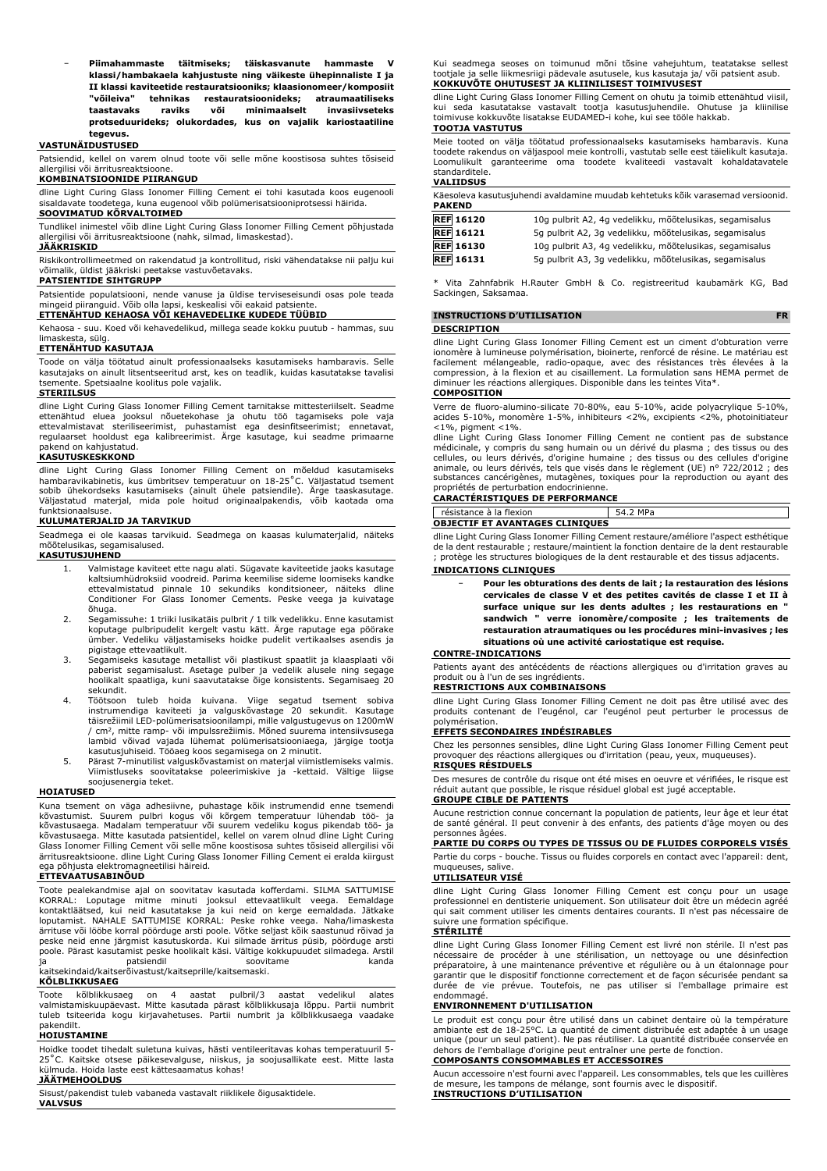**Piimahammaste täitmiseks: täiskasvanute hammaste klassi/hambakaela kahjustuste ning väikeste ühepinnaliste I ja II klassi kaviteetide restauratsiooniks; klaasionomeer/komposiit "võileiva" tehnikas restauratsioonideks; atraumaatiliseks taastavaks raviks või minimaalselt invasiivseteks protseduurideks; olukordades, kus on vajalik kariostaatiline tegevus.**

#### **VASTUNÄIDUSTUSED**

Patsiendid, kellel on varem olnud toote või selle mõne koostisosa suhtes tõsiseid allergilisi või ärritusreaktsioone.

#### **KOMBINATSIOONIDE PIIRANGUD**

dline Light Curing Glass Ionomer Filling Cement ei tohi kasutada koos eugenooli sisaldavate toodetega, kuna eugenool võib polümerisatsiooniprotsessi häirida. **SOOVIMATUD KÕRVALTOIMED**

Tundlikel inimestel võib dline Light Curing Glass Ionomer Filling Cement põhjustada allergilisi või ärritusreaktsioone (nahk, silmad, limaskestad).

#### **JÄÄKRISKID**

Riskikontrollimeetmed on rakendatud ja kontrollitud, riski vähendatakse nii palju kui võimalik, üldist jääkriski peetakse vastuvõetavaks.

#### **PATSIENTIDE SIHTGRUPP**

Patsientide populatsiooni, nende vanuse ja üldise terviseseisundi osas pole teada mingeid piiranguid. Võib olla lapsi, keskealisi või eakaid patsient

## **ETTENÄHTUD KEHAOSA VÕI KEHAVEDELIKE KUDEDE TÜÜBID**

Kehaosa - suu. Koed või kehavedelikud, millega seade kokku puutub - hammas, suu

# limaskesta, sülg. **ETTENÄHTUD KASUTAJA**

Toode on välja töötatud ainult professionaalseks kasutamiseks hambaravis. Selle kasutajaks on ainult litsentseeritud arst, kes on teadlik, kuidas kasutatakse tavalisi tsemente. Spetsiaalne koolitus pole vajalik.

#### **STERIILSUS**

dline Light Curing Glass Ionomer Filling Cement tarnitakse mittesteriilselt. Seadme ettenähtud eluea jooksul nõuetekohase ja ohutu töö tagamiseks pole vaja ettevalmistavat steriliseerimist, puhastamist ega desinfitseerimist; ennetavat, regulaarset hooldust ega kalibreerimist. Ärge kasutage, kui seadme primaarne

# pakend on kahjustatud. **KASUTUSKESKKOND**

dline Light Curing Glass Ionomer Filling Cement on mõeldud kasutamiseks hambaravikabinetis, kus ümbritsev temperatuur on 18-25˚C. Väljastatud tsement sobib ühekordseks kasutamiseks (ainult ühele patsiendile). Ärge taaskasutage. Väljastatud materjal, mida pole hoitud originaalpakendis, võib kaotada oma funktsionaalsuse.

#### **KULUMATERJALID JA TARVIKUD**

Seadmega ei ole kaasas tarvikuid. Seadmega on kaasas kulumaterjalid, näiteks mõõtelusikas, segamisalused.

#### **KASUTUSJUHEND**

- 1. Valmistage kaviteet ette nagu alati. Sügavate kaviteetide jaoks kasutage kaltsiumhüdroksiid voodreid. Parima keemilise sideme loomiseks kandke ettevalmistatud pinnale 10 sekundiks konditsioneer, näiteks dline Conditioner For Glass Ionomer Cements. Peske veega ja kuivatage õhuga.
- 2. Segamissuhe: 1 triiki lusikatäis pulbrit / 1 tilk vedelikku. Enne kasutamist koputage pulbripudelit kergelt vastu kätt. Ärge raputage ega pöörake ümber. Vedeliku väljastamiseks hoidke pudelit vertikaalses asendis ja
- pigistage ettevaatlikult. 3. Segamiseks kasutage metallist või plastikust spaatlit ja klaasplaati või paberist segamisalust. Asetage pulber ja vedelik alusele ning segage hoolikalt spaatliga, kuni saavutatakse õige konsistents. Segamisaeg 20 sekundit.
- 4. Töötsoon tuleb hoida kuivana. Viige segatud tsement sobiva instrumendiga kaviteeti ja valguskõvastage 20 sekundit. Kasutage täisrežiimil LED-polümerisatsioonilampi, mille valgustugevus on 1200mW<br>/ cm², mitte ramp- või impulssrežiimis. Mõned suurema intensiivsusega lambid võivad vajada lühemat polümerisatsiooniaega, järgige tootja
- kasutusjuhiseid. Tööaeg koos segamisega on 2 minutit. 5. Pärast 7-minutilist valguskõvastamist on materjal viimistlemiseks valmis. Viimistluseks soovitatakse poleerimiskive ja -kettaid. Vältige liigse soojusenergia teket.

#### **HOIATUSED**

Kuna tsement on väga adhesiivne, puhastage kõik instrumendid enne tsemendi kõvastumist. Suurem pulbri kogus või kõrgem temperatuur lühendab töö- ja kõvastusaega. Madalam temperatuur või suurem vedeliku kogus pikendab töö- ja kõvastusaega. Mitte kasutada patsientidel, kellel on varem olnud dline Light Curing Glass Ionomer Filling Cement või selle mõne koostisosa suhtes tõsiseid allergilisi või ärritusreaktsioone. dline Light Curing Glass Ionomer Filling Cement ei eralda kiirgust ega põhjusta elektromagneetilisi häireid.

#### **ETTEVAATUSABINÕUD**

Toote pealekandmise ajal on soovitatav kasutada kofferdami. SILMA SATTUMISE KORRAL: Loputage mitme minuti jooksul ettevaatlikult veega. Eemaldage kontaktläätsed, kui neid kasutatakse ja kui neid on kerge eemaldada. Jätkake loputamist. NAHALE SATTUMISE KORRAL: Peske rohke veega. Naha/limaskesta ärrituse või lööbe korral pöörduge arsti poole. Võtke seljast kõik saastunud rõivad ja peske neid enne järgmist kasutuskorda. Kui silmade ärritus püsib, pöörduge arsti poole. Pärast kasutamist peske hoolikalt käsi. Vältige kokkupuudet silmadega. Arstil ja patsiendil soovitame kanda kaitsekindaid/kaitserõivastust/kaitseprille/kaitsemaski.

#### **KÕLBLIKKUSAEG**

Toote kõlblikkusaeg on 4 aastat pulbril/3 aastat vedelikul alates valmistamiskuupäevast. Mitte kasutada pärast kõlblikkusaja lõppu. Partii numbrit tuleb tsiteerida kogu kirjavahetuses. Partii numbrit ja kõlblikkusaega vaadake

# pakendilt. **HOIUSTAMINE**

Hoidke toodet tihedalt suletuna kuivas, hästi ventileeritavas kohas temperatuuril 5- 25˚C. Kaitske otsese päikesevalguse, niiskus, ja soojusallikate eest. Mitte lasta külmuda. Hoida laste eest kättesaamatus kohas! **JÄÄTMEHOOLDUS**

Sisust/pakendist tuleb vabaneda vastavalt riiklikele õigusaktidele. **VALVSUS**

Kui seadmega seoses on toimunud mõni tõsine vahejuhtum, teatatakse sellest tootjale ja selle liikmesriigi pädevale asutusele, kus kasutaja ja/ või patsient asub. **KOKKUVÕTE OHUTUSEST JA KLIINILISEST TOIMIVUSEST**

dline Light Curing Glass Ionomer Filling Cement on ohutu ja toimib ettenähtud viisil, kui seda kasutatakse vastavalt tootja kasutusjuhendile. Ohutuse ja kliinilise toimivuse kokkuvõte lisatakse EUDAMED-i kohe, kui see tööle hakkab. **TOOTJA VASTUTUS**

## Meie tooted on välja töötatud professionaalseks kasutamiseks hambaravis. Kuna toodete rakendus on väljaspool meie kontrolli, vastutab selle eest täielikult kasutaja. Loomulikult garanteerime oma toodete kvaliteedi vastavalt kohaldatavatele standarditele.

#### **VALIIDSUS**

| <b>PAKEND</b>    | Käesoleva kasutusjuhendi avaldamine muudab kehtetuks kõik varasemad versioonid. |
|------------------|---------------------------------------------------------------------------------|
| <b>REF</b> 16120 | 10g pulbrit A2, 4g vedelikku, mõõtelusikas, segamisalus                         |
| <b>REF</b> 16121 | 5q pulbrit A2, 3q vedelikku, mõõtelusikas, segamisalus                          |
| <b>REF</b> 16130 | 10g pulbrit A3, 4g vedelikku, mõõtelusikas, segamisalus                         |

**REF 16131** 5g pulbrit A3, 3g vedelikku, mõõtelusikas, segamisalus

Vita Zahnfabrik H.Rauter GmbH & Co. registreeritud kaubamärk KG, Bad Sackingen, Saksamaa.

#### **INSTRUCTIONS D'UTILISATION**

#### **DESCRIPTION**

dline Light Curing Glass Ionomer Filling Cement est un ciment d'obturation verre ionomère à lumineuse polymérisation, bioinerte, renforcé de résine. Le matériau est facilement mélangeable, radio-opaque, avec des résistances très élevées à la compression, à la flexion et au cisaillement. La formulation sans HEMA permet de diminuer les réactions allergiques. Disponible dans les teintes Vita\*.

## **COMPOSITION**

Verre de fluoro-alumino-silicate 70-80%, eau 5-10%, acide polyacrylique 5-10%, acides 5-10%, monomère 1-5%, inhibiteurs <2%, excipients <2%, photoinitiateur

<1%, pigment <1%. dline Light Curing Glass Ionomer Filling Cement ne contient pas de substance médicinale, y compris du sang humain ou un dérivé du plasma ; des tissus ou des cellules, ou leurs dérivés, d'origine humaine ; des tissus ou des cellules d'origine animale, ou leurs dérivés, tels que visés dans le règlement (UE) n° 722/2012 ; des substances cancérigènes, mutagènes, toxiques pour la reproduction ou ayant des propriétés de perturbation endocrinienne.

#### **CARACTÉRISTIQUES DE PERFORMANCE**

résistance à la flexion 54.2 MPa

|                                        | --------- |
|----------------------------------------|-----------|
| <b>OBJECTIF ET AVANTAGES CLINIOUES</b> |           |
|                                        |           |

dline Light Curing Glass Ionomer Filling Cement restaure/améliore l'aspect esthétique de la dent restaurable ; restaure/maintient la fonction dentaire de la dent restaurable ; protège les structures biologiques de la dent restaurable et des tissus adjacents.

**INDICATIONS CLINIQUES**

− **Pour les obturations des dents de lait ; la restauration des lésions cervicales de classe V et des petites cavités de classe I et II à surface unique sur les dents adultes ; les restaurations en " sandwich " verre ionomère/composite ; les traitements de restauration atraumatiques ou les procédures mini-invasives ; les situations où une activité cariostatique est requise.**

#### **CONTRE-INDICATIONS**

Patients ayant des antécédents de réactions allergiques ou d'irritation graves au produit ou à l'un de ses ingrédients.

#### **RESTRICTIONS AUX COMBINAISONS**

dline Light Curing Glass Ionomer Filling Cement ne doit pas être utilisé avec des produits contenant de l'eugénol, car l'eugénol peut perturber le processus de polymérisation.

#### **EFFETS SECONDAIRES INDÉSIRABLES**

Chez les personnes sensibles, dline Light Curing Glass Ionomer Filling Cement peut provoquer des réactions allergiques ou d'irritation (peau, yeux, muqueuses). **RISQUES RÉSIDUELS**

Des mesures de contrôle du risque ont été mises en oeuvre et vérifiées, le risque est réduit autant que possible, le risque résiduel global est jugé acceptable.

# **GROUPE CIBLE DE PATIENTS**

Aucune restriction connue concernant la population de patients, leur âge et leur état de santé général. Il peut convenir à des enfants, des patients d'âge moyen ou des personnes âgées.

## **PARTIE DU CORPS OU TYPES DE TISSUS OU DE FLUIDES CORPORELS VISÉS**

Partie du corps - bouche. Tissus ou fluides corporels en contact avec l'appareil: dent, muqueuses, salive.

#### **UTILISATEUR VISÉ**

dline Light Curing Glass Ionomer Filling Cement est conçu pour un usage professionnel en dentisterie uniquement. Son utilisateur doit être un médecin agréé qui sait comment utiliser les ciments dentaires courants. Il n'est pas nécessaire de suivre une formation spécifique.

#### **STÉRILITÉ**

dline Light Curing Glass Ionomer Filling Cement est livré non stérile. Il n'est pas nécessaire de procéder à une stérilisation, un nettoyage ou une désinfection préparatoire, à une maintenance préventive et régulière ou à un étalonnage pour garantir que le dispositif fonctionne correctement et de façon sécurisée pendant sa durée de vie prévue. Toutefois, ne pas utiliser si l'emballage primaire est endommagé.

#### **ENVIRONNEMENT D'UTILISATION**

Le produit est conçu pour être utilisé dans un cabinet dentaire où la température ambiante est de 18-25°C. La quantité de ciment distribuée est adaptée à un usage unique (pour un seul patient). Ne pas réutiliser. La quantité distribuée conservée en dehors de l'emballage d'origine peut entraîner une perte de fonction. **COMPOSANTS CONSOMMABLES ET ACCESSOIRES**

Aucun accessoire n'est fourni avec l'appareil. Les consommables, tels que les cuillères de mesure, les tampons de mélange, sont fournis avec le dispositif. **INSTRUCTIONS D'UTILISATION**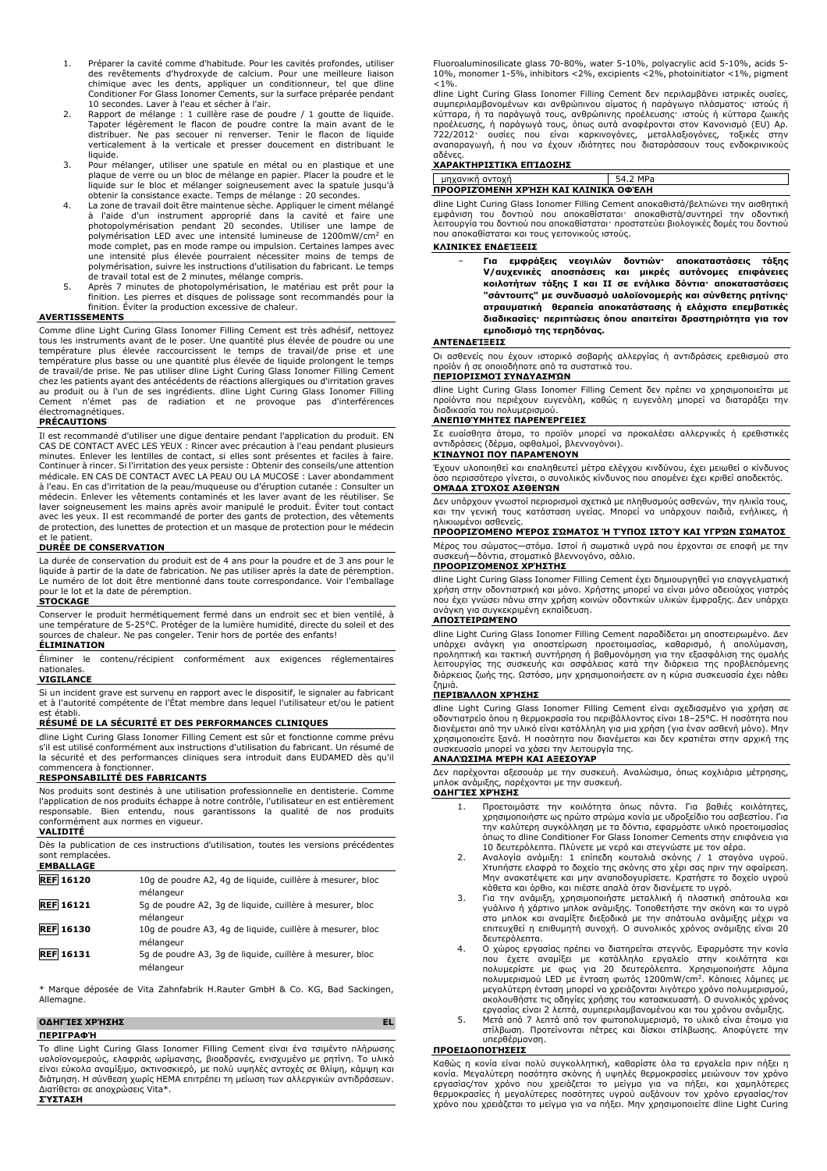- 1. Préparer la cavité comme d'habitude. Pour les cavités profondes, utiliser des revêtements d'hydroxyde de calcium. Pour une meilleure liaison chimique avec les dents, appliquer un conditionneur, tel que dline Conditioner For Glass Ionomer Cements, sur la surface préparée pendant 10 secondes. Laver à l'eau et sécher à l'air.
- 2. Rapport de mélange : 1 cuillère rase de poudre / 1 goutte de liquide. Tapoter légèrement le flacon de poudre contre la main avant de le distribuer. Ne pas secouer ni renverser. Tenir le flacon de liquide verticalement à la verticale et presser doucement en distribuant le
- liquide. 3. Pour mélanger, utiliser une spatule en métal ou en plastique et une plaque de verre ou un bloc de mélange en papier. Placer la poudre et le liquide sur le bloc et mélanger soigneusement avec la spatule jusqu'à obtenir la consistance exacte. Temps de mélange : 20 secondes.
- 4. La zone de travail doit être maintenue sèche. Appliquer le ciment mélangé à l'aide d'un instrument approprié dans la cavité et faire une photopolymérisation pendant 20 secondes. Utiliser une lampe de polymérisation LED avec une intensité lumineuse de 1200mW/cm<sup>2</sup> en mode complet, pas en mode rampe ou impulsion. Certaines lampes avec une intensité plus élevée pourraient nécessiter moins de temps de polymérisation, suivre les instructions d'utilisation du fabricant. Le temps de travail total est de 2 minutes, mélange compris.
- 5. Après 7 minutes de photopolymérisation, le matériau est prêt pour la finition. Les pierres et disques de polissage sont recommandés pour la finition. Éviter la production excessive de chaleur.

#### **AVERTISSEMENTS**

Comme dline Light Curing Glass Ionomer Filling Cement est très adhésif, nettoyez tous les instruments avant de le poser. Une quantité plus élevée de poudre ou une<br>température plus élevée raccourcissent le temps de travail/de prise et une<br>température plus basse ou une quantité plus élevée de liquide pro chez les patients ayant des antécédents de réactions allergiques ou d'irritation graves au produit ou à l'un de ses ingrédients. dline Light Curing Glass Ionomer Filling Cement n'émet pas de radiation et ne provoque pas d'interférences électromagnétiques.

#### **PRÉCAUTIONS**

Il est recommandé d'utiliser une digue dentaire pendant l'application du produit. EN<br>CAS DE CONTACT AVEC LES YEUX : Rincer avec précaution à l'eau pendant plusieurs<br>minutes. Enlever les lentilles de contact, si elles sont médicale. EN CAS DE CONTACT AVEC LA PEAU OU LA MUCOSE : Laver abondamment à l'eau. En cas d'irritation de la peau/muqueuse ou d'éruption cutanée : Consulter un médecin. Enlever les vêtements contaminés et les laver avant de les réutiliser. Se laver soigneusement les mains après avoir manipulé le produit. Éviter tout contact avec les yeux. Il est recommandé de porter des gants de protection, des vêtements de protection, des lunettes de protection et un masque de protection pour le médecin et le patient.

#### **DURÉE DE CONSERVATION**

La durée de conservation du produit est de 4 ans pour la poudre et de 3 ans pour le liquide à partir de la date de fabrication. Ne pas utiliser après la date de péremption. Le numéro de lot doit être mentionné dans toute correspondance. Voir l'emballage pour le lot et la date de péremption.

#### **STOCKAGE**

Conserver le produit hermétiquement fermé dans un endroit sec et bien ventilé, à<br>une température de 5-25ºC. Protéger de la lumière humidité, directe du soleil et des<br>sources de chaleur. Ne pas congeler. Tenir hors de porté **ÉLIMINATION**

Éliminer le contenu/récipient conformément aux exigences réglementaires nationales.

#### **VIGILANCE**

Si un incident grave est survenu en rapport avec le dispositif, le signaler au fabricant et à l'autorité compétente de l'État membre dans lequel l'utilisateur et/ou le patient est établi.

#### **RÉSUMÉ DE LA SÉCURITÉ ET DES PERFORMANCES CLINIQUES**

dline Light Curing Glass Ionomer Filling Cement est sûr et fonctionne comme prévu s'il est utilisé conformément aux instructions d'utilisation du fabricant. Un résumé de la sécurité et des performances cliniques sera introduit dans EUDAMED dès qu'il commencera à fonctionner.

#### **RESPONSABILITÉ DES FABRICANTS**

Nos produits sont destinés à une utilisation professionnelle en dentisterie. Comme<br>l'application de nos produits échappe à notre contrôle, l'utilisateur en est entièrement<br>responsable. Bien entendu, nous garantissons conformément aux normes en vigueur.

#### **VALIDITÉ**

Dès la publication de ces instructions d'utilisation, toutes les versions précédentes sont remplacées. **EMBALLAGE**

| <b>REF 16120</b> | 10q de poudre A2, 4q de liquide, cuillère à mesurer, bloc<br>mélangeur |
|------------------|------------------------------------------------------------------------|
| <b>REF</b> 16121 | 5g de poudre A2, 3g de liquide, cuillère à mesurer, bloc<br>mélangeur  |
| <b>REF</b> 16130 | 10g de poudre A3, 4g de liquide, cuillère à mesurer, bloc<br>mélangeur |
| <b>REF 16131</b> | 5g de poudre A3, 3g de liquide, cuillère à mesurer, bloc<br>mélangeur  |

\* Marque déposée de Vita Zahnfabrik H.Rauter GmbH & Co. KG, Bad Sackingen, Allemagne.

#### **ΟΔΗΓΊΕΣ ΧΡΉΣΗΣ EL**

**ΠΕΡΙΓΡΑΦΉ**

Το dline Light Curing Glass Ionomer Filling Cement είναι ένα τσιμέντο πλήρωσης υαλοϊονομερούς, ελαφριάς ωρίμανσης, βιοαδρανές, ενισχυμένο με ρητίνη. Το υλικό είναι εύκολα αναμίξιμο, ακτινοσκιερό, με πολύ υψηλές αντοχές σε θλίψη, κάμψη και διάτμηση. Η σύνθεση χωρίς HEMA επιτρέπει τη μείωση των αλλεργικών αντιδράσεων. Διατίθεται σε αποχρώσεις Vita\*. **ΣΎΣΤΑΣΗ**

Fluoroaluminosilicate glass 70-80%, water 5-10%, polyacrylic acid 5-10%, acids 5- 10%, monomer 1-5%, inhibitors <2%, excipients <2%, photoinitiator <1%, pigment  $<10$ 

dline Light Curing Glass Ionomer Filling Cement δεν περιλαμβάνει ιατρικές ουσίες, συμπεριλαμβανομένων και ανθρώπινου αίματος ή παράγωγο πλάσματος· ιστούς ή κύτταρα, ή τα παράγωγά τους, ανθρώπινης προέλευσης· ιστούς ή κύτταρα ζωικής προέλευσης, ή παράγωγά τους, όπως αυτά αναφέρονται στον Κανονισμό (EU) Αρ. 722/2012· ουσίες που είναι καρκινογόνες, μεταλλαξιογόνες, τοξικές στην αναπαραγωγή, ή που να έχουν ιδιότητες που διαταράσσουν τους ενδοκρινικούς

# αδένες. **ΧΑΡΑΚΤΗΡΙΣΤΙΚΆ ΕΠΊΔΟΣΗΣ**

| unxavıkn avtoxn                      | ົາ MPa<br>54.2 |  |  |  |  |  |  |  |  |
|--------------------------------------|----------------|--|--|--|--|--|--|--|--|
| ΠΡΟΟΡΙΖΌΜΕΝΗ ΧΡΉΣΗ ΚΑΙ ΚΛΙΝΙΚΆ ΟΦΈΛΗ |                |  |  |  |  |  |  |  |  |

dline Light Curing Glass Ionomer Filling Cement αποκαθιστά/βελτιώνει την αισθητική εμφάνιση του δοντιού που αποκαθίσταται· αποκαθιστά/συντηρεί την οδοντική λειτουργία του δοντιού που αποκαθίσταται· προστατεύει βιολογικές δομές του δοντιού που αποκαθίσταται και τους γειτονικούς ιστούς.

#### **ΚΛΙΝΙΚΈΣ ΕΝΔΕΊΞΕΙΣ**

− **Για εμφράξεις νεογιλών δοντιών· αποκαταστάσεις τάξης V/αυχενικές αποσπάσεις και μικρές αυτόνομες επιφάνειες κοιλοτήτων τάξης I και II σε ενήλικα δόντια· αποκαταστάσεις "σάντουιτς" με συνδυασμό υαλοϊονομερής και σύνθετης ρητίνης· ατραυματική θεραπεία αποκατάστασης ή ελάχιστα επεμβατικές διαδικασίες· περιπτώσεις όπου απαιτείται δραστηριότητα για τον εμποδισμό της τερηδόνας.**

#### **ΑΝΤΕΝΔΕΊΞΕΙΣ**

Οι ασθενείς που έχουν ιστορικό σοβαρής αλλεργίας ή αντιδράσεις ερεθισμού στο προϊόν ή σε οποιοδήποτε από τα συστατικά του. **ΠΕΡΙΟΡΙΣΜΟΊ ΣΥΝΔΥΑΣΜΏΝ**

dline Light Curing Glass Ionomer Filling Cement δεν πρέπει να χρησιμοποιείται με προϊόντα που περιέχουν ευγενόλη, καθώς η ευγενόλη μπορεί να διαταράξει την διαδικασία του πολυμερισμού.

#### **ΑΝΕΠΙΘΎΜΗΤΕΣ ΠΑΡΕΝΈΡΓΕΙΕΣ**

Σε ευαίσθητα άτομα, το προϊόν μπορεί να προκαλέσει αλλεργικές ή ερεθιστικές αντιδράσεις (δέρμα, οφθαλμοί, βλεννογόνοι).

#### **ΚΊΝΔΥΝΟΙ ΠΟΥ ΠΑΡΑΜΈΝΟΥΝ**

Έχουν υλοποιηθεί και επαληθευτεί μέτρα ελέγχου κινδύνου, έχει μειωθεί ο κίνδυνος όσο περισσότερο γίνεται, ο συνολικός κίνδυνος που απομένει έχει κριθεί αποδεκτός. **ΟΜΆΔΑ ΣΤΌΧΟΣ ΑΣΘΕΝΏΝ**

Δεν υπάρχουν γνωστοί περιορισμοί σχετικά με πληθυσμούς ασθενών, την ηλικία τους, και την γενική τους κατάσταση υγείας. Μπορεί να υπάρχουν παιδιά, ενήλικες, ή ηλικιωμένοι ασθενείς.

## **ΠΡΟΟΡΙΖΌΜΕΝΟ ΜΈΡΟΣ ΣΏΜΑΤΟΣ Ή ΤΎΠΟΣ ΙΣΤΟΎ ΚΑΙ ΥΓΡΏΝ ΣΏΜΑΤΟΣ**

Μέρος του σώματος—στόμα. Ιστοί ή σωματικά υγρά που έρχονται σε επαφή με την συσκευή—δόντια, στοματικό βλεννογόνο, σάλιο.

#### **ΠΡΟΟΡΙΖΌΜΕΝΟΣ ΧΡΉΣΤΗΣ**

dline Light Curing Glass Ionomer Filling Cement έχει δημιουργηθεί για επαγγελματική χρήση στην οδοντιατρική και μόνο. Χρήστης μπορεί να είναι μόνο αδειούχος γιατρός που έχει γνώσει πάνω στην χρήση κοινών οδοντικών υλικών έμφραξης. Δεν υπάρχει ανάγκη για συγκεκριμένη εκπαίδευση.

#### **ΑΠΟΣΤΕΙΡΩΜΈΝΟ**

dline Light Curing Glass Ionomer Filling Cement παραδίδεται μη αποστειρωμένο. Δεν υπάρχει ανάγκη για αποστείρωση προετοιμασίας, καθαρισμό, ή απολύμανση,<br>προληπτική και τακτική συντήρηση ή βαθμονόμηση για την εξασφάλιση της ομαλής<br>λειτουργίας της συσκευής και ασφάλειας κατά την διάρκεια της προβλεπόμενη διάρκειας ζωής της. Ωστόσο, μην χρησιμοποιήσετε αν η κύρια συσκευασία έχει πάθει ζημιά.

#### **ΠΕΡΙΒΆΛΛΟΝ ΧΡΉΣΗΣ**

dline Light Curing Glass Ionomer Filling Cement είναι σχεδιασμένο για χρήση σε οδοντιατρείο όπου η θερμοκρασία του περιβάλλοντος είναι 18–25°C. Η ποσότητα που διανέμεται από την υλικό είναι κατάλληλη για μια χρήση (για έναν ασθενή μόνο). Μην χρησιμοποιείτε ξανά. Η ποσότητα που διανέμεται και δεν κρατιέται στην αρχική της συσκευασία μπορεί να χάσει την λειτουργία της.

#### **ΑΝΑΛΏΣΙΜΑ ΜΈΡΗ ΚΑΙ ΑΞΕΣΟΥΆΡ**

Δεν παρέχονται αξεσουάρ με την συσκευή. Αναλώσιμα, όπως κοχλιάρια μέτρησης, μπλοκ ανάμιξης, παρέχονται με την συσκευή. **ΟΔΗΓΊΕΣ ΧΡΉΣΗΣ**

- 1. Προετοιμάστε την κοιλότητα όπως πάντα. Για βαθιές κοιλότητες, χρησιμοποιήστε ως πρώτο στρώμα κονία με υδροξείδιο του ασβεστίου. Για την καλύτερη συγκόλληση με τα δόντια, εφαρμόστε υλικό προετοιμασίας όπως το dline Conditioner For Glass Ionomer Cements στην επιφάνεια για 10 δευτερόλεπτα. Πλύνετε με νερό και στεγνώστε με τον αέρα.
- 2. Αναλογία ανάμιξη: 1 επίπεδη κουταλιά σκόνης / 1 σταγόνα υγρού.<br>Χτυπήστε ελαφρά το δοχείο της σκόνης στο χέρι σας πριν την αφαίρεση.<br>Μην ανακατέψετε και μην αναποδογυρίσετε. Κρατήστε το δοχείο υγρού<br>κάθετα και όρθιο, κα
- 3. Για την ανάμιξη, χρησιμοποιήστε μεταλλική ή πλαστική σπάτουλα και γυάλινο ή χάρτινο μπλοκ ανάμιξης. Τοποθετήστε την σκόνη και το υγρό στο μπλοκ και αναμίξτε διεξοδικά με την σπάτουλα ανάμιξης μέχρι να επιτευχθεί η επιθυμητή συνοχή. Ο συνολικός χρόνος ανάμιξης είναι 20 δευτερόλεπτα.
- 4. Ο χώρος εργασίας πρέπει να διατηρείται στεγνός. Εφαρμόστε την κονία<br>που έχετε αναμίξει με κατάλληλο εργαλείο στην κοιλότητα και<br>πολυμερίστε με φως για 20 δευτερόλεπτα. Χρησιμοποιήστε λάμπα<br>πολυμερισμού LED με ένταση φω μεγαλύτερη ένταση μπορεί να χρειάζονται λιγότερο χρόνο πολυμερισμού, ακολουθήστε τις οδηγίες χρήσης του κατασκευαστή. Ο συνολικός χρόνος
- εργασίας είναι 2 λεπτά, συμπεριλαμβανομένου και του χρόνου ανάμιξης. 5. Μετά από 7 λεπτά από τον φωτοπολυμερισμό, το υλικό είναι έτοιμο για στίλβωση. Προτείνονται πέτρες και δίσκοι στίλβωσης. Αποφύγετε την υπερθέρμανση.

#### **ΠΡΟΕΙΔΟΠΟΙΉΣΕΙΣ**

Καθώς η κονία είναι πολύ συγκολλητική, καθαρίστε όλα τα εργαλεία πριν πήξει η<br>κονία. Μεγαλύτερη ποσότητα σκόνης ή υψηλές θερμοκρασίες μειώνουν τον χρόνο<br>εργασίας/τον χρόνο που χρειάζεται το μείγμα για να πήξει, και χαμηλό χρόνο που χρειάζεται το μείγμα για να πήξει. Μην χρησιμοποιείτε dline Light Curing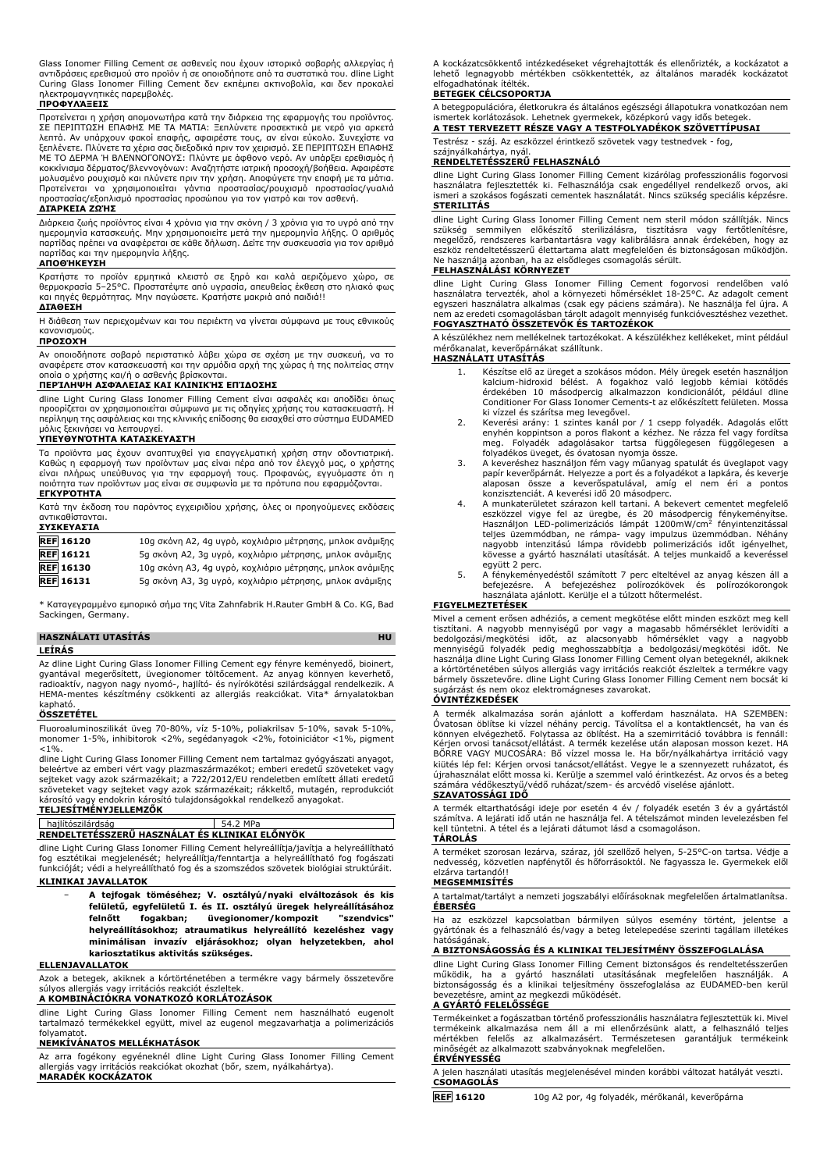Glass Ionomer Filling Cement σε ασθενείς που έχουν ιστορικό σοβαρής αλλεργίας ή αντιδράσεις ερεθισμού στο προϊόν ή σε οποιοδήποτε από τα συστατικά του. dline Light Curing Glass Ionomer Filling Cement δεν εκπέμπει ακτινοβολία, και δεν προκαλεί ηλεκτρομαγνητικές παρεμβολές.

#### **ΠΡΟΦΥΛΆΞΕΙΣ**

Προτείνεται η χρήση απομονωτήρα κατά την διάρκεια της εφαρμογής του προϊόντος. ΣΕ ΠΕΡΙΠΤΩΣΗ ΕΠΑΦΗΣ ΜΕ ΤΑ ΜΑΤΙΑ: Ξεπλύνετε προσεκτικά με νερό για αρκετά λεπτά. Αν υπάρχουν φακοί επαφής, αφαιρέστε τους, αν είναι εύκολο. Συνεχίστε να ξεπλένετε. Πλύνετε τα χέρια σας διεξοδικά πριν τον χειρισμό. ΣΕ ΠΕΡΙΠΤΩΣΗ ΕΠΑΦΗΣ ΜΕ ΤΟ ΔΕΡΜΑ Ή ΒΛΕΝΝΟΓΟΝΟΥΣ: Πλύντε με άφθονο νερό. Αν υπάρξει ερεθισμός ή κοκκίνισμα δέρματος/βλεννογόνων: Αναζητήστε ιατρική προσοχή/βοήθεια. Αφαιρέστε μολυσμένο ρουχισμό και πλύνετε πριν την χρήση. Αποφύγετε την επαφή με τα μάτια.<br>Προτείνεται να χρησιμοποιείται γάντια προστασίας/ρουχισμό προστασίας/γυαλιά<br>προστασίας/εξοπλισμό προστασίας προσώπου για τον γιατρό κα

#### **ΔΙΆΡΚΕΙΑ ΖΩΉΣ**

Διάρκεια ζωής προϊόντος είναι 4 χρόνια για την σκόνη / 3 χρόνια για το υγρό από την ημερομηνία κατασκευής. Μην χρησιμοποιείτε μετά την ημερομηνία λήξης. Ο αριθμός παρτίδας πρέπει να αναφέρεται σε κάθε δήλωση. Δείτε την συσκευασία για τον αριθμό παρτίδας και την ημερομηνία λήξης.

#### **ΑΠΟΘΉΚΕΥΣΗ**

Κρατήστε το προϊόν ερμητικά κλειστό σε ξηρό και καλά αεριζόμενο χώρο, σε<br>θερμοκρασία 5–25°C. Προστατέψτε από υγρασία, απευθείας έκθεση στο ηλιακό φως<br>και πηγές θερμότητας. Μην παγώσετε. Κρατήστε μακριά από παιδιά!!

#### **ΔΙΆΘΕΣΗ**

Η διάθεση των περιεχομένων και του περιέκτη να γίνεται σύμφωνα με τους εθνικούς κανονισμούς.

#### **ΠΡΟΣΟΧΉ**

Αν οποιοδήποτε σοβαρό περιστατικό λάβει χώρα σε σχέση με την συσκευή, να το αναφέρετε στον κατασκευαστή και την αρμόδια αρχή της χώρας ή της πολιτείας στην οποία ο χρήστης και/ή ο ασθενής βρίσκονται.

#### **ΠΕΡΊΛΗΨΗ ΑΣΦΆΛΕΙΑΣ ΚΑΙ ΚΛΙΝΙΚΉΣ ΕΠΊΔΟΣΗΣ**

dline Light Curing Glass Ionomer Filling Cement είναι ασφαλές και αποδίδει όπως προορίζεται αν χρησιμοποιείται σύμφωνα με τις οδηγίες χρήσης του κατασκευαστή. Η περίληψη της ασφάλειας και της κλινικής επίδοσης θα εισαχθεί στο σύστημα EUDAMED μόλις ξεκινήσει να λειτουργεί.

#### **ΥΠΕΥΘΥΝΌΤΗΤΑ ΚΑΤΑΣΚΕΥΑΣΤΉ**

Τα προϊόντα μας έχουν αναπτυχθεί για επαγγελματική χρήση στην οδοντιατρική. Καθώς η εφαρμογή των προϊόντων μας είναι πέρα από τον έλεγχό μας, ο χρήστης είναι πλήρως υπεύθυνος για την εφαρμογή τους. Προφανώς, εγγυόμαστε ότι η ποιότητα των προϊόντων μας είναι σε συμφωνία με τα πρότυπα που εφαρμόζονται. **ΕΓΚΥΡΌΤΗΤΑ**

Κατά την έκδοση του παρόντος εγχειριδίου χρήσης, όλες οι προηγούμενες εκδόσεις αντικαθίστανται. **ΣΥΣΚΕΥΑΣΊΑ**

| <b>REF 16120</b> | 10g σκόνη Α2, 4g υγρό, κοχλιάριο μέτρησης, μπλοκ ανάμιξης |
|------------------|-----------------------------------------------------------|
| <b>REF</b> 16121 | 5g σκόνη A2, 3g υγρό, κοχλιάριο μέτρησης, μπλοκ ανάμιξης  |
| <b>REF</b> 16130 | 10g σκόνη Α3, 4g υγρό, κοχλιάριο μέτρησης, μπλοκ ανάμιξης |
| <b>REF</b> 16131 | 5g σκόνη Α3, 3g υγρό, κοχλιάριο μέτρησης, μπλοκ ανάμιξης  |

\* Καταγεγραμμένο εμπορικό σήμα της Vita Zahnfabrik H.Rauter GmbH & Co. KG, Bad Sackingen, Germany.

#### **HASZNÁLATI UTASÍTÁS HU LEÍRÁS**

Az dline Light Curing Glass Ionomer Filling Cement egy fényre keményedő, bioinert, gyantával megerősített, üvegionomer töltőcement. Az anyag könnyen keverhető, radioaktív, nagyon nagy nyomó-, hajlító- és nyírókötési szilárdsággal rendelkezik. A HEMA-mentes készítmény csökkenti az allergiás reakciókat. Vita\* árnyalatokban kapható.

#### **ÖSSZETÉTEL**

Fluoroaluminoszilikát üveg 70-80%, víz 5-10%, poliakrilsav 5-10%, savak 5-10%, monomer 1-5%, inhibitorok <2%, segédanyagok <2%, fotoiniciátor <1%, pigment  $< 1\%$ 

dline Light Curing Glass Ionomer Filling Cement nem tartalmaz gyógyászati anyagot, beleértve az emberi vért vagy plazmaszármazékot; emberi eredetű szöveteket vagy sejteket vagy azok származékait; a 722/2012/EU rendeletben említett állati eredetű szöveteket vagy sejteket vagy azok származékait; rákkeltő, mutagén, reprodukciót károsító vagy endokrin károsító tulajdonságokkal rendelkező anyagokat. **TELJESÍTMÉNYJELLEMZŐK**

#### hajlítószilárdság 54.2 MPa **RENDELTETÉSSZERŰ HASZNÁLAT ÉS KLINIKAI ELŐNYÖK**

dline Light Curing Glass Ionomer Filling Cement helyreállítja/javítja a helyreállítható fog esztétikai megjelenését; helyreállítja/fenntartja a helyreállítható fog fogászati funkcióját; védi a helyreállítható fog és a szomszédos szövetek biológiai struktúráit. **KLINIKAI JAVALLATOK**

− **A tejfogak töméséhez; V. osztályú/nyaki elváltozások és kis felületű, egyfelületű I. és II. osztályú üregek helyreállításához felnőtt fogakban; üvegionomer/kompozit "szendvics" helyreállításokhoz; atraumatikus helyreállító kezeléshez vagy minimálisan invazív eljárásokhoz; olyan helyzetekben, ahol kariosztatikus aktivitás szükséges.**

#### **ELLENJAVALLATOK**

Azok a betegek, akiknek a kórtörténetében a termékre vagy bármely összetevőre súlyos allergiás vagy irritációs reakciót észleltek.

#### **A KOMBINÁCIÓKRA VONATKOZÓ KORLÁTOZÁSOK**

dline Light Curing Glass Ionomer Filling Cement nem használható eugenolt tartalmazó termékekkel együtt, mivel az eugenol megzavarhatja a polimerizációs folyamatot. **NEMKÍVÁNATOS MELLÉKHATÁSOK**

Az arra fogékony egyéneknél dline Light Curing Glass Ionomer Filling Cement allergiás vagy irritációs reakciókat okozhat (bőr, szem, nyálkahártya). **MARADÉK KOCKÁZATOK**

A kockázatcsökkentő intézkedéseket végrehajtották és ellenőrizték, a kockázatot a lehető legnagyobb mértékben csökkentették, az általános maradék kockázatot elfogadhatónak ítélték.

#### **BETEGEK CÉLCSOPORTJA**

A betegpopulációra, életkorukra és általános egészségi állapotukra vonatkozóan nem ismertek korlátozások. Lehetnek gyermekek, középkorú vagy idős betegek.

**A TEST TERVEZETT RÉSZE VAGY A TESTFOLYADÉKOK SZÖVETTÍPUSAI**

Testrész - száj. Az eszközzel érintkező szövetek vagy testnedvek - fog,

# szájnyálkahártya, nyál. **RENDELTETÉSSZERŰ FELHASZNÁLÓ**

dline Light Curing Glass Ionomer Filling Cement kizárólag professzionális fogorvosi használatra fejlesztették ki. Felhasználója csak engedéllyel rendelkező orvos, aki ismeri a szokásos fogászati cementek használatát. Nincs szükség speciális képzésre. **STERILITÁS**

dline Light Curing Glass Ionomer Filling Cement nem steril módon szállítják. Nincs<br>szükség semmilyen előkészítő sterilizálásra, tisztításra vagy fertőtlenítésre,<br>megelőző, rendszeres karbantartásra vagy kalibrál Ne használja azonban, ha az elsődleges csomagolás sérült.

## **FELHASZNÁLÁSI KÖRNYEZET**

dline Light Curing Glass Ionomer Filling Cement fogorvosi rendelőben való használatra tervezték, ahol a környezeti hőmérséklet 18-25°C. Az adagolt cement egyszeri használatra alkalmas (csak egy páciens számára). Ne használja fel újra. A nem az eredeti csomagolásban tárolt adagolt mennyiség funkcióvesztéshez vezethet. **FOGYASZTHATÓ ÖSSZETEVŐK ÉS TARTOZÉKOK**

A készülékhez nem mellékelnek tartozékokat. A készülékhez kellékeket, mint például mérőkanalat, keverőpárnákat szállítunk.

## **HASZNÁLATI UTASÍTÁS**

- 1. Készítse elő az üreget a szokásos módon. Mély üregek esetén használjon kalcium-hidroxid bélést. A fogakhoz való legjobb kémiai kötődés érdekében 10 másodpercig alkalmazzon kondicionálót, például dline Conditioner For Glass Ionomer Cements-t az előkészített felületen. Mossa
- ki vízzel és szárítsa meg levegővel. 2. Keverési arány: 1 szintes kanál por / 1 csepp folyadék. Adagolás előtt enyhén koppintson a poros flakont a kézhez. Ne rázza fel vagy fordítsa meg. Folyadék adagolásakor tartsa függőlegesen függőlegesen a folyadékos üveget, és óvatosan nyomja össze.
- 3. A keveréshez használjon fém vagy műanyag spatulát és üveglapot vagy papír keverőpárnát. Helyezze a port és a folyadékot a lapkára, és keverje alaposan össze a keverőspatulával, amíg el nem éri a pontos konzisztenciát. A keverési idő 20 másodperc.
- 4. A munkaterületet szárazon kell tartani. A bekevert cementet megfelelő eszközzel vigye fel az üregbe, és 20 másodpercig fénykeményítse.<br>Használjon LED-polimerizációs lámpát 1200mW/cm<sup>2</sup> fényintenzitással teljes üzemmódban, ne rámpa- vagy impulzus üzemmódban. Néhány<br>nagyobb intenzitású lámpa rövidebb polimerizációs időt igényelhet,<br>kövesse a gyártó használati utasítását. A teljes munkaidő a keveréssel
- együtt 2 perc. 5. A fénykeményedéstől számított 7 perc elteltével az anyag készen áll a befejezésre. A befejezéshez polírozókövek és polírozókorongok használata ajánlott. Kerülje el a túlzott hőtermelést.

#### **FIGYELMEZTETÉSEK**

Mivel a cement erősen adhéziós, a cement megkötése előtt minden eszközt meg kell tisztitani. A nagyobb mennyiségű por vagy a magasabb hőmérséklet lerövidíti a<br>bedolgozási/megkötési - időt, - az alacsonyabb - hőmérséklet - vagy - - nagyobb<br>mennyiségű folyadék pedig meghosszabbítja - bedolgozási/megkötés a kórtörténetében súlyos allergiás vagy irritációs reakciót észleltek a termékre vagy bármely összetevőre. dline Light Curing Glass Ionomer Filling Cement nem bocsát ki sugárzást és nem okoz elektromágneses zavarokat. **ÓVINTÉZKEDÉSEK**

A termék alkalmazása során ajánlott a kofferdam használata. HA SZEMBEN:<br>Óvatosan öblítse ki vízzel néhány percig. Távolítsa el a kontaktlencsét, ha van és<br>könnyen elvégezhető. Folytassa az öblítést. Ha a szemirritáció tová Kérjen orvosi tanácsot/ellátást. A termék kezelése után alaposan mosson kezet. HA BŐRRE VAGY MUCOSÁRA: Bő vízzel mossa le. Ha bőr/nyálkahártya irritáció vagy kiütés lép fel: Kérjen orvosi tanácsot/ellátást. Vegye le a szennyezett ruházatot, és újrahasználat előtt mossa ki. Kerülje a szemmel való érintkezést. Az orvos és a beteg számára védőkesztyű/védő ruházat/szem- és arcvédő viselése ajánlott. **SZAVATOSSÁGI IDŐ**

# A termék eltarthatósági ideje por esetén 4 év / folyadék esetén 3 év a gyártástól

számítva. A lejárati idő után ne használja fel. A tételszámot minden levelezésben fel kell tüntetni. A tétel és a lejárati dátumot lásd a csomagoláson. **TÁROLÁS**

A terméket szorosan lezárva, száraz, jól szellőző helyen, 5-25°C-on tartsa. Védje a nedvesség, közvetlen napfénytől és hőforrásoktól. Ne fagyassza le. Gyermekek elől elzárva tartandó!!

#### **MEGSEMMISÍTÉS**

A tartalmat/tartályt a nemzeti jogszabályi előírásoknak megfelelően ártalmatlanítsa. **ÉBERSÉG**

Ha az eszközzel kapcsolatban bármilyen súlyos esemény történt, jelentse a gyártónak és a felhasználó és/vagy a beteg letelepedése szerinti tagállam illetékes hatóságának.

#### **A BIZTONSÁGOSSÁG ÉS A KLINIKAI TELJESÍTMÉNY ÖSSZEFOGLALÁSA**

dline Light Curing Glass Ionomer Filling Cement biztonságos és rendeltetésszerűen<br>működik, ha a gyártó használati utasításának megfelelően használják. A<br>biztonságosság és a klinikai teljesítmény összefoglalása bevezetésre, amint az megkezdi működését.

#### **A GYÁRTÓ FELELŐSSÉGE**

Termékeinket a fogászatban történő professzionális használatra fejlesztettük ki. Mivel termékeink alkalmazása nem áll a mi ellenőrzésünk alatt, a felhasználó teljes mértékben felelős az alkalmazásért. Természetesen garantáljuk termékeink minőségét az alkalmazott szabványoknak megfelelően.

#### **ÉRVÉNYESSÉG**

A jelen használati utasítás megjelenésével minden korábbi változat hatályát veszti. **CSOMAGOLÁS**

**REF 16120** 10g A2 por, 4g folyadék, mérőkanál, keverőpárna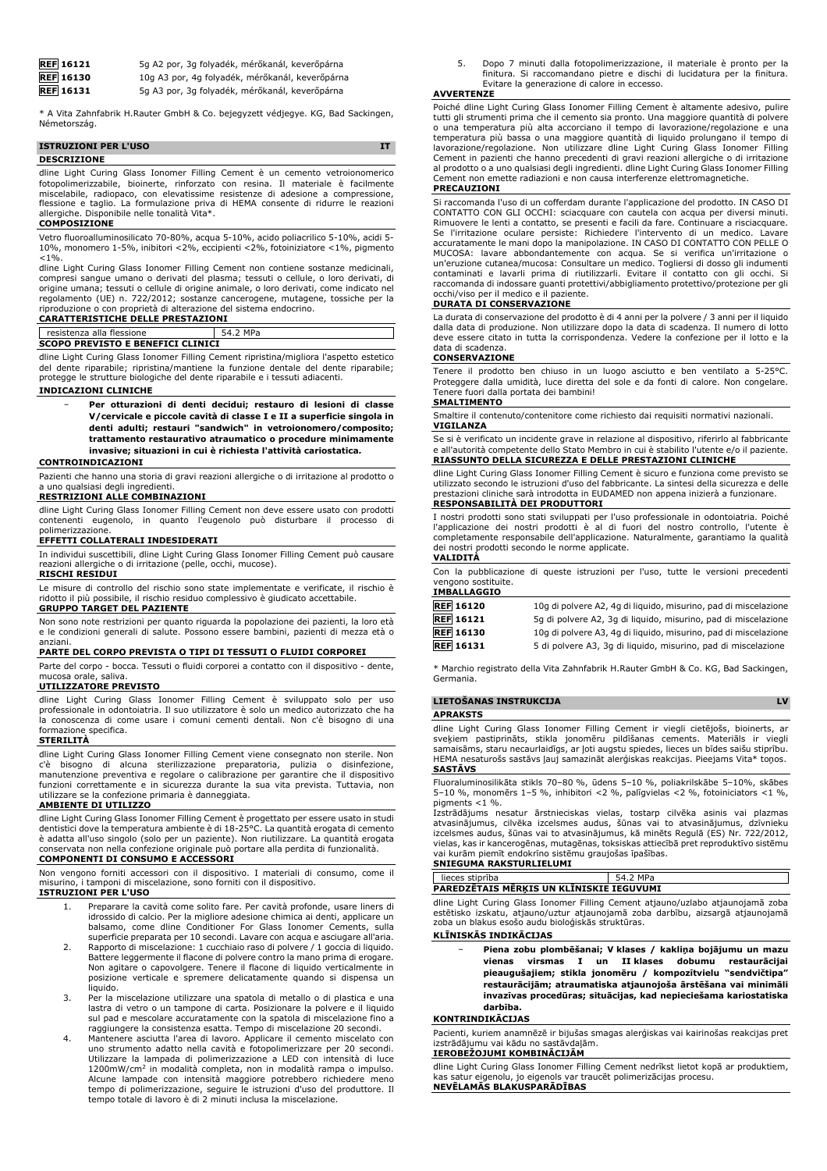| <b>REF</b> 16121 | 5q A2 por, 3g folyadék, mérőkanál, keverőpárna  |
|------------------|-------------------------------------------------|
| <b>REF</b> 16130 | 10g A3 por, 4g folyadék, mérőkanál, keverőpárna |
| <b>REF</b> 16131 | 5q A3 por, 3q folyadék, mérőkanál, keverőpárna  |

\* A Vita Zahnfabrik H.Rauter GmbH & Co. bejegyzett védjegye. KG, Bad Sackingen, Németország.

| <b>ISTRUZIONI PER L'USO</b> |  |
|-----------------------------|--|
| <b>DESCRIZIONE</b>          |  |

dline Light Curing Glass Ionomer Filling Cement è un cemento vetroionomerico fotopolimerizzabile, bioinerte, rinforzato con resina. Il materiale è facilmente miscelabile, radiopaco, con elevatissime resistenze di adesione a compressione, flessione e taglio. La formulazione priva di HEMA consente di ridurre le reazioni allergiche. Disponibile nelle tonalità Vita\*.

#### **COMPOSIZIONE**

Vetro fluoroalluminosilicato 70-80%, acqua 5-10%, acido poliacrilico 5-10%, acidi 5- 10%, monomero 1-5%, inibitori <2%, eccipienti <2%, fotoiniziatore <1%, pigmento  $< 1%$ 

dline Light Curing Glass Ionomer Filling Cement non contiene sostanze medicinali, compresi sangue umano o derivati del plasma; tessuti o cellule, o loro derivati, di origine umana; tessuti o cellule di origine animale, o loro derivati, come indicato nel<br>regolamento (UE) n. 722/2012; sostanze cancerogene, mutagene, tossiche per la<br>riproduzione o con proprietà di alterazione del sistema

**CARATTERISTICHE DELLE PRESTAZIONI**

#### resistenza alla flessione 54.2 MPa **SCOPO PREVISTO E BENEFICI CLINICI**

dline Light Curing Glass Ionomer Filling Cement ripristina/migliora l'aspetto estetico del dente riparabile; ripristina/mantiene la funzione dentale del dente riparabile; protegge le strutture biologiche del dente riparabile e i tessuti adiacenti.

#### **INDICAZIONI CLINICHE**

− **Per otturazioni di denti decidui; restauro di lesioni di classe V/cervicale e piccole cavità di classe I e II a superficie singola in denti adulti; restauri "sandwich" in vetroionomero/composito; trattamento restaurativo atraumatico o procedure minimamente invasive; situazioni in cui è richiesta l'attività cariostatica.**

#### **CONTROINDICAZIONI**

Pazienti che hanno una storia di gravi reazioni allergiche o di irritazione al prodotto o a uno qualsiasi degli ingredienti.

#### **RESTRIZIONI ALLE COMBINAZIONI**

dline Light Curing Glass Ionomer Filling Cement non deve essere usato con prodotti contenenti eugenolo, in quanto l'eugenolo può disturbare il processo di

# polimerizzazione. **EFFETTI COLLATERALI INDESIDERATI**

In individui suscettibili, dline Light Curing Glass Ionomer Filling Cement può causare reazioni allergiche o di irritazione (pelle, occhi, mucose). **RISCHI RESIDUI**

Le misure di controllo del rischio sono state implementate e verificate, il rischio è ridotto il più possibile, il rischio residuo complessivo è giudicato accettabile. **GRUPPO TARGET DEL PAZIENTE**

Non sono note restrizioni per quanto riguarda la popolazione dei pazienti, la loro età e le condizioni generali di salute. Possono essere bambini, pazienti di mezza età o anziani.

#### **PARTE DEL CORPO PREVISTA O TIPI DI TESSUTI O FLUIDI CORPOREI**

Parte del corpo - bocca. Tessuti o fluidi corporei a contatto con il dispositivo - dente, mucosa orale, saliva.

#### **UTILIZZATORE PREVISTO**

dline Light Curing Glass Ionomer Filling Cement è sviluppato solo per uso professionale in odontoiatria. Il suo utilizzatore è solo un medico autorizzato che ha la conoscenza di come usare i comuni cementi dentali. Non c'è bisogno di una formazione specifica.

#### **STERILITÀ**

dline Light Curing Glass Ionomer Filling Cement viene consegnato non sterile. Non c'è bisogno di alcuna sterilizzazione preparatoria, pulizia o disinfezione,<br>manutenzione-preventiva eregolare-o-calibrazione-per-garantire-che-il-dispositivo<br>funzioni-correttamente-e-in-sicurezza-durante-la-sua-vita-previs utilizzare se la confezione primaria è danneggiata.

#### **AMBIENTE DI UTILIZZO**

dline Light Curing Glass Ionomer Filling Cement è progettato per essere usato in studi dentistici dove la temperatura ambiente è di 18-25°C. La quantità erogata di cemento è adatta all'uso singolo (solo per un paziente). Non riutilizzare. La quantità erogata conservata non nella confezione originale può portare alla perdita di funzionalità. **COMPONENTI DI CONSUMO E ACCESSORI**

Non vengono forniti accessori con il dispositivo. I materiali di consumo, come il misurino, i tamponi di miscelazione, sono forniti con il dispositivo. **ISTRUZIONI PER L'USO**

- 1. Preparare la cavità come solito fare. Per cavità profonde, usare liners di idrossido di calcio. Per la migliore adesione chimica ai denti, applicare un balsamo, come dline Conditioner For Glass Ionomer Cements, sulla superficie preparata per 10 secondi. Lavare con acqua e asciugare all'aria.
- 2. Rapporto di miscelazione: 1 cucchiaio raso di polvere / 1 goccia di liquido. Battere leggermente il flacone di polvere contro la mano prima di erogare. Non agitare o capovolgere. Tenere il flacone di liquido verticalmente in posizione verticale e spremere delicatamente quando si dispensa un liquido.
- 3. Per la miscelazione utilizzare una spatola di metallo o di plastica e una lastra di vetro o un tampone di carta. Posizionare la polvere e il liquido sul pad e mescolare accuratamente con la spatola di miscelazione fino a raggiungere la consistenza esatta. Tempo di miscelazione 20 secondi.
- 4. Mantenere asciutta l'area di lavoro. Applicare il cemento miscelato con uno strumento adatto nella cavità e fotopolimerizzare per 20 secondi. Utilizzare la lampada di polimerizzazione a LED con intensità di luce 1200mW/cm<sup>2</sup> in modalità completa, non in modalità rampa o impulso. Alcune lampade con intensità maggiore potrebbero richiedere meno tempo di polimerizzazione, seguire le istruzioni d'uso del produttore. Il tempo totale di lavoro è di 2 minuti inclusa la miscelazione.

5. Dopo 7 minuti dalla fotopolimerizzazione, il materiale è pronto per la finitura. Si raccomandano pietre e dischi di lucidatura per la finitura. Evitare la generazione di calore in eccesso.

#### **AVVERTENZE**

Poiché dline Light Curing Glass Ionomer Filling Cement è altamente adesivo, pulire tutti gli strumenti prima che il cemento sia pronto. Una maggiore quantità di polvere o una temperatura più alta accorciano il tempo di lavorazione/regolazione e una temperatura più bassa o una maggiore quantità di liquido prolungano il tempo di lavorazione/regolazione. Non utilizzare dline Light Curing Glass Ionomer Filling Cement in pazienti che hanno precedenti di gravi reazioni allergiche o di irritazione al prodotto o a uno qualsiasi degli ingredienti. dline Light Curing Glass Ionomer Filling Cement non emette radiazioni e non causa interferenze elettromagnetiche. **PRECAUZIONI**

#### Si raccomanda l'uso di un cofferdam durante l'applicazione del prodotto. IN CASO DI CONTATTO CON GLI OCCHI: sciacquare con cautela con acqua per diversi minuti. Rimuovere le lenti a contatto, se presenti e facili da fare. Continuare a risciacquare. Se l'irritazione oculare persiste: Richiedere l'intervento di un medico. Lavare accuratamente le mani dopo la manipolazione. IN CASO DI CONTATTO CON PELLE O MUCOSA: lavare abbondantemente con acqua. Se si verifica un'irritazione o un'eruzione cutanea/mucosa: Consultare un medico. Togliersi di dosso gli indumenti contaminati e lavarli prima di riutilizzarli. Evitare il contatto con gli occhi. Si raccomanda di indossare guanti protettivi/abbigliamento protettivo/protezione per gli occhi/viso per il medico e il paziente.

#### **DURATA DI CONSERVAZIONE**

La durata di conservazione del prodotto è di 4 anni per la polvere / 3 anni per il liquido dalla data di produzione. Non utilizzare dopo la data di scadenza. Il numero di lotto deve essere citato in tutta la corrispondenza. Vedere la confezione per il lotto e la data di scadenza.

#### **CONSERVAZIONE**

Tenere il prodotto ben chiuso in un luogo asciutto e ben ventilato a 5-25°C. Proteggere dalla umidità, luce diretta del sole e da fonti di calore. Non congelare. Tenere fuori dalla portata dei bambini!

#### **SMALTIMENTO**

Smaltire il contenuto/contenitore come richiesto dai requisiti normativi nazionali. **VIGILANZA**

Se si è verificato un incidente grave in relazione al dispositivo, riferirlo al fabbricante e all'autorità competente dello Stato Membro in cui è stabilito l'utente e/o il paziente. **RIASSUNTO DELLA SICUREZZA E DELLE PRESTAZIONI CLINICHE**

dline Light Curing Glass Ionomer Filling Cement è sicuro e funziona come previsto se utilizzato secondo le istruzioni d'uso del fabbricante. La sintesi della sicurezza e delle prestazioni cliniche sarà introdotta in EUDAMED non appena inizierà a funzionare.

# **RESPONSABILITÀ DEI PRODUTTORI**

I nostri prodotti sono stati sviluppati per l'uso professionale in odontoiatria. Poiché l'applicazione dei nostri prodotti è al di fuori del nostro controllo, l'utente è completamente responsabile dell'applicazione. Naturalmente, garantiamo la qualità dei nostri prodotti secondo le norme applicate. **VALIDITÀ**

Con la pubblicazione di queste istruzioni per l'uso, tutte le versioni precedenti vengono sostituite.

#### **IMBALLAGGIO**

| <b>REF</b> 16120 | 10g di polvere A2, 4g di liguido, misurino, pad di miscelazione |
|------------------|-----------------------------------------------------------------|
| <b>REF</b> 16121 | 5q di polvere A2, 3q di liquido, misurino, pad di miscelazione  |
| <b>REF</b> 16130 | 10q di polvere A3, 4q di liquido, misurino, pad di miscelazione |
| <b>REF</b> 16131 | 5 di polvere A3, 3q di liquido, misurino, pad di miscelazione   |
|                  |                                                                 |

\* Marchio registrato della Vita Zahnfabrik H.Rauter GmbH & Co. KG, Bad Sackingen, Germania.

#### **LIETOŠANAS INSTRUKCIJA LV**

**APRAKSTS**

dline Light Curing Glass Ionomer Filling Cement ir viegli cietējošs, bioinerts, ar sveķiem pastiprināts, stikla jonomēru pildīšanas cements. Materiāls ir viegli samaisāms, staru necaurlaidīgs, ar ļoti augstu spiedes, lieces un bīdes saišu stiprību. HEMA nesaturošs sastāvs ļauj samazināt alerģiskas reakcijas. Pieejams Vita\* toņos. **SASTĀVS**

Fluoraluminosilikāta stikls 70–80 %, ūdens 5–10 %, poliakrilskābe 5–10%, skābes 5–10 %, monomērs 1–5 %, inhibitori <2 %, palīgvielas <2 %, fotoiniciators <1 %, pigments <1 %.

Izstrādājums nesatur ārstnieciskas vielas, tostarp cilvēka asinis vai plazmas<br>atvasinājumus, cilvēka izcelsmes audus, šūnas vai to atvasinājumus, dzīvnieku<br>izcelsmes-audus,-šūnas-vai-to-atvasinājumus,-kā minēts-Regulā-(ES) vielas, kas ir kancerogēnas, mutagēnas, toksiskas attiecībā pret reproduktīvo sistēmu vai kurām piemīt endokrīno sistēmu graujošas īpašības. **SNIEGUMA RAKSTURLIELUMI**

lieces stiprība 54.2 MPa **PAREDZĒTAIS MĒRĶIS UN KLĪNISKIE IEGUVUMI**

dline Light Curing Glass Ionomer Filling Cement atjauno/uzlabo atjaunojamā zoba<br>estētisko izskatu, atjauno/uztur atjaunojamā zoba darbību, aizsargā atjaunojamā

atjauno/uztur atjaunojamā zoba darbību, aizsargā atjaunojamā zoba un blakus esošo audu bioloģiskās struktūras.

## **KLĪNISKĀS INDIKĀCIJAS**

− **Piena zobu plombēšanai; V klases / kakliņa bojājumu un mazu vienas virsmas I un II klases dobumu restaurācijai pieaugušajiem; stikla jonomēru / kompozītvielu "sendvičtipa" restaurācijām; atraumatiska atjaunojoša ārstēšana vai minimāli invazīvas procedūras; situācijas, kad nepieciešama kariostatiska darbība.**

#### **KONTRINDIKĀCIJAS**

Pacienti, kuriem anamnēzē ir bijušas smagas alerģiskas vai kairinošas reakcijas pret izstrādājumu vai kādu no sastāvdaļām.

#### **IEROBEŽOJUMI KOMBINĀCIJĀM**

dline Light Curing Glass Ionomer Filling Cement nedrīkst lietot kopā ar produktiem, kas satur eigenolu, jo eigenols var traucēt polimerizācijas procesu. **NEVĒLAMĀS BLAKUSPARĀDĪBAS**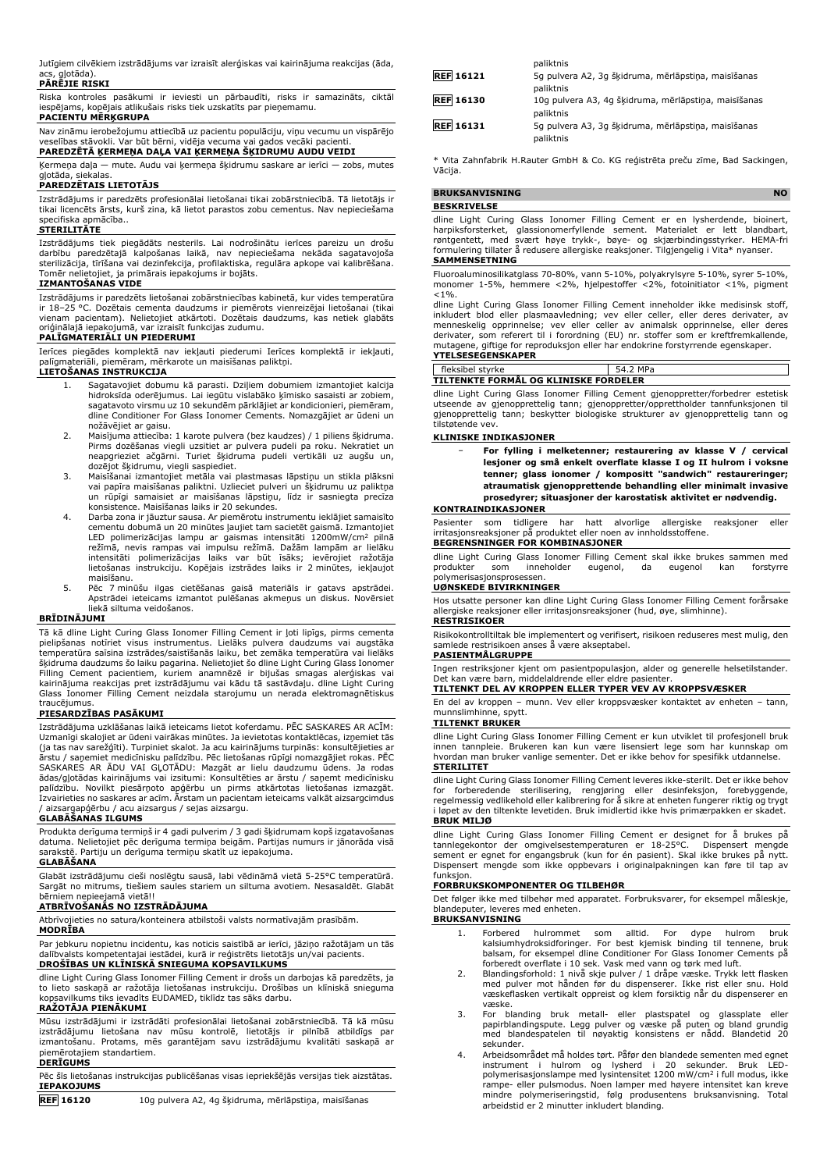Jutīgiem cilvēkiem izstrādājums var izraisīt alerģiskas vai kairinājuma reakcijas (āda, .<br>alotāda)

## **PĀRĒJIE RISKI**

Riska kontroles pasākumi ir ieviesti un pārbaudīti, risks ir samazināts, ciktāl iespējams, kopējais atlikušais risks tiek uzskatīts par pieņemamu.

#### **PACIENTU MĒRĶGRUPA**

Nav zināmu ierobežojumu attiecībā uz pacientu populāciju, viņu vecumu un vispārējo veselības stāvokli. Var būt bērni, vidēja vecuma vai gados vecāki pacienti.

**PAREDZĒTĀ ĶERMEŅA DAĻA VAI ĶERMEŅA ŠĶIDRUMU AUDU VEIDI**

Ķermeņa daļa — mute. Audu vai ķermeņa šķidrumu saskare ar ierīci — zobs, mutes<br>gļotāda, siekalas. **PAREDZĒTAIS LIETOTĀJS**

Izstrādājums ir paredzēts profesionālai lietošanai tikai zobārstniecībā. Tā lietotājs ir tikai licencēts ārsts, kurš zina, kā lietot parastos zobu cementus. Nav nepieciešama specifiska apmācība.. **STERILITĀTE**

Izstrādājums tiek piegādāts nesterils. Lai nodrošinātu ierīces pareizu un drošu darbību paredzētajā kalpošanas laikā, nav nepieciešama nekāda sagatavojoša sterilizācija, tīrīšana vai dezinfekcija, profilaktiska, regulāra apkope vai kalibrēšana. Tomēr nelietojiet, ja primārais iepakojums ir bojāts.

#### **IZMANTOŠANAS VIDE**

Izstrādājums ir paredzēts lietošanai zobārstniecības kabinetā, kur vides temperatūra ir 18–25 °C. Dozētais cementa daudzums ir piemērots vienreizējai lietošanai (tikai vienam pacientam). Nelietojiet atkārtoti. Dozētais daudzums, kas netiek glabāts oriģinālajā iepakojumā, var izraisīt funkcijas zudumu.

#### **PALĪGMATERIĀLI UN PIEDERUMI**

Ierīces piegādes komplektā nav iekļauti piederumi Ierīces komplektā ir iekļauti, palīgmateriāli, piemēram, mērkarote un maisīšanas paliktņi.

#### **LIETOŠANAS INSTRUKCIJA**

- 1. Sagatavojiet dobumu kā parasti. Dziļiem dobumiem izmantojiet kalcija hidroksīda oderējumus. Lai iegūtu vislabāko ķīmisko sasaisti ar zobiem, sagatavoto virsmu uz 10 sekundēm pārklājiet ar kondicionieri, piemēram, dline Conditioner For Glass Ionomer Cements. Nomazgājiet ar ūdeni un nožāvējiet ar gaisu.
- 2. Maisījuma attiecība: 1 karote pulvera (bez kaudzes) / 1 piliens šķidruma. Pirms dozēšanas viegli uzsitiet ar pulvera pudeli pa roku. Nekratiet un neapgrieziet ačgārni. Turiet šķidruma pudeli vertikāli uz augšu un,
- dozējot šķidrumu, viegli saspiediet. 3. Maisīšanai izmantojiet metāla vai plastmasas lāpstiņu un stikla plāksni vai papīra maisīšanas paliktni. Uzlieciet pulveri un šķidrumu uz paliktņa un rūpīgi samaisiet ar maisīšanas lāpstiņu, līdz ir sasniegta precīza konsistence. Maisīšanas laiks ir 20 sekundes.
- 4. Darba zona ir jāuztur sausa. Ar piemērotu instrumentu ieklājiet samaisīto cementu dobumā un 20 minūtes ļaujiet tam sacietēt gaismā. Izmantojiet LED polimerizācijas lampu ar gaismas intensitāti 1200mW/cm<sup>2</sup> pilnā<br>režīmā, nevis rampas vai impulsu režīmā. Dažām lampām ar lielāku<br>intensitāti polimerizācijas laiks var būt īsāks; ievērojiet ražotāja lietošanas instrukciju. Kopējais izstrādes laiks ir 2 minūtes, iekļaujot maisīšanu.
- 5. Pēc 7 minūšu ilgas cietēšanas gaisā materiāls ir gatavs apstrādei. Apstrādei ieteicams izmantot pulēšanas akmeņus un diskus. Novērsiet liekā siltuma veidošanos.

#### **BRĪDINĀJUMI**

Tā kā dline Light Curing Glass Ionomer Filling Cement ir ļoti lipīgs, pirms cementa<br>pielipšanas notīriet visus instrumentus. Lielāks pulvera daudzums vai augstāka<br>temperatūra saīsina izstrādes/saistīšanās laiku, bet zemāka šķidruma daudzums šo laiku pagarina. Nelietojiet šo dline Light Curing Glass Ionomer<br>Filling Cement pacientiem, kuriem anamnēzē ir bijušas smagas alerģiskas vai<br>kairinājuma reakcijas pret izstrādājumu vai kād Glass Ionomer Filling Cement neizdala starojumu un nerada elektromagnētiskus traucējumus.

#### **PIESARDZĪBAS PASĀKUMI**

Izstrādājuma uzklāšanas laikā ieteicams lietot koferdamu. PĒC SASKARES AR ACĪM: Uzmanīgi skalojiet ar ūdeni vairākas minūtes. Ja ievietotas kontaktlēcas, izņemiet tās (ja tas nav sarežģīti). Turpiniet skalot. Ja acu kairinājums turpinās: konsultējieties ar ārstu / saņemiet medicīnisku palīdzību. Pēc lietošanas rūpīgi nomazgājiet rokas. PĒC SASKARES AR ĀDU VAI GĻOTĀDU: Mazgāt ar lielu daudzumu ūdens. Ja rodas ādas/gļotādas kairinājums vai izsitumi: Konsultēties ar ārstu / saņemt medicīnisku palīdzību. Novilkt piesārņoto apģērbu un pirms atkārtotas lietošanas izmazgāt. Izvairieties no saskares ar acīm. Ārstam un pacientam ieteicams valkāt aizsargcimdus / aizsargapģērbu / acu aizsargus / sejas aizsargu.

#### **GLABĀŠANAS ILGUMS**

Produkta derīguma termiņš ir 4 gadi pulverim / 3 gadi šķidrumam kopš izgatavošanas datuma. Nelietojiet pēc derīguma termiņa beigām. Partijas numurs ir jānorāda visā sarakstē. Partiju un derīguma termiņu skatīt uz iepakojuma.

#### **GLABĀŠANA**

Glabāt izstrādājumu cieši noslēgtu sausā, labi vēdināmā vietā 5-25°C temperatūrā. Sargāt no mitrums, tiešiem saules stariem un siltuma avotiem. Nesasaldēt. Glabāt bērniem nepieejamā vietā!!

#### **ATBRĪVOŠANĀS NO IZSTRĀDĀJUMA**

Atbrīvojieties no satura/konteinera atbilstoši valsts normatīvajām prasībām.

#### **MODRĪBA**

Par jebkuru nopietnu incidentu, kas noticis saistībā ar ierīci, jāziņo ražotājam un tās dalībvalsts kompetentajai iestādei, kurā ir reģistrēts lietotājs un/vai pacients. **DROŠĪBAS UN KLĪNISKĀ SNIEGUMA KOPSAVILKUMS**

dline Light Curing Glass Ionomer Filling Cement ir drošs un darbojas kā paredzēts, ja to lieto saskaņā ar ražotāja lietošanas instrukciju. Drošības un klīniskā snieguma kopsavilkums tiks ievadīts EUDAMED, tiklīdz tas sāks darbu.

#### **RAŽOTĀJA PIENĀKUMI**

Mūsu izstrādājumi ir izstrādāti profesionālai lietošanai zobārstniecībā. Tā kā mūsu izstrādājumu lietošana nav mūsu kontrolē, lietotājs ir pilnībā atbildīgs par izmantošanu. Protams, mēs garantējam savu izstrādājumu kvalitāti saskaņā ar piemērotajiem standartiem.

#### **DERĪGUMS**

Pēc šīs lietošanas instrukcijas publicēšanas visas iepriekšējās versijas tiek aizstātas. **IEPAKOJUMS**

**REF 16120** 10g pulvera A2, 4g šķidruma, mērlāpstiņa, maisīšanas

| paliktnis                                                         |
|-------------------------------------------------------------------|
| 5g pulvera A2, 3g šķidruma, mērlāpstiņa, maisīšanas               |
| paliktnis                                                         |
| 10g pulvera A3, 4g šķidruma, mērlāpstiņa, maisīšanas<br>paliktnis |
| 5q pulvera A3, 3q šķidruma, mērlāpstiņa, maisīšanas<br>paliktnis  |
|                                                                   |

\* Vita Zahnfabrik H.Rauter GmbH & Co. KG reģistrēta preču zīme, Bad Sackingen, Vācija.

| BRUKSANVISNING |                    |  |  |      |  |         |        |  |  |  |  |
|----------------|--------------------|--|--|------|--|---------|--------|--|--|--|--|
|                | <b>BESKRIVELSE</b> |  |  |      |  |         |        |  |  |  |  |
| .              | .                  |  |  | $ -$ |  | $-1111$ | $\sim$ |  |  |  |  |

dline Light Curing Glass Ionomer Filling Cement er en lysherdende, bioinert, harpiksforsterket, glassionomerfyllende sement. Materialet er lett blandbart, røntgentett, med svært høye trykk-, bøye- og skjærbindingsstyrker. HEMA-fri formulering tillater å redusere allergiske reaksjoner. Tilgjengelig i Vita\* nyanser.

#### **SAMMENSETNING**

Fluoroaluminosilikatglass 70-80%, vann 5-10%, polyakrylsyre 5-10%, syrer 5-10%, monomer 1-5%, hemmere <2%, hjelpestoffer <2%, fotoinitiator <1%, pigment  $< 1\%$ .

dline Light Curing Glass Ionomer Filling Cement inneholder ikke medisinsk stoff, inkludert blod eller plasmaavledning; vev eller celler, eller deres derivater, av<br>menneskelig opprinnelse; vev eller celler av animalsk opprinnelse, eller deres<br>derivater, som referert til i forordning (EU) nr. stoffer som mutagene, giftige for reproduksjon eller har endokrine forstyrrende egenskaper. **YTELSESEGENSKAPER**

#### fleksibel styrke 54.2 MPa **TILTENKTE FORMÅL OG KLINISKE FORDELER**

dline Light Curing Glass Ionomer Filling Cement gjenoppretter/forbedrer estetisk utseende av gjenopprettelig tann; gjenoppretter/opprettholder tannfunksjonen til gjenopprettelig tann; beskytter biologiske strukturer av gjenopprettelig tann og tilstøtende vev.

#### **KLINISKE INDIKASJONER**

| $\overline{\phantom{0}}$ | For fylling i melketenner: restaurering av klasse V / cervical  |
|--------------------------|-----------------------------------------------------------------|
|                          | lesjoner og små enkelt overflate klasse I og II hulrom i voksne |
|                          | tenner: glass jonomer / kompositt "sandwich" restaureringer:    |
|                          | atraumatisk gjenopprettende behandling eller minimalt invasive  |
|                          | prosedvrer: situasioner der karostatisk aktivitet er nødvendig. |

#### **KONTRAINDIKASJONER**

Pasienter som tidligere har hatt alvorlige allergiske reaksjoner eller irritasjonsreaksjoner på produktet eller noen av innholdsstoffene. **BEGRENSNINGER FOR KOMBINASJONER**

dline Light Curing Glass Ionomer Filling Cement skal ikke brukes sammen med produkter som inneholder eugenol, da eugenol kan forstyrre inneholder eugenol, da eugenol kan forstyrre plymerisa

#### **UØNSKEDE BIVIRKNINGER**

Hos utsatte personer kan dline Light Curing Glass Ionomer Filling Cement forårsake allergiske reaksjoner eller irritasjonsreaksjoner (hud, øye, slimhinne). **RESTRISIKOER**

Risikokontrolltiltak ble implementert og verifisert, risikoen reduseres mest mulig, den samlede restrisikoen anses å være akseptabel.

#### **PASIENTMÅLGRUPPE**

Ingen restriksjoner kjent om pasientpopulasjon, alder og generelle helsetilstander. Det kan være barn, middelaldrende eller eldre pasienter.

#### **TILTENKT DEL AV KROPPEN ELLER TYPER VEV AV KROPPSVÆSKER**

En del av kroppen – munn. Vev eller kroppsvæsker kontaktet av enheten – tann, munnslimhinne, spytt. **TILTENKT BRUKER**

dline Light Curing Glass Ionomer Filling Cement er kun utviklet til profesjonell bruk innen tannpleie. Brukeren kan kun være lisensiert lege som har kunnskap om hvordan man bruker vanlige sementer. Det er ikke behov for spesifikk utdannelse. **STERILITET**

dline Light Curing Glass Ionomer Filling Cement leveres ikke-sterilt. Det er ikke behov for forberedende sterilisering, rengjøring eller desinfeksjon, forebyggende, regelmessig vedlikehold eller kalibrering for å sikre at enheten fungerer riktig og trygt i løpet av den tiltenkte levetiden. Bruk imidlertid ikke hvis primærpakken er skadet. **BRUK MILJØ**

# dline Light Curing Glass Ionomer Filling Cement er designet for å brukes på<br>tannlegekontor der omgivelsestemperaturen er 18-25°C. Dispensert mengde<br>sement er egnet for engangsbruk (kun for én pasient). Skal ikke brukes på Dispensert mengde som ikke oppbevars i originalpakningen kan føre til tap av funksion

#### **FORBRUKSKOMPONENTER OG TILBEHØR**

Det følger ikke med tilbehør med apparatet. Forbruksvarer, for eksempel måleskje, blandeputer, leveres med enheten. **BRUKSANVISNING**

- 1. Forbered hulrommet som alltid. For dype hulrom bruk kalsiumhydroksidforinger. For best kjemisk binding til tennene, bruk balsam, for eksempel dline Conditioner For Glass Ionomer Cements på
- forberedt overflate i 10 sek. Vask med vann og tørk med luft. 2. Blandingsforhold: 1 nivå skje pulver / 1 dråpe væske. Trykk lett flasken med pulver mot hånden før du dispenserer. Ikke rist eller snu. Hold væskeflasken vertikalt oppreist og klem forsiktig når du dispenserer en væske.
- 3. For blanding bruk metall- eller plastspatel og glassplate eller papirblandingspute. Legg pulver og væske på puten og bland grundig med blandespatelen til nøyaktig konsistens er nådd. Blandetid 20 sekunder.
- 4. Arbeidsområdet må holdes tørt. Påfør den blandede sementen med egnet instrument i hulrom og lysherd i 20 sekunder. Bruk LED-<br>polymerisasjonslampe…medlysintensitet\_1200 mW/cm<sup>2</sup>ifull modus, ikke rampe- eller pulsmodus. Noen lamper med høyere intensitet kan kreve mindre polymeriseringstid, følg produsentens bruksanvisning. Total arbeidstid er 2 minutter inkludert blanding.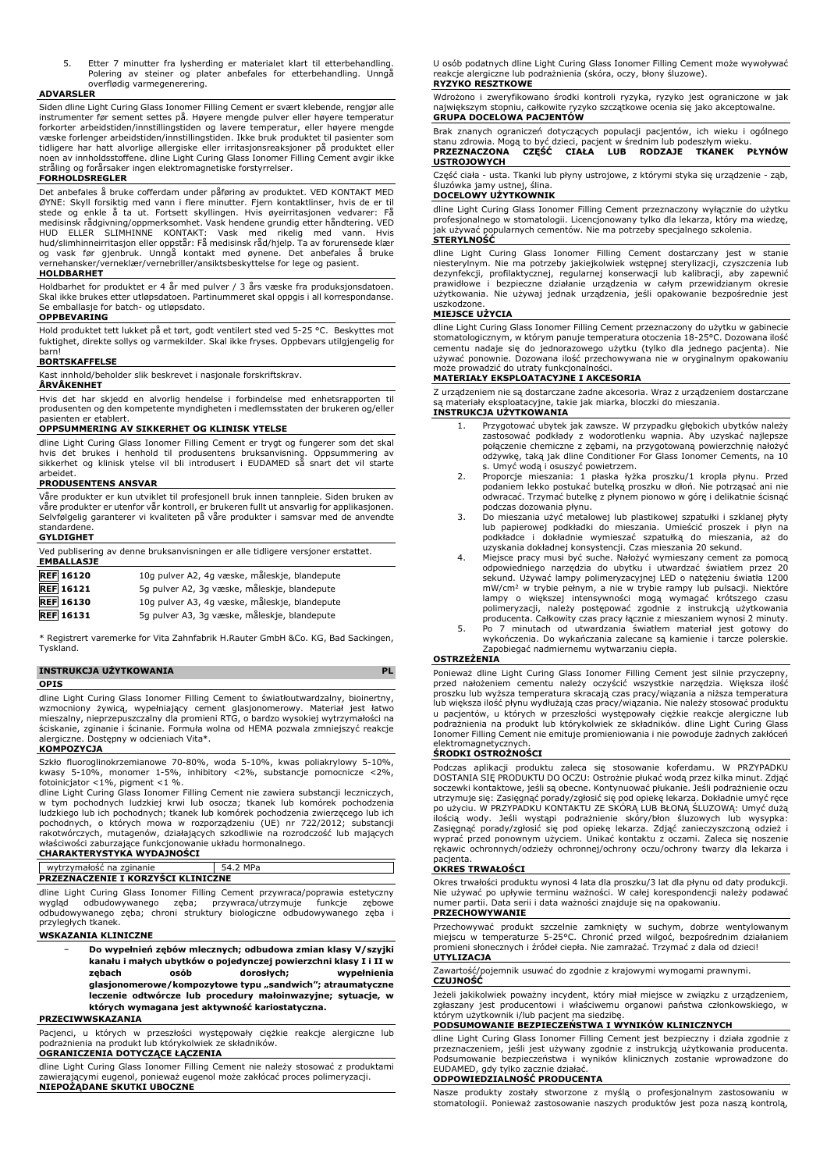5. Etter 7 minutter fra lysherding er materialet klart til etterbehandling. Polering av steiner og plater anbefales for etterbehandling. Unngå overflødig varmegenerering.

#### **ADVARSLER**

Siden dline Light Curing Glass Ionomer Filling Cement er svært klebende, rengjør alle instrumenter før sement settes på. Høyere mengde pulver eller høyere temperatur forkorter arbeidstiden/innstillingstiden og lavere temperatur, eller høyere mengde væske forlenger arbeidstiden/innstillingstiden. Ikke bruk produktet til pasienter som tidligere har hatt alvorlige allergiske eller irritasjonsreaksjoner på produktet eller noen av innholdsstoffene. dline Light Curing Glass Ionomer Filling Cement avgir ikke stråling og forårsaker ingen elektromagnetiske forstyrrelser.

#### **FORHOLDSREGLER**

Det anbefales å bruke cofferdam under påføring av produktet. VED KONTAKT MED ØYNE: Skyll forsiktig med vann i flere minutter. Fjern kontaktlinser, hvis de er til<br>stede og enkle å ta ut. Fortsett skyllingen. Hvis øyeirritasjonen vedvarer: Få<br>medisinsk rådgivning/oppmerksomhet. Vask henden grundig et og vask før gjenbruk. Unngå kontakt med øynene. Det anbefales å bruke vernehansker/verneklær/vernebriller/ansiktsbeskyttelse for lege og pasient.

#### **HOLDBARHET**

Holdbarhet for produktet er 4 år med pulver / 3 års væske fra produksjonsdatoen. Skal ikke brukes etter utløpsdatoen. Partinummeret skal oppgis i all korrespondanse. Se emballasje for batch- og utløpsdato. **OPPBEVARING**

Hold produktet tett lukket på et tørt, godt ventilert sted ved 5-25 °C. Beskyttes mot fuktighet, direkte sollys og varmekilder. Skal ikke fryses. Oppbevars utilgjengelig for barn!

#### **BORTSKAFFELSE**

Kast innhold/beholder slik beskrevet i nasjonale forskriftskrav.

## **ÅRVÅKENHET**

Hvis det har skjedd en alvorlig hendelse i forbindelse med enhetsrapporten til produsenten og den kompetente myndigheten i medlemsstaten der brukeren og/eller pasienten er etablert.

#### **OPPSUMMERING AV SIKKERHET OG KLINISK YTELSE**

dline Light Curing Glass Ionomer Filling Cement er trygt og fungerer som det skal<br>hvis det brukes i henhold til produsentens bruksanvisning. Oppsummering av<br>sikkerhet og klinisk ytelse vil bli introdusert i EUDAMED så snar arbeidet.

#### **PRODUSENTENS ANSVAR**

Våre produkter er kun utviklet til profesjonell bruk innen tannpleie. Siden bruken av våre produkter er utenfor vår kontroll, er brukeren fullt ut ansvarlig for applikasjonen. Selvfølgelig garanterer vi kvaliteten på våre produkter i samsvar med de anvendte standardene.

#### **GYLDIGHET**

| Ved publisering av denne bruksanvisningen er alle tidligere versjoner erstattet.<br><b>EMBALLASJE</b> |                                               |  |
|-------------------------------------------------------------------------------------------------------|-----------------------------------------------|--|
| <b>REF</b> 16120                                                                                      | 10g pulver A2, 4g væske, måleskje, blandepute |  |
| <b>REF</b> 16121                                                                                      | 5q pulver A2, 3q væske, måleskje, blandepute  |  |
| <b>REF</b> 16130                                                                                      | 10g pulver A3, 4g væske, måleskje, blandepute |  |
| <b>REF</b> 16131                                                                                      | 5g pulver A3, 3g væske, måleskje, blandepute  |  |

\* Registrert varemerke for Vita Zahnfabrik H.Rauter GmbH &Co. KG, Bad Sackingen, Tyskland.

#### **INSTRUKCJA UŻYTKOWANIA PL OPIS**

dline Light Curing Glass Ionomer Filling Cement to światłoutwardzalny, bioinertny, wzmocniony żywicą, wypełniający cement glasjonomerowy. Materiał jest łatwo mieszalny, nieprzepuszczalny dla promieni RTG, o bardzo wysokiej wytrzymałości na ściskanie, zginanie i ścinanie. Formuła wolna od HEMA pozwala zmniejszyć reakcje alergiczne. Dostępny w odcieniach Vita\*.

#### **KOMPOZYCJA**

Szkło fluoroglinokrzemianowe 70-80%, woda 5-10%, kwas poliakrylowy 5-10%, kwasy 5-10%, monomer 1-5%, inhibitory <2%, substancje pomocnicze <2%, fotoinicjator <1%, pigment <1 %. dline Light Curing Glass Ionomer Filling Cement nie zawiera substancji leczniczych,

w tym pochodnych ludzkiej krwi lub osocza; tkanek lub komórek pochodzenia<br>ludzkiego lub ich pochodnych; tkanek lub komórek pochodzenia zwierzęcego lub ich<br>pochodnych, o których mowa w rozporządzeniu (UE) nr 722/2012; subst rakotwórczych, mutagenów, działających szkodliwie na rozrodczość lub mających właściwości zaburzające funkcjonowanie układu hormonalnego. **CHARAKTERYSTYKA WYDAJNOŚCI**

| CHARAN LERTS IT NA WILLAUNUSCI            |          |  |
|-------------------------------------------|----------|--|
| wytrzymałość na zginanie                  | 54.2 MPa |  |
| <b>PRZEZNACZENIE I KORZYŚCI KLINICZNE</b> |          |  |

dline Light Curing Glass Ionomer Filling Cement przywraca/poprawia estetyczny wygląd odbudowywanego zęba; przywraca/utrzymuje funkcje zębowe odbudowywanego zęba; chroni struktury biologiczne odbudowywanego zęba i przyległych tkanek.

#### **WSKAZANIA KLINICZNE**

− **Do wypełnień zębów mlecznych; odbudowa zmian klasy V/szyjki kanału i małych ubytków o pojedynczej powierzchni klasy I i II w zębach osób dorosłych; wypełnienia glasjonomerowe/kompozytowe typu "sandwich"; atraumatyczne leczenie odtwórcze lub procedury małoinwazyjne; sytuacje, w których wymagana jest aktywność kariostatyczna.**

#### **PRZECIWWSKAZANIA**

Pacjenci, u których w przeszłości występowały ciężkie reakcje alergiczne lub podrażnienia na produkt lub którykolwiek ze składników.

## **OGRANICZENIA DOTYCZĄCE ŁĄCZENIA**

dline Light Curing Glass Ionomer Filling Cement nie należy stosować z produktami zawierającymi eugenol, ponieważ eugenol może zakłócać proces polimeryzacji. **NIEPOŻĄDANE SKUTKI UBOCZNE**

U osób podatnych dline Light Curing Glass Ionomer Filling Cement może wywoływać reakcje alergiczne lub podrażnienia (skóra, oczy, błony śluzowe). **RYZYKO RESZTKOWE**

#### Wdrożono i zweryfikowano środki kontroli ryzyka, ryzyko jest ograniczone w jak największym stopniu, całkowite ryzyko szczątkowe ocenia się jako akceptowalne. **GRUPA DOCELOWA PACJENTÓW**

Brak znanych ograniczeń dotyczących populacji pacjentów, ich wieku i ogólnego stanu zdrowia. Mogą to być dzieci, pacjent w średnim lub podeszłym wieku. **PRZEZNACZONA CZĘŚĆ CIAŁA LUB RODZAJE TKANEK PŁYNÓW USTROJOWYCH**

Część ciała - usta. Tkanki lub płyny ustrojowe, z którymi styka się urządzenie - ząb, śluzówka jamy ustnej, ślina.

#### **DOCELOWY UŻYTKOWNIK**

dline Light Curing Glass Ionomer Filling Cement przeznaczony wyłącznie do użytku profesjonalnego w stomatologii. Licencjonowany tylko dla lekarza, który ma wiedzę, jak używać popularnych cementów. Nie ma potrzeby specjalnego szkolenia.

#### **STERYLNOŚĆ**

dline Light Curing Glass Ionomer Filling Cement dostarczany jest w stanie niesterylnym. Nie ma potrzeby jakiejkolwiek wstępnej sterylizacji, czyszczenia lub dezynfekcji, profilaktycznej, regularnej konserwacji lub kalibracji, aby zapewnić prawidłowe i bezpieczne działanie urządzenia w całym przewidzianym okresie użytkowania. Nie używaj jednak urządzenia, jeśli opakowanie bezpośrednie jest

# uszkodzone. **MIEJSCE UŻYCIA**

dline Light Curing Glass Ionomer Filling Cement przeznaczony do użytku w gabinecie stomatologicznym, w którym panuje temperatura otoczenia 18-25°C. Dozowana ilość cementu nadaje się do jednorazowego użytku (tylko dla jednego pacjenta). Nie używać ponownie. Dozowana ilość przechowywana nie w oryginalnym opakowaniu może prowadzić do utraty funkcjonalności.

#### **MATERIAŁY EKSPLOATACYJNE I AKCESORIA**

Z urządzeniem nie są dostarczane żadne akcesoria. Wraz z urządzeniem dostarczane są materiały eksploatacyjne, takie jak miarka, bloczki do mieszania.

#### **INSTRUKCJA UŻYTKOWANIA**

- 1. Przygotować ubytek jak zawsze. W przypadku głębokich ubytków należy<br>zastosować podkłady z wodorotlenku wapnia. Aby uzyskać najlepsze<br>połączenie chemiczne z zębami, na przygotowaną powierzchnię nałożyć<br>odżywkę, taką jak
- s. Umyć wodą i osuszyć powietrzem. 2. Proporcje mieszania: 1 płaska łyżka proszku/1 kropla płynu. Przed podaniem lekko postukać butelką proszku w dłoń. Nie potrząsać ani nie odwracać. Trzymać butelkę z płynem pionowo w górę i delikatnie ścisnąć podczas dozowania płynu.
- 3. Do mieszania użyć metalowej lub plastikowej szpatułki i szklanej płyty lub papierowej podkładki do mieszania. Umieścić proszek i płyn na podkładce i dokładnie wymieszać szpatułką do mieszania, aż do uzyskania dokładnej konsystencji. Czas mieszania 20 sekund.
- 4. Miejsce pracy musi być suche. Nałożyć wymieszany cement za pomocą odpowiedniego narzędzia do ubytku i utwardzać światłem przez 20 sekund. Używać lampy polimeryzacyjnej LED o natężeniu światła 1200 mW/cm<sup>2</sup> w trybie pełnym, a nie w trybie rampy lub pulsacji. Niektóre<br>lampy o większej intensywności mogą wymagać krótszego czasu<br>polimeryzacji, należy postępować zgodnie z instrukcją użytkowania<br>producenta. Całkowity czas
- wykończenia. Do wykańczania zalecane są kamienie i tarcze polerskie. Zapobiegać nadmiernemu wytwarzaniu ciepła.

#### **OSTRZEŻENIA**

Ponieważ dline Light Curing Glass Ionomer Filling Cement jest silnie przyczepny, przed nałożeniem cementu należy oczyścić wszystkie narzędzia. Większa ilość proszku lub wyższa temperatura skracają czas pracy/wiązania a niższa temperatura lub większa ilość płynu wydłużają czas pracy/wiązania. Nie należy stosować produktu<br>u pacjentów, u których w przeszłości występowały ciężkie reakcje alergiczne lub<br>podrażnienia na produkt lub którykolwiek ze składników. d Ionomer Filling Cement nie emituje promieniowania i nie powoduje żadnych zakłóceń elektromagnetycznych.

#### **ŚRODKI OSTROŻNOŚCI**

Podczas aplikacji produktu zaleca się stosowanie koferdamu. W PRZYPADKU DOSTANIA SIĘ PRODUKTU DO OCZU: Ostrożnie płukać wodą przez kilka minut. Zdjąć soczewki kontaktowe, jeśli są obecne. Kontynuować płukanie. Jeśli podrażnienie oczu utrzymuje się: Zasięgnąć porady/zgłosić się pod opiekę lekarza. Dokładnie umyć ręce po użyciu. W PRZYPADKU KONTAKTU ZE SKÓRĄ LUB BŁONĄ ŚLUZOWĄ: Umyć dużą ilością wody. Jeśli wystąpi podrażnienie skóry/błon śluzowych lub wysypka:<br>Zasięgnąć porady/zgłosić się pod opiekę lekarza. Zdjąć zanieczyszczoną odzież i<br>wyprać przed ponownym użyciem. Unikać kontaktu z oczami. Zaleca się rękawic ochronnych/odzieży ochronnej/ochrony oczu/ochrony twarzy dla lekarza i pacjenta.

#### **OKRES TRWAŁOŚCI**

Okres trwałości produktu wynosi 4 lata dla proszku/3 lat dla płynu od daty produkcji.<br>Nie używać po upływie terminu ważności. W całej korespondencji należy podawać<br>numer partii. Data serii i data ważności znajduje się na o **PRZECHOWYWANIE**

Przechowywać produkt szczelnie zamknięty w suchym, dobrze wentylowanym miejscu w temperaturze 5-25°C. Chronić przed wilgoć, bezpośrednim działaniem promieni słonecznych i źródeł ciepła. Nie zamrażać. Trzymać z dala od dzieci! **UTYLIZACJA**

Zawartość/pojemnik usuwać do zgodnie z krajowymi wymogami prawnymi. **CZUJNOŚĆ**

Jeżeli jakikolwiek poważny incydent, który miał miejsce w związku z urządzeniem, zgłaszany jest producentowi i właściwemu organowi państwa członkowskiego, w którym użytkownik i/lub pacjent ma siedzibę.

#### **PODSUMOWANIE BEZPIECZEŃSTWA I WYNIKÓW KLINICZNYCH**

dline Light Curing Glass Ionomer Filling Cement jest bezpieczny i działa zgodnie z przeznaczeniem, jeśli jest używany zgodnie z instrukcją użytkowania producenta. Podsumowanie bezpieczeństwa i wyników klinicznych zostanie wprowadzone do EUDAMED, gdy tylko zacznie działać.

## **ODPOWIEDZIALNOŚĆ PRODUCENTA**

Nasze produkty zostały stworzone z myślą o profesjonalnym zastosowaniu w stomatologii. Ponieważ zastosowanie naszych produktów jest poza naszą kontrolą,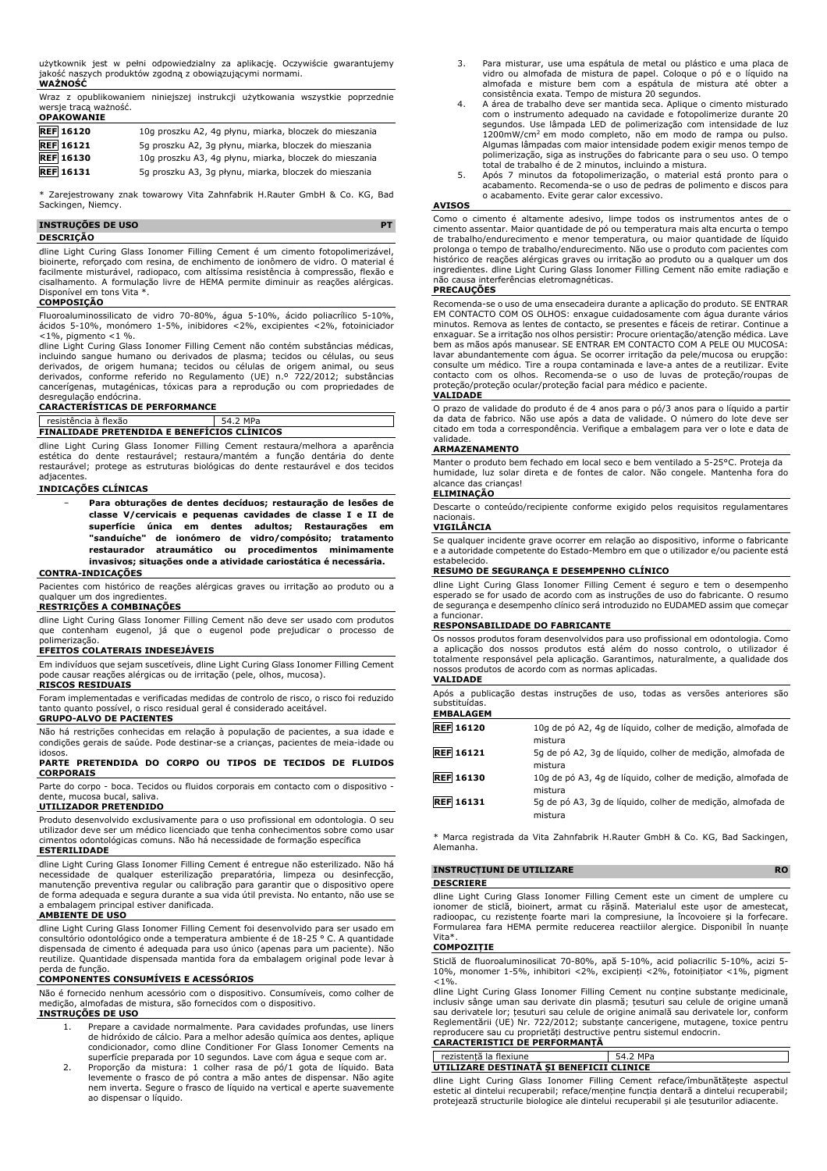użytkownik jest w pełni odpowiedzialny za aplikację. Oczywiście gwarantujemy jakość naszych produktów zgodną z obowiązującymi normami. **WAŻNOŚĆ**

Wraz z opublikowaniem niniejszej instrukcji użytkowania wszystkie poprzednie wersje tracą ważność. **OPAKOWANIE**

| UFANUWANIE       |                                                        |
|------------------|--------------------------------------------------------|
| <b>REF</b> 16120 | 10g proszku A2, 4g płynu, miarka, bloczek do mieszania |
| <b>REF</b> 16121 | 5q proszku A2, 3q płynu, miarka, bloczek do mieszania  |
| <b>REF</b> 16130 | 10g proszku A3, 4g płynu, miarka, bloczek do mieszania |
| <b>REF</b> 16131 | 5g proszku A3, 3g płynu, miarka, bloczek do mieszania  |

Zarejestrowany znak towarowy Vita Zahnfabrik H.Rauter GmbH & Co. KG, Bad Sackingen, Niemcy.

#### **INSTRUÇÕES DE USO PT DESCRIÇÃO**

dline Light Curing Glass Ionomer Filling Cement é um cimento fotopolimerizável, bioinerte, reforçado com resina, de enchimento de ionômero de vidro. O material é facilmente misturável, radiopaco, com altíssima resistência à compressão, flexão e cisalhamento. A formulação livre de HEMA permite diminuir as reações alérgicas. Disponível em tons Vita \*.

#### **COMPOSIÇÃO**

Fluoroaluminossilicato de vidro 70-80%, água 5-10%, ácido poliacrílico 5-10%, ácidos 5-10%, monómero 1-5%, inibidores <2%, excipientes <2%, fotoiniciador <1%, pigmento <1 %.

dline Light Curing Glass Ionomer Filling Cement não contém substâncias médicas, incluindo sangue humano ou derivados de plasma; tecidos ou células, ou seus derivados, de origem humana; tecidos ou células de origem animal, ou seus derivados, conforme referido no Regulamento (UE) n.º 722/2012; substâncias cancerígenas, mutagénicas, tóxicas para a reprodução ou com propriedades de desregulação endócrina.

#### **CARACTERÍSTICAS DE PERFORMANCE**

#### resistência à flexão 54.2 MPa **FINALIDADE PRETENDIDA E BENEFÍCIOS CLÍNICOS**

dline Light Curing Glass Ionomer Filling Cement restaura/melhora a aparência estética do dente restaurável; restaura/mantém a função dentária do dente restaurável; protege as estruturas biológicas do dente restaurável e dos tecidos

#### adjacentes. **INDICAÇÕES CLÍNICAS**

− **Para obturações de dentes decíduos; restauração de lesões de classe V/cervicais e pequenas cavidades de classe I e II de superfície única em dentes adultos; Restaurações em "sanduíche" de ionómero de vidro/compósito; tratamento restaurador atraumático ou procedimentos minimamente invasivos; situações onde a atividade cariostática é necessária.**

#### **CONTRA-INDICAÇÕES**

Pacientes com histórico de reações alérgicas graves ou irritação ao produto ou a qualquer um dos ingrediente

#### **RESTRIÇÕES A COMBINAÇÕES**

dline Light Curing Glass Ionomer Filling Cement não deve ser usado com produtos que contenham eugenol, já que o eugenol pode prejudicar o processo de

# polimerização. **EFEITOS COLATERAIS INDESEJÁVEIS**

Em indivíduos que sejam suscetíveis, dline Light Curing Glass Ionomer Filling Cement pode causar reações alérgicas ou de irritação (pele, olhos, mucosa). **RISCOS RESIDUAIS**

Foram implementadas e verificadas medidas de controlo de risco, o risco foi reduzido tanto quanto possível, o risco residual geral é considerado aceitável. **GRUPO-ALVO DE PACIENTES**

Não há restrições conhecidas em relação à população de pacientes, a sua idade e condições gerais de saúde. Pode destinar-se a crianças, pacientes de meia-idade ou

#### idosos. **PARTE PRETENDIDA DO CORPO OU TIPOS DE TECIDOS DE FLUIDOS CORPORAIS**

Parte do corpo - boca. Tecidos ou fluidos corporais em contacto com o dispositivo dente, mucosa bucal, saliva.

#### **UTILIZADOR PRETENDIDO**

Produto desenvolvido exclusivamente para o uso profissional em odontologia. O seu utilizador deve ser um médico licenciado que tenha conhecimentos sobre como usar cimentos odontológicas comuns. Não há necessidade de formação específica

#### **ESTERILIDADE**

dline Light Curing Glass Ionomer Filling Cement é entregue não esterilizado. Não há necessidade de qualquer esterilização preparatória, limpeza ou desinfecção, manutenção preventiva regular ou calibração para garantir que o dispositivo opere de forma adequada e segura durante a sua vida útil prevista. No entanto, não use se a embalagem principal estiver danificada.

#### **AMBIENTE DE USO**

dline Light Curing Glass Ionomer Filling Cement foi desenvolvido para ser usado em consultório odontológico onde a temperatura ambiente é de 18-25 ° C. A quantidade dispensada de cimento é adequada para uso único (apenas para um paciente). Não reutilize. Quantidade dispensada mantida fora da embalagem original pode levar à

# perda de função. **COMPONENTES CONSUMÍVEIS E ACESSÓRIOS**

Não é fornecido nenhum acessório com o dispositivo. Consumíveis, como colher de medição, almofadas de mistura, são fornecidos com o dispositivo.

## **INSTRUÇÕES DE USO**

- 1. Prepare a cavidade normalmente. Para cavidades profundas, use liners de hidróxido de cálcio. Para a melhor adesão química aos dentes, aplique condicionador, como dline Conditioner For Glass Ionomer Cements na superfície preparada por 10 segundos. Lave com água e seque com ar.
- 2. Proporção da mistura: 1 colher rasa de pó/1 gota de líquido. Bata levemente o frasco de pó contra a mão antes de dispensar. Não agite nem inverta. Segure o frasco de líquido na vertical e aperte suavemente ao dispensar o líquido.
- 3. Para misturar, use uma espátula de metal ou plástico e uma placa de vidro ou almofada de mistura de papel. Coloque o pó e o líquido na almofada e misture bem com a espátula de mistura até obter a consistência exata. Tempo de mistura 20 segundos.
- 4. A área de trabalho deve ser mantida seca. Aplique o cimento misturado com o instrumento adequado na cavidade e fotopolimerize durante 20 segundos. Use lâmpada LED de polimerização com intensidade de luz 1200mW/cm<sup>2</sup> em modo completo, não em modo de rampa ou pulso. Algumas lâmpadas com maior intensidade podem exigir menos tempo de polimerização, siga as instruções do fabricante para o seu uso. O tempo total de trabalho é de 2 minutos, incluindo a mistura.
- 5. Após 7 minutos da fotopolimerização, o material está pronto para o acabamento. Recomenda-se o uso de pedras de polimento e discos para o acabamento. Evite gerar calor excessivo.

#### **AVISOS**

Como o cimento é altamente adesivo, limpe todos os instrumentos antes de o cimento assentar. Maior quantidade de pó ou temperatura mais alta encurta o tempo de trabalho/endurecimento e menor temperatura, ou maior quantidade de líquido prolonga o tempo de trabalho/endurecimento. Não use o produto com pacientes com histórico de reações alérgicas graves ou irritação ao produto ou a qualquer um dos ingredientes. dline Light Curing Glass Ionomer Filling Cement não emite radiação e não causa interferências eletromagnéticas.

#### **PRECAUÇÕES**

Recomenda-se o uso de uma ensecadeira durante a aplicação do produto. SE ENTRAR EM CONTACTO COM OS OLHOS: enxague cuidadosamente com água durante vários minutos. Remova as lentes de contacto, se presentes e fáceis de retirar. Continue a enxaguar. Se a irritação nos olhos persistir: Procure orientação/atenção médica. Lave bem as mãos após manusear. SE ENTRAR EM CONTACTO COM A PELE OU MUCOSA: lavar abundantemente com água. Se ocorrer irritação da pele/mucosa ou erupção: consulte um médico. Tire a roupa contaminada e lave-a antes de a reutilizar. Evite contacto com os olhos. Recomenda-se o uso de luvas de proteção/roupas de proteção/proteção ocular/proteção facial para médico e paciente.

#### **VALIDADE**

O prazo de validade do produto é de 4 anos para o pó/3 anos para o líquido a partir da data de fabrico. Não use após a data de validade. O número do lote deve ser citado em toda a correspondência. Verifique a embalagem para ver o lote e data de validade.

#### **ARMAZENAMENTO**

Manter o produto bem fechado em local seco e bem ventilado a 5-25°C. Proteja da humidade, luz solar direta e de fontes de calor. Não congele. Mantenha fora do alcance das crianças! **ELIMINAÇÃO**

Descarte o conteúdo/recipiente conforme exigido pelos requisitos regulamentares nacionais.

## **VIGILÂNCIA**

Se qualquer incidente grave ocorrer em relação ao dispositivo, informe o fabricante e a autoridade competente do Estado-Membro em que o utilizador e/ou paciente está estabelecido.

#### **RESUMO DE SEGURANÇA E DESEMPENHO CLÍNICO**

dline Light Curing Glass Ionomer Filling Cement é seguro e tem o desempenho esperado se for usado de acordo com as instruções de uso do fabricante. O resumo de segurança e desempenho clínico será introduzido no EUDAMED assim que começar a funcionar.

#### **RESPONSABILIDADE DO FABRICANTE**

Os nossos produtos foram desenvolvidos para uso profissional em odontologia. Como a aplicação dos nossos produtos está além do nosso controlo, o utilizador é totalmente responsável pela aplicação. Garantimos, naturalmente, a qualidade dos nossos produtos de acordo com as normas aplicadas.

#### **VALIDADE**

Após a publicação destas instruções de uso, todas as versões anteriores são substituídas.

#### **EMBALAGEM REF 16120** 10g de pó A2, 4g de líquido, colher de medição, almofada de mistura **REF 16121** 5g de pó A2, 3g de líquido, colher de medição, almofada de mistura **REF 16130** 10g de pó A3, 4g de líquido, colher de medição, almofada de mistura **REF 16131** 5g de pó A3, 3g de líquido, colher de medição, almofada de mistura

\* Marca registrada da Vita Zahnfabrik H.Rauter GmbH & Co. KG, Bad Sackingen, Alemanha.

| <b>INSTRUCTIUNI DE UTILIZARE</b> |  |  | <b>RO</b>                                                                    |
|----------------------------------|--|--|------------------------------------------------------------------------------|
| <b>DESCRIERE</b>                 |  |  |                                                                              |
|                                  |  |  | dline Light Curing Glass Ionomer Filling Cement este un ciment de umplere cu |

dline Light Curing Glass Ionomer Filling Cement este un ciment de umplere cu ionomer de sticlă, bioinert, armat cu rășină. Materialul este ușor de amestecat, radioopac, cu rezistențe foarte mari la compresiune, la încovoiere și la forfecare. Formularea fara HEMA permite reducerea reactiilor alergice. Disponibil în nuanțe Vita\*.

#### **COMPOZIȚIE**

Sticlă de fluoroaluminosilicat 70-80%, apă 5-10%, acid poliacrilic 5-10%, acizi 5- 10%, monomer 1-5%, inhibitori <2%, excipienți <2%, fotoinițiator <1%, pigment  $< 1\%$ .

dline Light Curing Glass Ionomer Filling Cement nu conține substanțe medicinale, inclusiv sânge uman sau derivate din plasmă; țesuturi sau celule de origine umană sau derivatele lor; țesuturi sau celule de origine animală sau derivatele lor, conform Reglementării (UE) Nr. 722/2012; substanțe cancerigene, mutagene, toxice pentru reproducere sau cu proprietăți destructive pentru sistemul endocrin.

## **CARACTERISTICI DE PERFORMANȚĂ**

| rezistentă la flexiune                   | 54.2 MPa |
|------------------------------------------|----------|
| UTILIZARE DESTINATĂ SI BENEFICII CLINICE |          |

dline Light Curing Glass Ionomer Filling Cement reface/îmbunătățește aspectul estetic al dintelui recuperabil; reface/menține funcția dentară a dintelui recuperabil; protejează structurile biologice ale dintelui recuperabil și ale țesuturilor adiacente.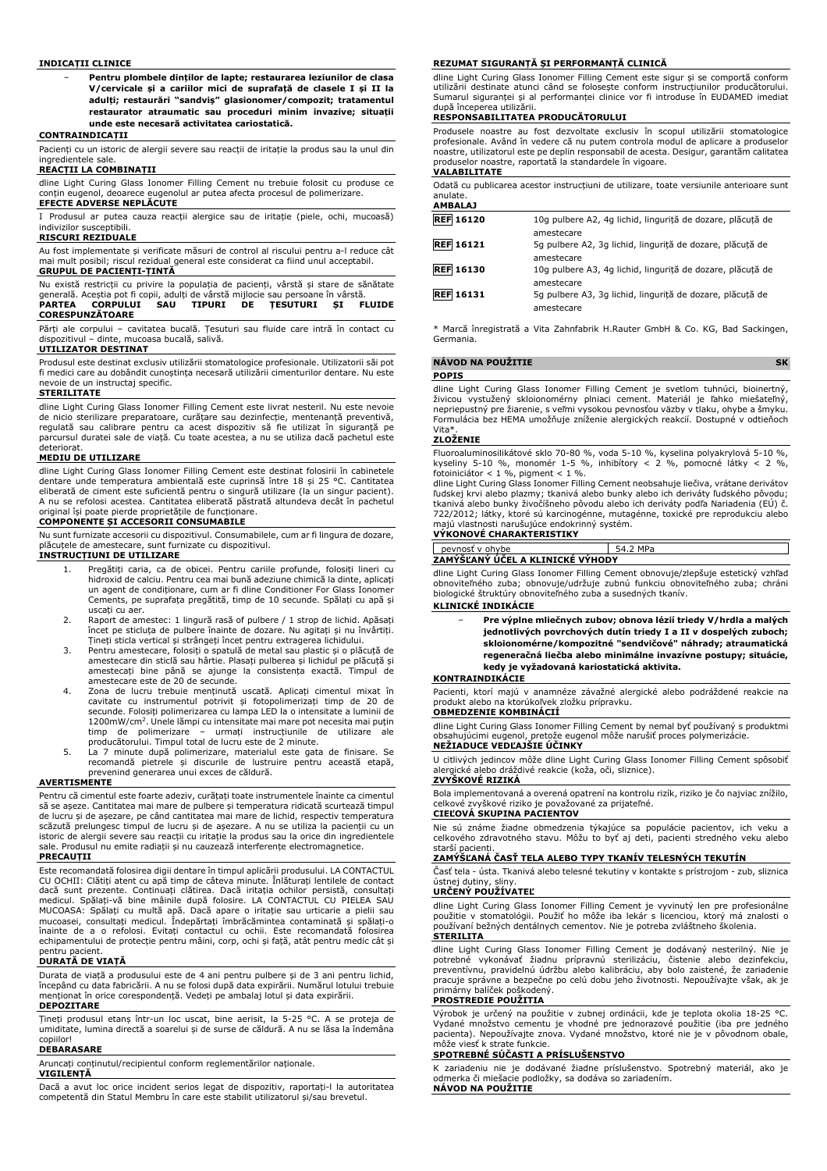#### **INDICAȚII CLINICE**

− **Pentru plombele dinților de lapte; restaurarea leziunilor de clasa V/cervicale și a cariilor mici de suprafață de clasele I și II la adulți; restaurări "sandviș" glasionomer/compozit; tratamentul restaurator atraumatic sau proceduri minim invazive; situații unde este necesară activitatea cariostatică.**

#### **CONTRAINDICAȚII**

Pacienți cu un istoric de alergii severe sau reacții de iritație la produs sau la unul din ingredientele sale.

#### **REACȚII LA COMBINAȚII**

dline Light Curing Glass Ionomer Filling Cement nu trebuie folosit cu produse ce conțin eugenol, deoarece eugenolul ar putea afecta procesul de polimerizare. **EFECTE ADVERSE NEPLĂCUTE**

I Produsul ar putea cauza reacții alergice sau de iritație (piele, ochi, mucoasă) indivizilor susceptibili.

#### **RISCURI REZIDUALE**

Au fost implementate și verificate măsuri de control al riscului pentru a-l reduce cât mai mult posibil; riscul rezidual general este considerat ca fiind unul acceptabil. **GRUPUL DE PACIENȚI-ȚINTĂ**

| Nu există restrictii cu privire la populatia de pacienti, vârstă și stare de sănătate |  |
|---------------------------------------------------------------------------------------|--|
| generală. Acestia pot fi copii, adulti de vârstă mijlocie sau persoane în vârstă.     |  |
| SAU TIPURI DE TESUTURI SI FLUIDE<br><b>PARTEA CORPULUI</b>                            |  |
| <b>CORESPUNZĂTOARE</b>                                                                |  |

Părți ale corpului – cavitatea bucală. Țesuturi sau fluide care intră în contact cu dispozitivul – dinte, mucoasa bucală, salivă.

#### **UTILIZATOR DESTINAT**

Produsul este destinat exclusiv utilizării stomatologice profesionale. Utilizatorii săi pot fi medici care au dobândit cunoștința necesară utilizării cimenturilor dentare. Nu este nevoie de un instructaj specific.

#### **STERILITATE**

dline Light Curing Glass Ionomer Filling Cement este livrat nesteril. Nu este nevoie de nicio sterilizare preparatoare, curățare sau dezinfecție, mentenanță preventivă, regulată sau calibrare pentru ca acest dispozitiv să fie utilizat în siguranță pe parcursul duratei sale de viață. Cu toate acestea, a nu se utiliza dacă pachetul este deteriorat.

#### **MEDIU DE UTILIZARE**

dline Light Curing Glass Ionomer Filling Cement este destinat folosirii în cabinetele dentare unde temperatura ambientală este cuprinsă între 18 și 25 °C. Cantitatea eliberată de ciment este suficientă pentru o singură utilizare (la un singur pacient). A nu se refolosi acestea. Cantitatea eliberată păstrată altundeva decât în pachetul original își poate pierde proprietățile de funcționare.

#### **COMPONENTE ȘI ACCESORII CONSUMABILE**

Nu sunt furnizate accesorii cu dispozitivul. Consumabilele, cum ar fi lingura de dozare, plăcuțele de amestecare, sunt furnizate cu dispozitivul.

#### **INSTRUCȚIUNI DE UTILIZARE**

- 1. Pregătiți caria, ca de obicei. Pentru cariile profunde, folosiți lineri cu hidroxid de calciu. Pentru cea mai bună adeziune chimică la dinte, aplicați un agent de condiționare, cum ar fi dline Conditioner For Glass Ionomer Cements, pe suprafața pregătită, timp de 10 secunde. Spălați cu apă și uscați cu aer.
- 2. Raport de amestec: 1 lingură rasă of pulbere / 1 strop de lichid. Apăsați încet pe sticluța de pulbere înainte de dozare. Nu agitați și nu învârtiți. Țineți sticla vertical și strângeți încet pentru extragerea lichidului.
- 3. Pentru amestecare, folosiți o spatulă de metal sau plastic și o plăcuță de amestecare din sticlă sau hârtie. Plasați pulberea și lichidul pe plăcuță și amestecați bine până se ajunge la consistența exactă. Timpul de amestecare este de 20 de secunde.
- 4. Zona de lucru trebuie menținută uscată. Aplicați cimentul mixat în cavitate cu instrumentul potrivit și fotopolimerizați timp de 20 de secunde. Folosiți polimerizarea cu lampa LED la o intensitate a luminii de 1200mW/cm<sup>2</sup> . Unele lămpi cu intensitate mai mare pot necesita mai puțin timp de polimerizare – urmați instrucțiunile de utilizare ale producătorului. Timpul total de lucru este de 2 minute.
- 5. La 7 minute după polimerizare, materialul este gata de finisare. Se recomandă pietrele și discurile de lustruire pentru această etapă, prevenind generarea unui exces de căldură.

#### **AVERTISMENTE**

Pentru că cimentul este foarte adeziv, curățați toate instrumentele înainte ca cimentul să se așeze. Cantitatea mai mare de pulbere și temperatura ridicată scurtează timpul de lucru și de așezare, pe când cantitatea mai mare de lichid, respectiv temperatura scăzută prelungesc timpul de lucru și de așezare. A nu se utiliza la pacienții cu un istoric de alergii severe sau reacții cu iritație la produs sau la orice din ingredientele sale. Produsul nu emite radiații și nu cauzează interferențe electromagnetice.

#### **PRECAUȚII**

Este recomandată folosirea digii dentare în timpul aplicării produsului. LA CONTACTUL CU OCHII: Clătiți atent cu apă timp de câteva minute. Înlăturați lentilele de contact dacă sunt prezente. Continuați clătirea. Dacă iritația ochilor persistă, consultați medicul. Spălați-vă bine mâinile după folosire. LA CONTACTUL CU PIELEA SAU MUCOASA: Spălați cu multă apă. Dacă apare o iritație sau urticarie a pielii sau mucoasei, consultați medicul. Îndepărtați îmbrăcămintea contaminată și spălați-o înainte de a o refolosi. Evitați contactul cu ochii. Este recomandată folosirea echipamentului de protecție pentru mâini, corp, ochi și față, atât pentru medic cât și pentru pacient.

#### **DURATĂ DE VIAȚĂ**

Durata de viață a produsului este de 4 ani pentru pulbere și de 3 ani pentru lichid, începând cu data fabricării. A nu se folosi după data expirării. Numărul lotului trebuie menționat în orice corespondență. Vedeți pe ambalaj lotul și data expirării.

#### **DEPOZITARE**

Țineți produsul etanș într-un loc uscat, bine aerisit, la 5-25 °C. A se proteja de umiditate, lumina directă a soarelui și de surse de căldură. A nu se lăsa la îndemâna copiilor!

#### **DEBARASARE**

Aruncați conținutul/recipientul conform reglementărilor naționale.

#### **VIGILENȚĂ**

Dacă a avut loc orice incident serios legat de dispozitiv, raportați-l la autoritatea competentă din Statul Membru în care este stabilit utilizatorul și/sau brevetul.

#### **REZUMAT SIGURANȚĂ ȘI PERFORMANȚĂ CLINICĂ**

dline Light Curing Glass Ionomer Filling Cement este sigur și se comportă conform utilizării destinate atunci când se folosește conform instrucțiunilor producătorului. Sumarul siguranței și al performanței clinice vor fi introduse în EUDAMED imediat după începerea utilizării.

#### **RESPONSABILITATEA PRODUCĂTORULUI**

Produsele noastre au fost dezvoltate exclusiv în scopul utilizării stomatologice profesionale. Având în vedere că nu putem controla modul de aplicare a produselor noastre, utilizatorul este pe deplin responsabil de acesta. Desigur, garantăm calitatea produselor noastre, raportată la standardele în vigoare. **VALABILITATE**

# Odată cu publicarea acestor instrucțiuni de utilizare, toate versiunile anterioare sunt anulate. **AMBALAJ**

| 10q pulbere A2, 4q lichid, lingurită de dozare, plăcută de |
|------------------------------------------------------------|
| 5q pulbere A2, 3q lichid, lingurită de dozare, plăcută de  |
| 10q pulbere A3, 4q lichid, lingurită de dozare, plăcută de |
| 5q pulbere A3, 3q lichid, lingurită de dozare, plăcută de  |
|                                                            |

\* Marcă înregistrată a Vita Zahnfabrik H.Rauter GmbH & Co. KG, Bad Sackingen, Germania.

#### **NÁVOD NA POUŽITIE SK**

dline Light Curing Glass Ionomer Filling Cement je svetlom tuhnúci, bioinertný,<br>živicou vystužený skloionomérny plniaci cement. Materiál je ľahko miešateľný,<br>nepriepustný-pre-žiarenie,-s-veľmi-vysokou-pevnosťou-väzby-v-tla Formulácia bez HEMA umožňuje zníženie alergických reakcií. Dostupné v odtieňoch Vita<sup>\*</sup>

#### **ZLOŽENIE**

**POPIS**

Fluoroaluminosilikátové sklo 70-80 %, voda 5-10 %, kyselina polyakrylová 5-10 %, kyseliny 5-10 %, monomér 1-5 %, inhibítory < 2 %, pomocné látky < 2 %, fotoiniciátor < 1 %, pigment < 1 %.

dline Light Curing Glass Ionomer Filling Cement neobsahuje liečiva, vrátane derivátov ľudskej krvi alebo plazmy; tkanivá alebo bunky alebo ich deriváty ľudského pôvodu; tkanivá alebo bunky živočíšneho pôvodu alebo ich deriváty podľa Nariadenia (EÚ) č. 722/2012; látky, ktoré sú karcinogénne, mutagénne, toxické pre reprodukciu alebo

# majú vlastnosti narušujúce endokrinný systém. **VÝKONOVÉ CHARAKTERISTIKY**

| ohvbe<br>≀י≙ר                    |  |  |
|----------------------------------|--|--|
| ZAMÝŠĽANÝ ÚČEL A KLINICKÉ VÝHODY |  |  |
|                                  |  |  |

dline Light Curing Glass Ionomer Filling Cement obnovuje/zlepšuje estetický vzhľad obnoviteľného zuba; obnovuje/udržuje zubnú funkciu obnoviteľného zuba; chráni biologické štruktúry obnoviteľného zuba a susedných tkanív.

#### **KLINICKÉ INDIKÁCIE**

− **Pre výplne mliečnych zubov; obnova lézií triedy V/hrdla a malých jednotlivých povrchových dutín triedy I a II v dospelých zuboch; skloionomérne/kompozitné "sendvičové" náhrady; atraumatická regeneračná liečba alebo minimálne invazívne postupy; situácie, kedy je vyžadovaná kariostatická aktivita.**

#### **KONTRAINDIKÁCIE**

Pacienti, ktorí majú v anamnéze závažné alergické alebo podráždené reakcie na produkt alebo na ktorúkoľvek zložku prípravku. **OBMEDZENIE KOMBINÁCIÍ**

dline Light Curing Glass Ionomer Filling Cement by nemal byť používaný s produktmi obsahujúcimi eugenol, pretože eugenol môže narušiť proces polymerizácie. **NEŽIADUCE VEDĽAJŠIE ÚČINKY**

U citlivých jedincov môže dline Light Curing Glass Ionomer Filling Cement spôsobiť alergické alebo dráždivé reakcie (koža, oči, sliznice).

## **ZVYŠKOVÉ RIZIKÁ**

Bola implementovaná a overená opatrení na kontrolu rizík, riziko je čo najviac znížilo, celkové zvyškové riziko je považované za prijateľné. **CIEĽOVÁ SKUPINA PACIENTOV**

Nie sú známe žiadne obmedzenia týkajúce sa populácie pacientov, ich veku a celkového zdravotného stavu. Môžu to byť aj deti, pacienti stredného veku alebo starší pacienti.

#### **ZAMÝŠĽANÁ ČASŤ TELA ALEBO TYPY TKANÍV TELESNÝCH TEKUTÍN**

Časť tela - ústa. Tkanivá alebo telesné tekutiny v kontakte s prístrojom - zub, sliznica ústnej dutiny, sliny. **URČENÝ POUŽÍVATEĽ**

dline Light Curing Glass Ionomer Filling Cement je vyvinutý len pre profesionálne použitie v stomatológii. Použiť ho môže iba lekár s licenciou, ktorý má znalosti o používaní bežných dentálnych cementov. Nie je potreba zvláštneho školenia. **STERILITA**

dline Light Curing Glass Ionomer Filling Cement je dodávaný nesterilný. Nie je<br>potrebné vykonávať žiadnu prípravnú sterilizáciu, čistenie alebo dezinfekciu,<br>preventívnu, pravidelnú údržbu alebo kalibráciu, aby bolo zaisten primárny balíček poškodený. **PROSTREDIE POUŽITIA**

Výrobok je určený na použitie v zubnej ordinácii, kde je teplota okolia 18-25 °C. Vydané množstvo cementu je vhodné pre jednorazové použitie (iba pre jedného pacienta). Nepoužívajte znova. Vydané množstvo, ktoré nie je v pôvodnom obale, môže viesť k strate funkcie.

## **SPOTREBNÉ SÚČASTI A PRÍSLUŠENSTVO**

K zariadeniu nie je dodávané žiadne príslušenstvo. Spotrebný materiál, ako je odmerka či miešacie podložky, sa dodáva so zariadením. **NÁVOD NA POUŽITIE**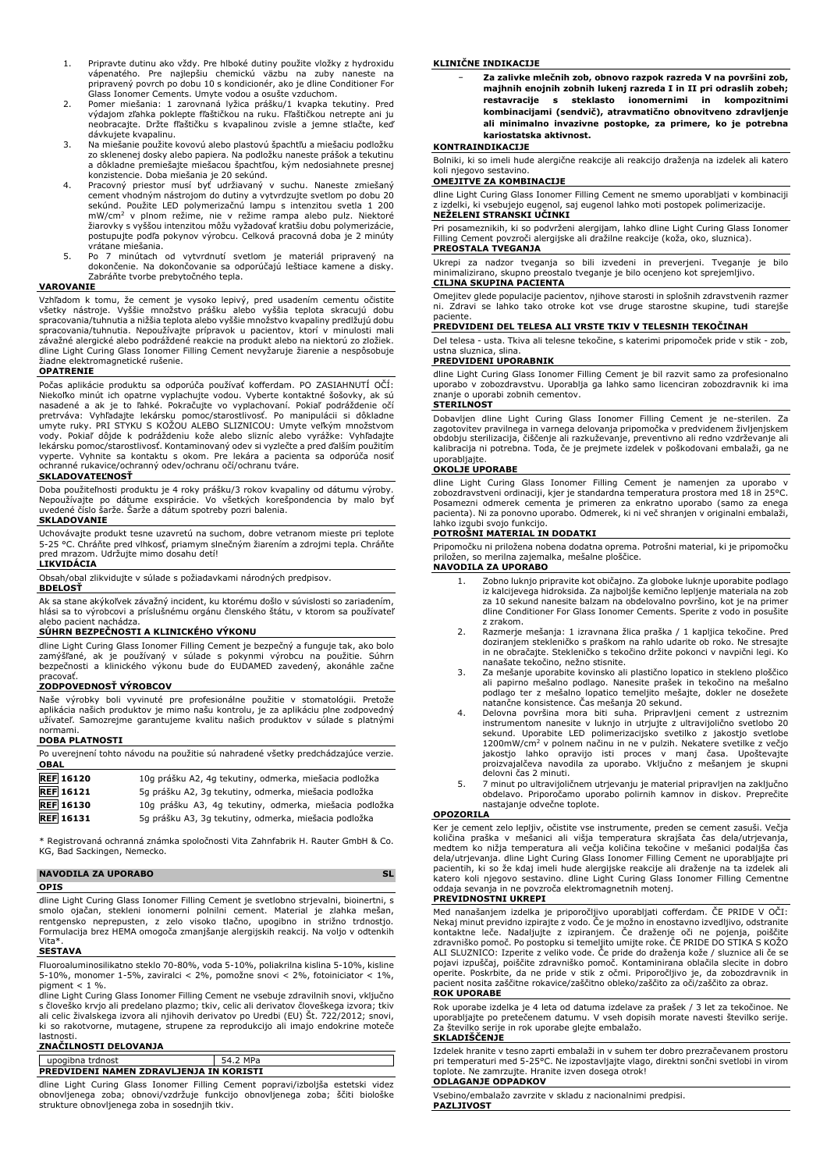- 1. Pripravte dutinu ako vždy. Pre hlboké dutiny použite vložky z hydroxidu vápenatého. Pre najlepšiu chemickú väzbu na zuby naneste na pripravený povrch po dobu 10 s kondicionér, ako je dline Conditioner For Glass Ionomer Cements. Umyte vodou a osušte vzduchom.
- 2. Pomer miešania: 1 zarovnaná lyžica prášku/1 kvapka tekutiny. Pred výdajom zľahka poklepte fľaštičkou na ruku. Fľaštičkou netrepte ani ju neobracajte. Držte fľaštičku s kvapalinou zvisle a jemne stlačte, keď dávkujete kvapalinu.
- 3. Na miešanie použite kovovú alebo plastovú špachtľu a miešaciu podložku zo sklenenej dosky alebo papiera. Na podložku naneste prášok a tekutinu a dôkladne premiešajte miešacou špachtľou, kým nedosiahnete presnej
- konzistencie. Doba miešania je 20 sekúnd. 4. Pracovný priestor musí byť udržiavaný v suchu. Naneste zmiešaný cement vhodným nástrojom do dutiny a vytvrdzujte svetlom po dobu 20 sekúnd. Použite LED polymerizačnú lampu s intenzitou svetla 1 200<br>mW/cm<sup>2</sup> v plnom režime, nie v režime rampa alebo pulz. Niektoré žiarovky s vyššou intenzitou môžu vyžadovať kratšiu dobu polymerizácie, postupujte podľa pokynov výrobcu. Celková pracovná doba je 2 minúty vrátane miešania.
- 5. Po 7 minútach od vytvrdnutí svetlom je materiál pripravený na dokončenie. Na dokončovanie sa odporúčajú leštiace kamene a disky. Zabráňte tvorbe prebytočného tepla.

#### **VAROVANIE**

Vzhľadom k tomu, že cement je vysoko lepivý, pred usadením cementu očistite všetky nástroje. Vyššie množstvo prášku alebo vyššia teplota skracujú dobu spracovania/tuhnutia a nižšia teplota alebo vyššie množstvo kvapaliny predlžujú dobu spracovania/tuhnutia. Nepoužívajte prípravok u pacientov, ktorí v minulosti mali závažné alergické alebo podráždené reakcie na produkt alebo na niektorú zo zložiek. dline Light Curing Glass Ionomer Filling Cement nevyžaruje žiarenie a nespôsobuje žiadne elektromagnetické rušenie.

#### **OPATRENIE**

Počas aplikácie produktu sa odporúča používať kofferdam. PO ZASIAHNUTÍ OČÍ: Niekoľko minút ich opatrne vyplachujte vodou. Vyberte kontaktné šošovky, ak sú nasadené a ak je to ľahké. Pokračujte vo vyplachovaní. Pokiaľ podráždenie očí<br>pretrváva: Vyhľadajte lekársku pomoc/starostlivosť. Po manipulácii si dôkladne<br>umyte ruky. PRI STYKU S KOŽOU ALEBO SLIZNICOU: Umyte veľkým množs vody. Pokiaľ dôjde k podráždeniu kože alebo slizníc alebo vyrážke: Vyhľadajte<br>lekársku pomoc/starostlivosť. Kontaminovaný odev si vyzlečteapred ďalším použitím<br>vyperte. Vyhnite sa kontaktu s okom. Pre lekára a pacienta sa

#### **SKLADOVATEĽNOSŤ**

Doba použiteľnosti produktu je 4 roky prášku/3 rokov kvapaliny od dátumu výroby.<br>Nepoužívajte po dátume exspirácie. Vo všetkých korešpondencia by malo byť<br>uvedené číslo šarže. Šarže a dátum spotreby pozri balenia.

#### **SKLADOVANIE**

Uchovávajte produkt tesne uzavretú na suchom, dobre vetranom mieste pri teplote 5-25 °C. Chráňte pred vlhkosť, priamym slnečným žiarením a zdrojmi tepla. Chráňte pred mrazom. Udržujte mimo dosahu detí!

#### **LIKVIDÁCIA**

Obsah/obal zlikvidujte v súlade s požiadavkami národných predpisov.

#### **BDELOSŤ**

Ak sa stane akýkoľvek závažný incident, ku ktorému došlo v súvislosti so zariadením, hlási sa to výrobcovi a príslušnému orgánu členského štátu, v ktorom sa používateľ alebo pacient nachádza.

#### **SÚHRN BEZPEČNOSTI A KLINICKÉHO VÝKONU**

dline Light Curing Glass Ionomer Filling Cement je bezpečný a funguje tak, ako bolo zamýšľané, ak je používaný v súlade s pokynmi výrobcu na použitie. Súhrn bezpečnosti a klinického výkonu bude do EUDAMED zavedený, akonáhle začne pracovať.

#### **ZODPOVEDNOSŤ VÝROBCOV**

Naše výrobky boli vyvinuté pre profesionálne použitie v stomatológii. Pretože aplikácia našich produktov je mimo našu kontrolu, je za aplikáciu plne zodpovedný užívateľ. Samozrejme garantujeme kvalitu našich produktov v súlade s platnými normami.

#### **DOBA PLATNOSTI**

|                  | Po uverejnení tohto návodu na použitie sú nahradené všetky predchádzajúce verzie. |
|------------------|-----------------------------------------------------------------------------------|
| <b>OBAL</b>      |                                                                                   |
| <b>REF</b> 16120 | 10g prášku A2, 4g tekutiny, odmerka, miešacia podložka                            |
| <b>REF</b> 16121 | 5g prášku A2, 3g tekutiny, odmerka, miešacia podložka                             |
| <b>REF</b> 16130 | 10g prášku A3, 4g tekutiny, odmerka, miešacia podložka                            |
| <b>REF</b> 16131 | 5g prášku A3, 3g tekutiny, odmerka, miešacia podložka                             |

\* Registrovaná ochranná známka spoločnosti Vita Zahnfabrik H. Rauter GmbH & Co. KG, Bad Sackingen, Nemecko.

## **NAVODILA ZA UPORABO** SL

**OPIS**

dline Light Curing Glass Ionomer Filling Cement je svetlobno strjevalni, bioinertni, s smolo ojačan, stekleni ionomerni polnilni cement. Material je zlahka mešan, rentgensko neprepusten, z zelo visoko tlačno, upogibno in strižno trdnostjo. Formulacija brez HEMA omogoča zmanjšanje alergijskih reakcij. Na voljo v odtenkih Vita\*.

#### **SESTAVA**

Fluoroaluminosilikatno steklo 70-80%, voda 5-10%, poliakrilna kislina 5-10%, kisline 5-10%, monomer 1-5%, zaviralci < 2%, pomožne snovi < 2%, fotoiniciator < 1%, pigment < 1 %. dline Light Curing Glass Ionomer Filling Cement ne vsebuje zdravilnih snovi, vključno

s človeško krvjo ali predelano plazmo; tkiv, celic ali derivatov človeškega izvora; tkiv ali celic živalskega izvora ali njihovih derivatov po Uredbi (EU) Št. 722/2012; snovi, ki so rakotvorne, mutagene, strupene za reprodukcijo ali imajo endokrine moteče lastnosti.

#### **ZNAČILNOSTI DELOVANJA**

| upogibna trdnost                        |  |  |
|-----------------------------------------|--|--|
| PREDVIDENI NAMEN ZDRAVLJENJA IN KORISTI |  |  |

dline Light Curing Glass Ionomer Filling Cement popravi/izboljša estetski videz obnovljenega zoba; obnovi/vzdržuje funkcijo obnovljenega zoba; ščiti biološke strukture obnovljenega zoba in sosednjih tkiv.

#### **KLINIČNE INDIKACIJE**

− **Za zalivke mlečnih zob, obnovo razpok razreda V na površini zob, majhnih enojnih zobnih lukenj razreda I in II pri odraslih zobeh; restavracije s steklasto ionomernimi in kompozitnimi kombinacijami (sendvič), atravmatično obnovitveno zdravljenje ali minimalno invazivne postopke, za primere, ko je potrebna kariostatska aktivnost.**

#### **KONTRAINDIKACIJE**

Bolniki, ki so imeli hude alergične reakcije ali reakcijo draženja na izdelek ali katero koli njegovo sestavino.

## **OMEJITVE ZA KOMBINACIJE** dline Light Curing Glass Ionomer Filling Cement ne smemo uporabljati v kombinaciji

z izdelki, ki vsebujejo eugenol, saj eugenol lahko moti postopek polimerizacije. **NEŽELENI STRANSKI UČINKI**

Pri posameznikih, ki so podvrženi alergijam, lahko dline Light Curing Glass Ionomer Filling Cement povzroči alergijske ali dražilne reakcije (koža, oko, sluznica). **PREOSTALA TVEGANJA**

Ukrepi za nadzor tveganja so bili izvedeni in preverjeni. Tveganje je bilo minimalizirano, skupno preostalo tveganje je bilo ocenjeno kot sprejemljivo. **CILJNA SKUPINA PACIENTA**

Omejitev glede populacije pacientov, njihove starosti in splošnih zdravstvenih razmer

ni. Zdravi se lahko tako otroke kot vse druge starostne skupine, tudi starejše paciente.

## **PREDVIDENI DEL TELESA ALI VRSTE TKIV V TELESNIH TEKOČINAH**

Del telesa - usta. Tkiva ali telesne tekočine, s katerimi pripomoček pride v stik - zob, ustna sluznica, slina.

#### **PREDVIDENI UPORABNIK**

dline Light Curing Glass Ionomer Filling Cement je bil razvit samo za profesionalno uporabo v zobozdravstvu. Uporablja ga lahko samo licenciran zobozdravnik ki ima znanje o uporabi zobnih cementov.

#### **STERILNOST**

Dobavljen dline Light Curing Glass Ionomer Filling Cement je ne-sterilen. Za zagotovitev pravilnega in varnega delovanja pripomočka v predvidenem življenjskem obdobju sterilizacija, čiščenje ali razkuževanje, preventivno ali redno vzdrževanje ali kalibracija ni potrebna. Toda, če je prejmete izdelek v poškodovani embalaži, ga ne uporabljajte.

#### **OKOLJE UPORABE**

dline Light Curing Glass Ionomer Filling Cement je namenjen za uporabo v zobozdravstveni ordinaciji, kjer je standardna temperatura prostora med 18 in 25°C. Posamezni odmerek cementa je primeren za enkratno uporabo (samo za enega pacienta). Ni za ponovno uporabo. Odmerek, ki ni več shranjen v originalni embalaži, lahko izgubi svojo funkcijo.

#### **POTROŠNI MATERIAL IN DODATKI**

Pripomočku ni priložena nobena dodatna oprema. Potrošni material, ki je pripomočku priložen, so merilna zajemalka, mešalne ploščice.

#### **NAVODILA ZA UPORABO**

- 1. Zobno luknjo pripravite kot običajno. Za globoke luknje uporabite podlago iz kalcijevega hidroksida. Za najboljše kemično lepljenje materiala na zob za 10 sekund nanesite balzam na obdelovalno površino, kot je na primer dline Conditioner For Glass Ionomer Cements. Sperite z vodo in posušite z zrakom.
- 2. Razmerje mešanja: 1 izravnana žlica praška / 1 kapljica tekočine. Pred doziranjem stekleničko s praškom na rahlo udarite ob roko. Ne stresajte in ne obračajte. Stekleničko s tekočino držite pokonci v navpični legi. Ko nanašate tekočino, nežno stisnite.
- 3. Za mešanje uporabite kovinsko ali plastično lopatico in stekleno ploščico ali papirno mešalno podlago. Nanesite prašek in tekočino na mešalno podlago ter z mešalno lopatico temeljito mešajte, dokler ne dosežete natančne konsistence. Čas mešanja 20 sekund.
- 4. Delovna površina mora biti suha. Pripravljeni cement z ustreznim instrumentom nanesite v luknjo in utrjujte z ultravijolično svetlobo 20 sekund. Uporabite LED polimerizacijsko svetilko z jakostjo svetlobe 1200mW/cm<sup>2</sup> v polnem načinu in ne v pulzih. Nekatere svetilke z večjo<br>jakostjo lahko opravijo isti proces v manj časa. Upoštevajte<br>proizvajalčeva navodila za uporabo. Vključno z mešanjem je skupni delovni čas 2 minuti.
- 5. 7 minut po ultravijoličnem utrjevanju je material pripravljen na zaključno obdelavo. Priporočamo uporabo polirnih kamnov in diskov. Preprečite nastajanje odvečne toplote.

#### **OPOZORILA**

Ker je cement zelo lepljiv, očistite vse instrumente, preden se cement zasuši. Večja količina praška v mešanici ali višja temperatura skrajšata čas dela/utrjevanja, medtem ko nižja temperatura ali večja količina tekočine v mešanici podaljša čas dela/utrjevanja. dline Light Curing Glass Ionomer Filling Cement ne uporabljajte pri pacientih, ki so že kdaj imeli hude alergijske reakcije ali draženje na ta izdelek ali katero koli njegovo sestavino. dline Light Curing Glass Ionomer Filling Cementne oddaja sevanja in ne povzroča elektromagnetnih motenj.

#### **PREVIDNOSTNI UKREPI**

Med nanašanjem izdelka je priporočljivo uporabljati cofferdam. CE PRIDE V OCI:<br>Nekaj minut previdno izpirajte z vodo. Če je možno in enostavno izvedljivo, odstranite<br>kontaktne leče. Nadaljujte z izpiranjem. Če draženje oči pojavi izpuščaj, poiščite zdravniško pomoč. Kontaminirana oblačila slecite in dobro operite. Poskrbite, da ne pride v stik z očmi. Priporočljivo je, da zobozdravnik in pacient nosita zaščitne rokavice/zaščitno obleko/zaščito za oči/zaščito za obraz. **ROK UPORABE**

Rok uporabe izdelka je 4 leta od datuma izdelave za prašek / 3 let za tekočinoe. Ne uporabljajte po pretečenem datumu. V vseh dopisih morate navesti številko serije. Za številko serije in rok uporabe glejte embalažo.

#### **SKLADIŠČENJE**

Izdelek hranite v tesno zaprti embalaži in v suhem ter dobro prezračevanem prostoru pri temperaturi med 5-25°C. Ne izpostavljajte vlago, direktni sončni svetlobi in virom toplote. Ne zamrzujte. Hranite izven dosega otrok! **ODLAGANJE ODPADKOV**

Vsebino/embalažo zavrzite v skladu z nacionalnimi predpisi. **PAZLJIVOST**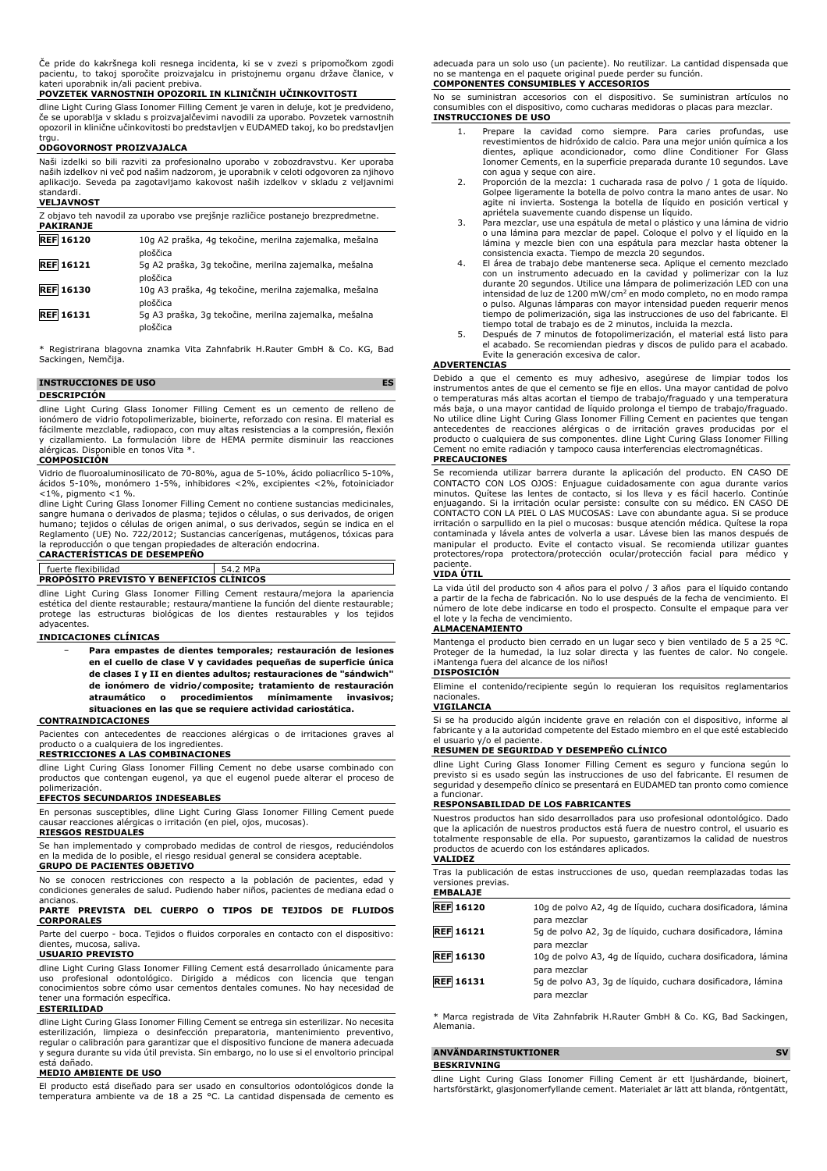Če pride do kakršnega koli resnega incidenta, ki se v zvezi s pripomočkom zgodi pacientu, to takoj sporočite proizvajalcu in pristojnemu organu države članice, v kateri uporabnik in/ali pacient prebiva.

#### **POVZETEK VARNOSTNIH OPOZORIL IN KLINIČNIH UČINKOVITOSTI**

dline Light Curing Glass Ionomer Filling Cement je varen in deluje, kot je predvideno, če se uporablja v skladu s proizvajalčevimi navodili za uporabo. Povzetek varnostnih opozoril in klinične učinkovitosti bo predstavljen v EUDAMED takoj, ko bo predstavljen trau

#### **ODGOVORNOST PROIZVAJALCA**

Naši izdelki so bili razviti za profesionalno uporabo v zobozdravstvu. Ker uporaba naših izdelkov ni več pod našim nadzorom, je uporabnik v celoti odgovoren za njihovo aplikacijo. Seveda pa zagotavljamo kakovost naših izdelkov v skladu z veljavnimi standardi. **VELJAVNOST**

| Z objavo teh navodil za uporabo vse prejšnje različice postanejo brezpredmetne.<br><b>PAKIRANJE</b> |                                                                    |  |
|-----------------------------------------------------------------------------------------------------|--------------------------------------------------------------------|--|
| <b>REF 16120</b>                                                                                    | 10g A2 praška, 4g tekočine, merilna zajemalka, mešalna<br>ploščica |  |
| <b>REF</b> 16121                                                                                    | 5g A2 praška, 3g tekočine, merilna zajemalka, mešalna<br>ploščica  |  |
| <b>REF</b> 16130                                                                                    | 10g A3 praška, 4g tekočine, merilna zajemalka, mešalna<br>ploščica |  |
| <b>REF</b> 16131                                                                                    | 5q A3 praška, 3g tekočine, merilna zajemalka, mešalna<br>ploščica  |  |

\* Registrirana blagovna znamka Vita Zahnfabrik H.Rauter GmbH & Co. KG, Bad Sackingen, Nemčija.

#### **INSTRUCCIONES DE USO ES DESCRIPCIÓN**

dline Light Curing Glass Ionomer Filling Cement es un cemento de relleno de ionómero de vidrio fotopolimerizable, bioinerte, reforzado con resina. El material es fácilmente mezclable, radiopaco, con muy altas resistencias a la compresión, flexión y cizallamiento. La formulación libre de HEMA permite disminuir las reacciones alérgicas. Disponible en tonos Vita \*.

#### **COMPOSICIÓN**

Vidrio de fluoroaluminosilicato de 70-80%, agua de 5-10%, ácido poliacrílico 5-10%, ácidos 5-10%, monómero 1-5%, inhibidores <2%, excipientes <2%, fotoiniciador <1%, pigmento <1 %. dline Light Curing Glass Ionomer Filling Cement no contiene sustancias medicinales,

sangre humana o derivados de plasma; tejidos o células, o sus derivados, de origen humano; tejidos o células de origen animal, o sus derivados, según se indica en el Reglamento (UE) No. 722/2012; Sustancias cancerígenas, mutágenos, tóxicas para la reproducción o que tengan propiedades de alteración endocrina.

# **CARACTERÍSTICAS DE DESEMPEÑO**

#### $54.2$  MP **PROPÓSITO PREVISTO Y BENEFICIOS CLÍNICOS**

dline Light Curing Glass Ionomer Filling Cement restaura/mejora la apariencia estética del diente restaurable; restaura/mantiene la función del diente restaurable; protege las estructuras biológicas de los dientes restaurables y los tejidos adyacentes.

#### **INDICACIONES CLÍNICAS**

− **Para empastes de dientes temporales; restauración de lesiones en el cuello de clase V y cavidades pequeñas de superficie única de clases I y II en dientes adultos; restauraciones de "sándwich" de ionómero de vidrio/composite; tratamiento de restauración atraumático o procedimientos mínimamente invasivos; situaciones en las que se requiere actividad cariostática.**

#### **CONTRAINDICACIONES**

Pacientes con antecedentes de reacciones alérgicas o de irritaciones graves al producto o a cualquiera de los ingredientes.

#### **RESTRICCIONES A LAS COMBINACIONES**

dline Light Curing Glass Ionomer Filling Cement no debe usarse combinado con productos que contengan eugenol, ya que el eugenol puede alterar el proceso de .<br>polimerización

#### **EFECTOS SECUNDARIOS INDESEABLES**

En personas susceptibles, dline Light Curing Glass Ionomer Filling Cement puede causar reacciones alérgicas o irritación (en piel, ojos, mucosas). **RIESGOS RESIDUALES**

Se han implementado y comprobado medidas de control de riesgos, reduciéndolos en la medida de lo posible, el riesgo residual general se considera aceptable. **GRUPO DE PACIENTES OBJETIVO**

No se conocen restricciones con respecto a la población de pacientes, edad y condiciones generales de salud. Pudiendo haber niños, pacientes de mediana edad o ancianos.

#### **PARTE PREVISTA DEL CUERPO O TIPOS DE TEJIDOS DE FLUIDOS CORPORALES**

Parte del cuerpo - boca. Tejidos o fluidos corporales en contacto con el dispositivo: mucosa,

#### **USUARIO PREVISTO**

dline Light Curing Glass Ionomer Filling Cement está desarrollado únicamente para uso profesional odontológico. Dirigido a médicos con licencia que tengan conocimientos sobre cómo usar cementos dentales comunes. No hay necesidad de tener una formación específica.

#### **ESTERILIDAD**

dline Light Curing Glass Ionomer Filling Cement se entrega sin esterilizar. No necesita esterilización, limpieza o desinfección preparatoria, mantenimiento preventivo, regular o calibración para garantizar que el dispositivo funcione de manera adecuada y segura durante su vida útil prevista. Sin embargo, no lo use si el envoltorio principal está dañado.

#### **MEDIO AMBIENTE DE USO**

El producto está diseñado para ser usado en consultorios odontológicos donde la temperatura ambiente va de 18 a 25 °C. La cantidad dispensada de cemento es adecuada para un solo uso (un paciente). No reutilizar. La cantidad dispensada que no se mantenga en el paquete original puede perder su función. **COMPONENTES CONSUMIBLES Y ACCESORIOS**

No se suministran accesorios con el dispositivo. Se suministran artículos no consumibles con el dispositivo, como cucharas medidoras o placas para mezclar. **INSTRUCCIONES DE USO**

- 1. Prepare la cavidad como siempre. Para caries profundas, use revestimientos de hidróxido de calcio. Para una mejor unión química a los dientes, aplique acondicionador, como dline Conditioner For Glass Ionomer Cements, en la superficie preparada durante 10 segundos. Lave con agua y seque con aire.
- 2. Proporción de la mezcla: 1 cucharada rasa de polvo / 1 gota de líquido. Golpee ligeramente la botella de polvo contra la mano antes de usar. No agite ni invierta. Sostenga la botella de líquido en posición vertical y
- apriétela suavemente cuando dispense un líquido. 3. Para mezclar, use una espátula de metal o plástico y una lámina de vidrio o una lámina para mezclar de papel. Coloque el polvo y el líquido en la lámina y mezcle bien con una espátula para mezclar hasta obtener la
- consistencia exacta. Tiempo de mezcla 20 segundos. 4. El área de trabajo debe mantenerse seca. Aplique el cemento mezclado con un instrumento adecuado en la cavidad y polimerizar con la luz durante 20 segundos. Utilice una lámpara de polimerización LED con una<br>intensidad de luz de 1200 mW/cm<sup>2</sup> en modo completo, no en modo rampa o pulso. Algunas lámparas con mayor intensidad pueden requerir menos tiempo de polimerización, siga las instrucciones de uso del fabricante. El tiempo total de trabajo es de 2 minutos, incluida la mezcla.
- 5. Después de 7 minutos de fotopolimerización, el material está listo para el acabado. Se recomiendan piedras y discos de pulido para el acabado. Evite la generación excesiva de calor.

#### **ADVERTENCIAS**

Debido a que el cemento es muy adhesivo, asegúrese de limpiar todos los instrumentos antes de que el cemento se fije en ellos. Una mayor cantidad de polvo o temperaturas más altas acortan el tiempo de trabajo/fraguado y una temperatura más baja, o una mayor cantidad de líquido prolonga el tiempo de trabajo/fraguado.<br>No utilice dline Light Curing Glass Ionomer Filling Cement en pacientes que tengan<br>antecedentes de reacciones alérgicas o de irritación grav

#### **PRECAUCIONES**

Se recomienda utilizar barrera durante la aplicación del producto. EN CASO DE CONTACTO CON LOS OJOS: Enjuague cuidadosamente con agua durante varios minutos. Quítese las lentes de contacto, si los lleva y es fácil hacerlo. Continúe enjuagando. Si la irritación ocular persiste: consulte con su médico. EN CASO DE CONTACTO CON LA PIEL O LAS MUCOSAS: Lave con abundante agua. Si se produce irritación o sarpullido en la piel o mucosas: busque atención médica. Quítese la ropa contaminada y lávela antes de volverla a usar. Lávese bien las manos después de manipular el producto. Evite el contacto visual. Se recomienda utilizar guantes protectores/ropa protectora/protección ocular/protección facial para médico y paciente.

#### **VIDA ÚTIL**

La vida útil del producto son 4 años para el polvo / 3 años para el líquido contando a partir de la fecha de fabricación. No lo use después de la fecha de vencimiento. El número de lote debe indicarse en todo el prospecto. Consulte el empaque para ver el lote y la fecha de vencimiento.

#### **ALMACENAMIENTO**

Mantenga el producto bien cerrado en un lugar seco y bien ventilado de 5 a 25 °C. Proteger de la humedad, la luz solar directa y las fuentes de calor. No congele. ¡Mantenga fuera del alcance de los niños!

#### **DISPOSICIÓN**

Elimine el contenido/recipiente según lo requieran los requisitos reglamentarios nacionales.

#### **VIGILANCIA**

Si se ha producido algún incidente grave en relación con el dispositivo, informe al fabricante y a la autoridad competente del Estado miembro en el que esté establecido el usuario y/o el paciente.

#### **RESUMEN DE SEGURIDAD Y DESEMPEÑO CLÍNICO**

dline Light Curing Glass Ionomer Filling Cement es seguro y funciona según lo previsto si es usado según las instrucciones de uso del fabricante. El resumen de seguridad y desempeño clínico se presentará en EUDAMED tan pronto como comience a funcionar.

#### **RESPONSABILIDAD DE LOS FABRICANTES**

Nuestros productos han sido desarrollados para uso profesional odontológico. Dado que la aplicación de nuestros productos está fuera de nuestro control, el usuario es totalmente responsable de ella. Por supuesto, garantizamos la calidad de nuestros productos de acuerdo con los estándares aplicados. **VALIDEZ**

#### Tras la publicación de estas instrucciones de uso, quedan reemplazadas todas las versiones previas. **EMBALAJE**

| <b>REF 16120</b> | 10g de polvo A2, 4g de líquido, cuchara dosificadora, lámina<br>para mezclar                |
|------------------|---------------------------------------------------------------------------------------------|
| <b>REF</b> 16121 | 5g de polvo A2, 3g de líquido, cuchara dosificadora, lámina<br>para mezclar                 |
| <b>REF</b> 16130 | 10g de polvo A3, 4g de líquido, cuchara dosificadora, lámina                                |
| <b>REF</b> 16131 | para mezclar<br>5g de polvo A3, 3g de líquido, cuchara dosificadora, lámina<br>para mezclar |

\* Marca registrada de Vita Zahnfabrik H.Rauter GmbH & Co. KG, Bad Sackingen, Alemania.

#### **ANVÄNDARINSTUKTIONER SV BESKRIVNING**

dline Light Curing Glass Ionomer Filling Cement är ett ljushärdande, bioinert, hartsförstärkt, glasjonomerfyllande cement. Materialet är lätt att blanda, röntgentätt,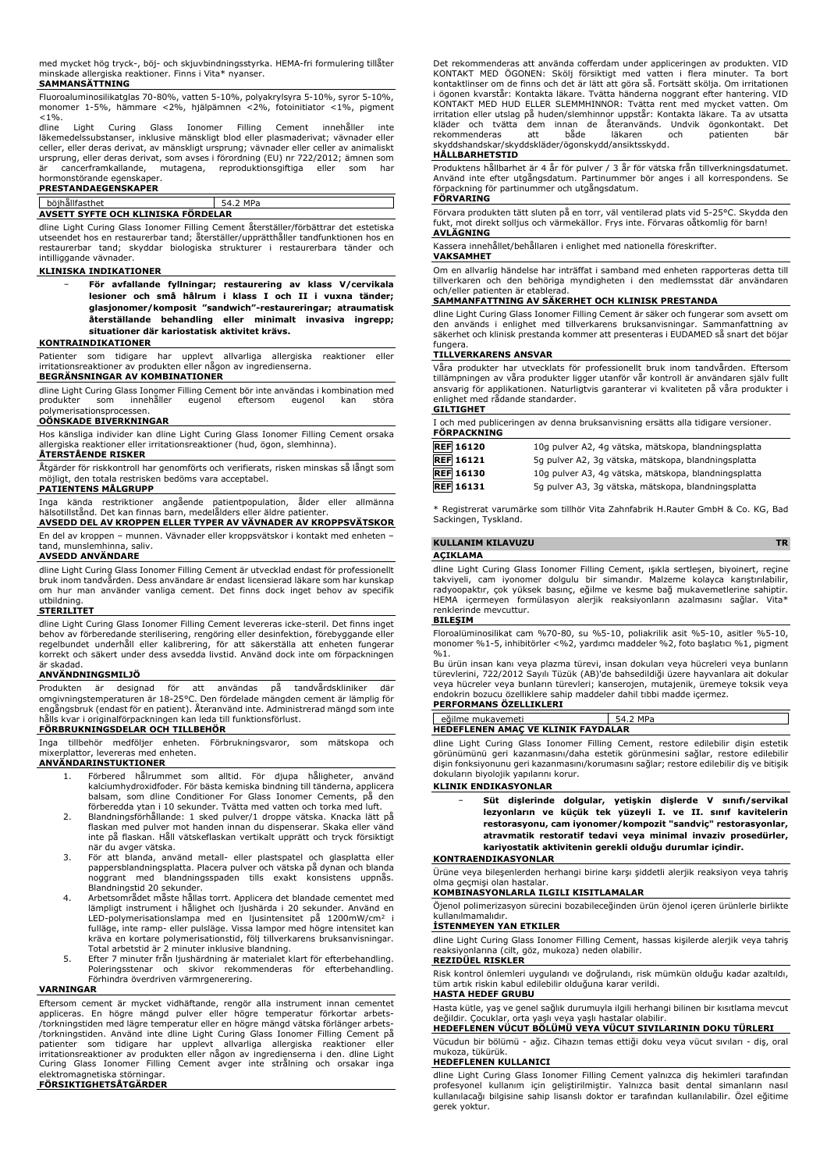med mycket hög tryck-, böj- och skjuvbindningsstyrka. HEMA-fri formulering tillåter minskade allergiska reaktioner. Finns i Vita\* nyanser. **SAMMANSÄTTNING** 

Fluoroaluminosilikatglas 70-80%, vatten 5-10%, polyakrylsyra 5-10%, syror 5-10%, monomer 1-5%, hämmare <2%, hjälpämnen <2%, fotoinitiator <1%, pigment  $< 1\%$ .

dline Light Curing Glass Ionomer Filling Cement innehåller inte läkemedelssubstanser, inklusive mänskligt blod eller plasmaderivat; vävnader eller celler, eller deras derivat, av mänskligt ursprung; vävnader eller celler av animaliskt ursprung, eller deras derivat, som avses i förordning (EU) nr 722/2012; ämnen som är cancerframkallande, mutagena, reproduktionsgiftiga eller som har hormonstörande egenskaper.

#### **PRESTANDAEGENSKAPER**

#### böjhållfasthet 54.2 MPa

## **AVSETT SYFTE OCH KLINISKA FÖRDELAR**

dline Light Curing Glass Ionomer Filling Cement återställer/förbättrar det estetiska utseendet hos en restaurerbar tand; återställer/upprätthåller tandfunktionen hos en restaurerbar tand; skyddar biologiska strukturer i restaurerbara tänder och intilliggande vävnader.

#### **KLINISKA INDIKATIONER**

− **För avfallande fyllningar; restaurering av klass V/cervikala lesioner och små hålrum i klass I och II i vuxna tänder; glasjonomer/komposit "sandwich"-restaureringar; atraumatisk återställande behandling eller minimalt invasiva ingrepp; situationer där kariostatisk aktivitet krävs.**

#### **KONTRAINDIKATIONER**

Patienter som tidigare har upplevt allvarliga allergiska reaktioner eller irritationsreaktioner av produkten eller någon av ingredienserna. **BEGRÄNSNINGAR AV KOMBINATIONER**

dline Light Curing Glass Ionomer Filling Cement bör inte användas i kombination med<br>produkter som innehåller eugenol eftersom eugenol kan störa produkter som innehåller eugenol eftersom eugenol kan störa polymerisationsprocessen.

#### **OÖNSKADE BIVERKNINGAR**

Hos känsliga individer kan dline Light Curing Glass Ionomer Filling Cement orsaka allergiska reaktioner eller irritationsreaktioner (hud, ögon, slemhinna).

#### **ÅTERSTÅENDE RISKER**

Åtgärder för riskkontroll har genomförts och verifierats, risken minskas så långt som möjligt, den totala restrisken bedöms vara acceptabel.

#### **PATIENTENS MÅLGRUPP**

Inga kända restriktioner angående patientpopulation, ålder eller allmänna hälsotillstånd. Det kan finnas barn, medelålders eller äldre patienter.

**AVSEDD DEL AV KROPPEN ELLER TYPER AV VÄVNADER AV KROPPSVÄTSKOR** En del av kroppen – munnen. Vävnader eller kroppsvätskor i kontakt med enheten –

tand, munslemhinna, saliv.

#### **AVSEDD ANVÄNDARE**

dline Light Curing Glass Ionomer Filling Cement är utvecklad endast för professionellt bruk inom tandvården. Dess användare är endast licensierad läkare som har kunskap om hur man använder vanliga cement. Det finns dock inget behov av specifik utbildning.

#### **STERILITET**

dline Light Curing Glass Ionomer Filling Cement levereras icke-steril. Det finns inget behov av förberedande sterilisering, rengöring eller desinfektion, förebyggande eller regelbundet underhåll eller kalibrering, för att säkerställa att enheten fungerar korrekt och säkert under dess avsedda livstid. Använd dock inte om förpackningen är skadad.

#### **ANVÄNDNINGSMILJÖ**

Produkten är designad för att användas på tandvårdskliniker där omgivningstemperaturen är 18-25°C. Den fördelade mängden cement är lämplig för engångsbruk (endast för en patient). Återanvänd inte. Administrerad mängd som inte hålls kvar i originalförpackningen kan leda till funktionsförlust. **FÖRBRUKNINGSDELAR OCH TILLBEHÖR**

Inga tillbehör medföljer enheten. Förbrukningsvaror, som mätskopa och mixerplattor, levereras med enheten.

#### **ANVÄNDARINSTUKTIONER**

- 1. Förbered hålrummet som alltid. För djupa håligheter, kalciumhydroxidfoder. För bästa kemiska bindning till tänderna, applicera balsam, som dline Conditioner For Glass Ionomer Cements, på den
- förberedda ytan i 10 sekunder. Tvätta med vatten och torka med luft. 2. Blandningsförhållande: 1 sked pulver/1 droppe vätska. Knacka lätt på flaskan med pulver mot handen innan du dispenserar. Skaka eller vänd inte på flaskan. Håll vätskeflaskan vertikalt upprätt och tryck försiktigt när du avger vätska.
- 3. För att blanda, använd metall- eller plastspatel och glasplatta eller pappersblandningsplatta. Placera pulver och vätska på dynan och blanda noggrant med blandningsspaden tills exakt konsistens uppnås. Blandningstid 20 sekunder. 4. Arbetsområdet måste hållas torrt. Applicera det blandade cementet med
- lämpligt instrument i hålighet och ljushärda i 20 sekunder. Använd en<br>LED-polymerisationslampa med en ljusintensitet på 1200mW/cm<sup>2</sup> i<br>fulläge, inte ramp- eller pulsläge. Vissa lampor med högre intensitet kan<br>kräva en kort
- 5. Efter 7 minuter från ljushärdning är materialet klart för efterbehandling. Poleringsstenar och skivor rekommenderas för efterbehandling. Förhindra överdriven värmrgenerering.

#### **VARNINGAR**

Eftersom cement är mycket vidhäftande, rengör alla instrument innan cementet appliceras. En högre mängd pulver eller högre temperatur förkortar arbets-<br>/torkningstiden.medlägre.temperatur.eller.en.högre mängd vätska förlänger.arbets-<br>/torkningstiden. Använd inte dline Light Curing Glass Ionomer Fil irritationsreaktioner av produkten eller någon av ingredienserna i den. dline Light Curing Glass Ionomer Filling Cement avger inte strålning och orsakar inga elektromagnetiska störningar. **FÖRSIKTIGHETSÅTGÄRDER**

Det rekommenderas att använda cofferdam under appliceringen av produkten. VID KONTAKT MED ÖGONEN: Skölj försiktigt med vatten i flera minuter. Ta bort kontaktlinser om de finns och det är lätt att göra så. Fortsätt skölja. Om irritationen i ögonen kvarstår: Kontakta läkare. Tvätta händerna noggrant efter hantering. VID KONTAKT MED HUD ELLER SLEMMHINNOR: Tvätta rent med mycket vatten. Om<br>irritation eller utslag på huden/slemhinnor uppstår: Kontakta läkare. Ta av utsatta<br>kläder och tvätta dem innan de återanvänds. Undvik ögonkontakt. Det<br>r skyddshandskar/skyddskläder/ögonskydd/ansiktsskydd.

#### **HÅLLBARHETSTID**

Produktens hållbarhet är 4 år för pulver / 3 år för vätska från tillverkningsdatumet. Använd inte efter utgångsdatum. Partinummer bör anges i all korrespondens. Se förpackning för partinummer och utgångsdatum.

## **FÖRVARING**

Förvara produkten tätt sluten på en torr, väl ventilerad plats vid 5-25°C. Skydda den fukt, mot direkt solljus och värmekällor. Frys inte. Förvaras oåtkomlig för barn! **AVLÄGNING**

Kassera innehållet/behållaren i enlighet med nationella föreskrifter.

## **VAKSAMHET**

Om en allvarlig händelse har inträffat i samband med enheten rapporteras detta till tillverkaren och den behöriga myndigheten i den medlemsstat där användaren

# och/eller patienten är etablerad. **SAMMANFATTNING AV SÄKERHET OCH KLINISK PRESTANDA**

dline Light Curing Glass Ionomer Filling Cement är säker och fungerar som avsett om den används i enlighet med tillverkarens bruksanvisningar. Sammanfattning av säkerhet och klinisk prestanda kommer att presenteras i EUDAMED så snart det böjar fungera.

#### **TILLVERKARENS ANSVAR**

Våra produkter har utvecklats för professionellt bruk inom tandvården. Eftersom tillämpningen av våra produkter ligger utanför vår kontroll är användaren själv fullt ansvarig för applikationen. Naturligtvis garanterar vi kvaliteten på våra produkter i enlighet med rådande standarder. **GILTIGHET**

#### I och med publiceringen av denna bruksanvisning ersätts alla tidigare versioner.

| <b>FÖRPACKNING</b> | t och med bublicehnden av denna bruksanvisning ersätts alla tidigale versioner. |  |
|--------------------|---------------------------------------------------------------------------------|--|
| <b>REF 16120</b>   | 10g pulver A2, 4g vätska, mätskopa, blandningsplatta                            |  |

| <b>REF 16121</b> | 5g pulver A2, 3g vätska, mätskopa, blandningsplatta  |
|------------------|------------------------------------------------------|
| <b>REF</b> 16130 | 10g pulver A3, 4g vätska, mätskopa, blandningsplatta |

**REF 16131** 5g pulver A3, 3g vätska, mätskopa, blandningsplatta

\* Registrerat varumärke som tillhör Vita Zahnfabrik H.Rauter GmbH & Co. KG, Bad Sackingen, Tyskland.

## **KULLANIM KILAVUZU TR**

## **AÇIKLAMA**

dline Light Curing Glass Ionomer Filling Cement, ışıkla sertleşen, biyoinert, reçine takviyeli, cam iyonomer dolgulu bir simandır. Malzeme kolayca karıştırılabilir,<br>radyoopaktır, çok yüksek basınç, eğilme ve kesme bağ mukavemetlerine sahiptir.<br>HEMA içermeyen formülasyon alerjik reaksiyonların azalmasını sa renklerinde mevcuttur.

#### **BILEŞIM**

Floroalüminosilikat cam %70-80, su %5-10, poliakrilik asit %5-10, asitler %5-10, monomer %1-5, inhibitörler <%2, yardımcı maddeler %2, foto başlatıcı %1, pigment  $0/0.1$ .

Bu ürün insan kanı veya plazma türevi, insan dokuları veya hücreleri veya bunların türevlerini, 722/2012 Sayılı Tüzük (AB)'de bahsedildiği üzere hayvanlara ait dokular veya hücreler veya bunların türevleri; kanserojen, mutajenik, üremeye toksik veya endokrin bozucu özelliklere sahip maddeler dahil tıbbi madde içermez. **PERFORMANS ÖZELLIKLERI**

| <b>FLNI UNPIANS UZLLLINLLNI</b>           |          |  |  |  |
|-------------------------------------------|----------|--|--|--|
|                                           |          |  |  |  |
| eğilme mukavemeti                         | 54.2 MPa |  |  |  |
| <b>HEDEFLENEN AMAC VE KLINIK FAYDALAR</b> |          |  |  |  |
|                                           |          |  |  |  |

dline Light Curing Glass Ionomer Filling Cement, restore edilebilir dişin estetik görünümünü geri kazanmasını/daha estetik görünmesini sağlar, restore edilebilir dişin fonksiyonunu geri kazanmasını/korumasını sağlar; restore edilebilir diş ve bitişik dokuların biyolojik yapılarını korur.

#### **KLINIK ENDIKASYONLAR**

− **Süt dişlerinde dolgular, yetişkin dişlerde V sınıfı/servikal lezyonların ve küçük tek yüzeyli I. ve II. sınıf kavitelerin restorasyonu, cam iyonomer/kompozit "sandviç" restorasyonlar, atravmatik restoratif tedavi veya minimal invaziv prosedürler, kariyostatik aktivitenin gerekli olduğu durumlar içindir.**

#### **KONTRAENDIKASYONLAR**

Ürüne veya bileşenlerden herhangi birine karşı şiddetli alerjik reaksiyon veya tahriş olma geçmişi olan hastalar.

#### **KOMBINASYONLARLA ILGILI KISITLAMALAR**

Öjenol polimerizasyon sürecini bozabileceğinden ürün öjenol içeren ürünlerle birlikte kullanılmamalıdır.

#### **İSTENMEYEN YAN ETKILER**

dline Light Curing Glass Ionomer Filling Cement, hassas kişilerde alerjik veya tahriş reaksiyonlarına (cilt, göz, mukoza) neden olabilir.

Risk kontrol önlemleri uygulandı ve doğrulandı, risk mümkün olduğu kadar azaltıldı, tüm artık riskin kabul edilebilir olduğuna karar verildi.

#### **HASTA HEDEF GRUBU**

Hasta kütle, yaş ve genel sağlık durumuyla ilgili herhangi bilinen bir kısıtlama mevcut<br>değildir. Çocuklar, orta yaşlı veya yaşlı hastalar olabilir.<br>**HEDEFLENEN VÜCUT BÖLÜMÜ VEYA VÜCUT SIVILARININ DOKU TÜRLERI** 

Vücudun bir bölümü - ağız. Cihazın temas ettiği doku veya vücut sıvıları - diş, oral mukoza, tükürük. **HEDEFLENEN KULLANICI**

dline Light Curing Glass Ionomer Filling Cement yalnızca diş hekimleri tarafından profesyonel kullanım için geliştirilmiştir. Yalnızca basit dental simanların nasıl kullanılacağı bilgisine sahip lisanslı doktor er tarafından kullanılabilir. Özel eğitime gerek yoktur.

**REZIDÜEL RISKLER**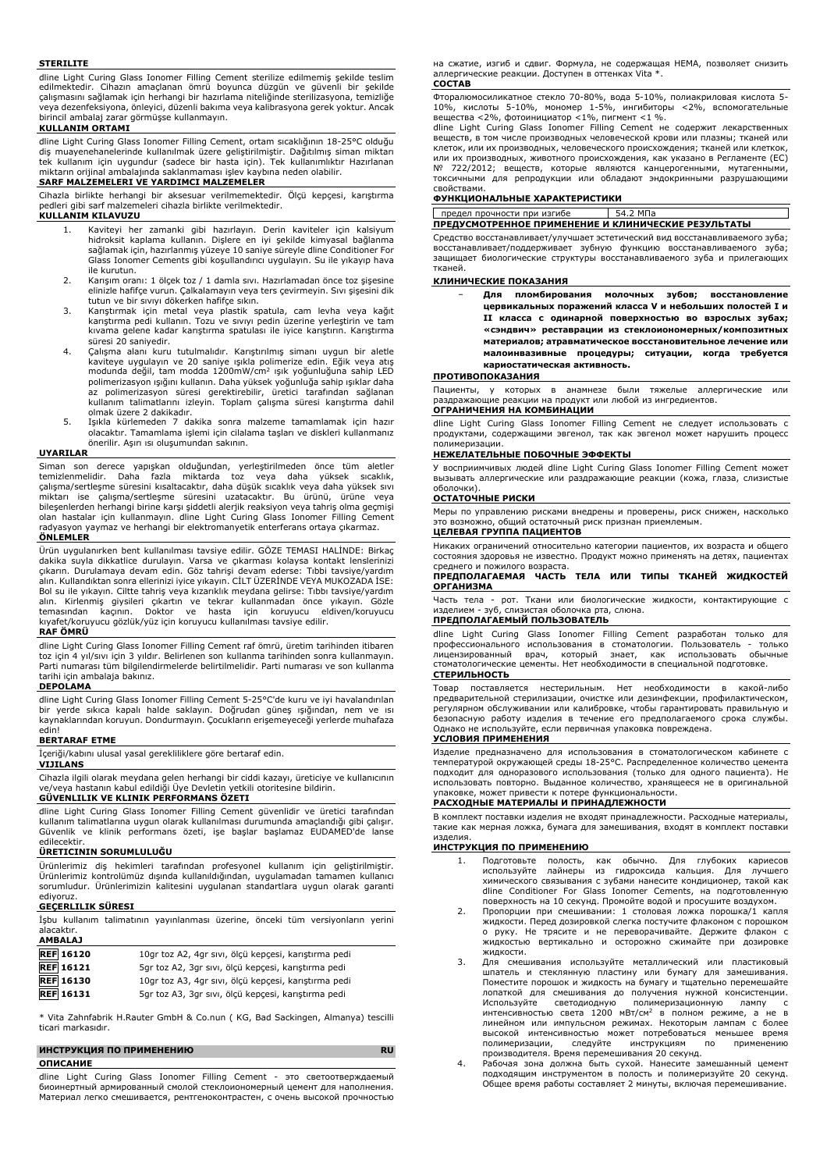#### **STERILITE**

dline Light Curing Glass Ionomer Filling Cement sterilize edilmemiş şekilde teslim edilmektedir. Cihazın amaçlanan ömrü boyunca düzgün ve güvenli bir şekilde çalışmasını sağlamak için herhangi bir hazırlama niteliğinde sterilizasyona, temizliğe veya dezenfeksiyona, önleyici, düzenli bakıma veya kalibrasyona gerek yoktur. Ancak birincil ambalaj zarar görmüşse kullanmayın.

#### **KULLANIM ORTAMI**

dline Light Curing Glass Ionomer Filling Cement, ortam sıcaklığının 18-25°C olduğu diş muayenehanelerinde kullanılmak üzere geliştirilmiştir. Dağıtılmış siman miktarı tek kullanım için uygundur (sadece bir hasta için). Tek kullanımlıktır Hazırlanan miktarın orijinal ambalajında saklanmaması işlev kaybına neden olabilir.

## **SARF MALZEMELERI VE YARDIMCI MALZEMELER**

Cihazla birlikte herhangi bir aksesuar verilmemektedir. Ölçü kepçesi, karıştırma pedleri gibi sarf malzemeleri cihazla birlikte verilmektedir.

#### **KULLANIM KILAVUZU**

- 1. Kaviteyi her zamanki gibi hazırlayın. Derin kaviteler için kalsiyum hidroksit kaplama kullanın. Dişlere en iyi şekilde kimyasal bağlanma sağlamak için, hazırlanmış yüzeye 10 saniye süreyle dline Conditioner For Glass Ionomer Cements gibi koşullandırıcı uygulayın. Su ile yıkayıp hava ile kurutun.
- 2. Karışım oranı: 1 ölçek toz / 1 damla sıvı. Hazırlamadan önce toz şişesine elinizle hafifçe vurun. Çalkalamayın veya ters çevirmeyin. Sıvı şişesini dik tutun ve bir sıvıyı dökerken hafifçe sıkın.
- 3. Karıştırmak için metal veya plastik spatula, cam levha veya kağıt karıştırma pedi kullanın. Tozu ve sıvıyı pedin üzerine yerleştirin ve tam kıvama gelene kadar karıştırma spatulası ile iyice karıştırın. Karıştırma süresi 20 saniyedir.
- 4. Çalışma alanı kuru tutulmalıdır. Karıştırılmış simanı uygun bir aletle kaviteye uygulayın ve 20 saniye ışıkla polimerize edin. Eğik veya atış<br>modunda değil, tam modda 1200mW/cm<sup>2</sup> ışık yoğunluğuna sahip LED polimerizasyon ışığını kullanın. Daha yüksek yoğunluğa sahip ışıklar daha az polimerizasyon süresi gerektirebilir, üretici tarafından sağlanan kullanım talimatlarını izleyin. Toplam çalışma süresi karıştırma dahil olmak üzere 2 dakikadır.
- 5. Işıkla kürlemeden 7 dakika sonra malzeme tamamlamak için hazır olacaktır. Tamamlama işlemi için cilalama taşları ve diskleri kullanmanız önerilir. Aşırı ısı oluşumundan sakının.

#### **UYARILAR**

Siman son derece yapışkan olduğundan, yerleştirilmeden önce tüm aletler temizlenmelidir. Daha fazla miktarda toz veya daha yüksek sıcaklık, çalışma/sertleşme süresini kısaltacaktır, daha düşük sıcaklık veya daha yüksek sıvı<br>miktarı ise çalışma/sertleşme süresini uzatacaktır. Bu ürünü, ürüne veya<br>bileşenlerden herhangi birine karşı şiddetli alerjik reak olan hastalar için kullanmayın. dline Light Curing Glass Ionomer Filling Cement<br>radyasyon yaymaz ve herhangi bir elektromanyetik enterferans ortaya çıkarmaz.<br>**ÖNLEMLER** 

Ürün uygulanırken bent kullanılması tavsiye edilir. GÖZE TEMASI HALİNDE: Birkaç dakika suyla dikkatlice durulayın. Varsa ve çıkarması kolaysa kontakt lenslerinizi çıkarın. Durulamaya devam edin. Göz tahrişi devam ederse: Tıbbi tavsiye/yardım alın. Kullandıktan sonra ellerinizi iyice yıkayın. CİLT ÜZERİNDE VEYA MUKOZADA İSE: Bol su ile yıkayın. Ciltte tahriş veya kızarıklık meydana gelirse: Tıbbı tavsiye/yardım alın. Kirlenmiş giysileri çıkartın ve tekrar kullanmadan önce yıkayın. Gözle temasından kaçının. Doktor ve hasta için koruyucu eldiven/koruyucu kıyafet/koruyucu gözlük/yüz için koruyucu kullanılması tavsiye edilir.

#### **RAF ÖMRÜ**

dline Light Curing Glass Ionomer Filling Cement raf ömrü, üretim tarihinden itibaren toz için 4 yıl/sıvı için 3 yıldır. Belirlenen son kullanma tarihinden sonra kullanmayın. Parti numarası tüm bilgilendirmelerde belirtilmelidir. Parti numarası ve son kullanma tarihi için ambalaja bakınız.

#### **DEPOLAMA**

dline Light Curing Glass Ionomer Filling Cement 5-25°C'de kuru ve iyi havalandırılan bir yerde sıkıca kapalı halde saklayın. Doğrudan güneş ışığından, nem ve ısı kaynaklarından koruyun. Dondurmayın. Çocukların erişemeyeceği yerlerde muhafaza edin!

#### **BERTARAF ETME**

İçeriği/kabını ulusal yasal gerekliliklere göre bertaraf edin.

**VIJILANS** Cihazla ilgili olarak meydana gelen herhangi bir ciddi kazayı, üreticiye ve kullanıcının

ve/veya hastanın kabul edildiği Üye Devletin yetkili otoritesine bildirin. **GÜVENLILIK VE KLINIK PERFORMANS ÖZETI**

dline Light Curing Glass Ionomer Filling Cement güvenlidir ve üretici tarafından kullanım talimatlarına uygun olarak kullanılması durumunda amaçlandığı gibi çalışır. Kanamın tamaklama üygün bahak kanamındab daramanda amaylanayi yıbi yanyır.<br>Güvenlik ve klinik performans özeti, işe başlar başlamaz EUDAMED'de lanse<br>edilecektir.

# edilecektir. **ÜRETICININ SORUMLULUĞU**

Ürünlerimiz diş hekimleri tarafından profesyonel kullanım için geliştirilmiştir. Ürünlerimiz kontrolümüz dışında kullanıldığından, uygulamadan tamamen kullanıcı sorumludur. Ürünlerimizin kalitesini uygulanan standartlara uygun olarak garanti ediyoruz.

#### **GEÇERLILIK SÜRESI**

İşbu kullanım talimatının yayınlanması üzerine, önceki tüm versiyonların yerini alacaktır. **AMBALAJ**

| 10gr toz A2, 4gr sıvı, ölçü kepçesi, karıştırma pedi |
|------------------------------------------------------|
| 5qr toz A2, 3qr sıvı, ölçü kepçesi, karıştırma pedi  |
| 10gr toz A3, 4gr sıvı, ölçü kepçesi, karıştırma pedi |
| 5qr toz A3, 3qr sıvı, ölçü kepçesi, karıştırma pedi  |
|                                                      |

\* Vita Zahnfabrik H.Rauter GmbH & Co.nun ( KG, Bad Sackingen, Almanya) tescilli ticari markasıdır.

| ИНСТРУКЦИЯ ПО ПРИМЕНЕНИЮ |                 |  |  |  |  |  |  |                                                                            |
|--------------------------|-----------------|--|--|--|--|--|--|----------------------------------------------------------------------------|
|                          | <b>ОПИСАНИЕ</b> |  |  |  |  |  |  |                                                                            |
|                          |                 |  |  |  |  |  |  | dline Light Curing Glace Jonomer Filling Cement - and creatography reading |

Filling Cement - это светоотверждаемый биоинертный армированный смолой стеклоиономерный цемент для наполнения. Материал легко смешивается, рентгеноконтрастен, с очень высокой прочностью на сжатие, изгиб и сдвиг. Формула, не содержащая HEMA, позволяет снизить аллергические реакции. Доступен в оттенках Vita \*. **СОСТАВ**

Фторалюмосиликатное стекло 70-80%, вода 5-10%, полиакриловая кислота 5- 10%, кислоты 5-10%, мономер 1-5%, ингибиторы <2%, вспомогательные вещества <2%, фотоинициатор <1%, пигмент <1 %.

dline Light Curing Glass Ionomer Filling Cement не содержит лекарственных веществ, в том числе производных человеческой крови или плазмы; тканей или клеток, или их производных, человеческого происхождения; тканей или клеткок, или их производных, животного происхождения, как указано в Регламенте (ЕС) № 722/2012; веществ, которые являются канцерогенными, мутагенными, токсичными для репродукции или обладают эндокринными разрушающими свойствами.

## **ФУНКЦИОНАЛЬНЫЕ ХАРАКТЕРИСТИКИ**

# предел прочности при изгибе 54.2 МПа **ПРЕДУСМОТРЕННОЕ ПРИМЕНЕНИЕ И КЛИНИЧЕСКИЕ РЕЗУЛЬТАТЫ**

Средство восстанавливает/улучшает эстетический вид восстанавливаемого зуба; восстанавливает/поддерживает зубную функцию восстанавливаемого зуба; защищает биологические структуры восстанавливаемого зуба и прилегающих тканей.

#### **КЛИНИЧЕСКИЕ ПОКАЗАНИЯ**

− **Для пломбирования молочных зубов; восстановление цервикальных поражений класса V и небольших полостей I и II класса с одинарной поверхностью во взрослых зубах; «сэндвич» реставрации из стеклоиономерных/композитных материалов; атравматическое восстановительное лечение или малоинвазивные процедуры; ситуации, когда требуется кариостатическая активность.**

#### **ПРОТИВОПОКАЗАНИЯ**

Пациенты, у которых в анамнезе были тяжелые аллергические или раздражающие реакции на продукт или любой из ингредиентов. **ОГРАНИЧЕНИЯ НА КОМБИНАЦИИ**

dline Light Curing Glass Ionomer Filling Cement не следует использовать с продуктами, содержащими эвгенол, так как эвгенол может нарушить процесс полимеризации.

## **НЕЖЕЛАТЕЛЬНЫЕ ПОБОЧНЫЕ ЭФФЕКТЫ**

У восприимчивых людей dline Light Curing Glass Ionomer Filling Cement может вызывать аллергические или раздражающие реакции (кожа, глаза, слизистые оболочки).

#### **ОСТАТОЧНЫЕ РИСКИ**

Меры по управлению рисками внедрены и проверены, риск снижен, насколько это возможно, общий остаточный риск признан приемлемым. **ЦЕЛЕВАЯ ГРУППА ПАЦИЕНТОВ**

# Никаких ограничений относительно категории пациентов, их возраста и общего

состояния здоровья не известно. Продукт можно применять на детях, пациентах среднего и пожилого возраста.

#### **ПРЕДПОЛАГАЕМАЯ ЧАСТЬ ТЕЛА ИЛИ ТИПЫ ТКАНЕЙ ЖИДКОСТЕЙ ОРГАНИЗМА**

Часть тела - рот. Ткани или биологические жидкости, контактирующие с изделием - зуб, слизистая оболочка рта, слюна.

## **ПРЕДПОЛАГАЕМЫЙ ПОЛЬЗОВАТЕЛЬ**

dline Light Curing Glass Ionomer Filling Cement разработан только для профессионального использования в стоматологии. Пользователь - только лицензированный врач, который знает, как использовать обычные стоматологические цементы. Нет необходимости в специальной подготовке.

#### **СТЕРИЛЬНОСТЬ**

Товар поставляется нестерильным. Нет необходимости в какой-либо предварительной стерилизации, очистке или дезинфекции, профилактическом, регулярном обслуживании или калибровке, чтобы гарантировать правильную и безопасную работу изделия в течение его предполагаемого срока службы. Однако не используйте, если первичная упаковка повреждена.

#### **УСЛОВИЯ ПРИМЕНЕНИЯ**

Изделие предназначено для использования в стоматологическом кабинете с температурой окружающей среды 18-25°C. Распределенное количество цемента подходит для одноразового использования (только для одного пациента). Не использовать повторно. Выданное количество, хранящееся не в оригинальной упаковке, может привести к потере функциональности.

## **РАСХОДНЫЕ МАТЕРИАЛЫ И ПРИНАДЛЕЖНОСТИ**

В комплект поставки изделия не входят принадлежности. Расходные материалы, такие как мерная ложка, бумага для замешивания, входят в комплект поставки изделия.

## **ИНСТРУКЦИЯ ПО ПРИМЕНЕНИЮ**

- 1. Подготовьте полость, как обычно. Для глубоких кариесов используйте лайнеры из гидроксида кальция. Для лучшего химического связывания с зубами нанесите кондиционер, такой как dline Conditioner For Glass Ionomer Cements, на подготовленную поверхность на 10 секунд. Промойте водой и просушите воздухом.
- 2. Пропорции при смешивании: 1 столовая ложка порошка/1 капля жидкости. Перед дозировкой слегка постучите флаконом с порошком о руку. Не трясите и не переворачивайте. Держите флакон с жидкостью вертикально и осторожно сжимайте при дозировке жидкости.
- 3. Для смешивания используйте металлический или пластиковый шпатель и стеклянную пластину или бумагу для замешивания. Поместите порошок и жидкость на бумагу и тщательно перемешайте лопаткой для смешивания до получения нужной консистенции.<br>Используйте светодиодную полимеризационную лампу с Используйте светодиодную полимеризационную лампу с<br>интенсивностью света 1200 мВт/см<sup>2</sup> в полном режиме, а не в линейном или импульсном режимах. Некоторым лампам с более высокой интенсивностью может потребоваться меньшее время<br>полимеризации, следуйте инструкциям по применению полимеризации, следуйте инструкциям по применению производителя. Время перемешивания 20 секунд.
- 4. Рабочая зона должна быть сухой. Нанесите замешанный цемент подходящим инструментом в полость и полимеризуйте 20 секунд. Общее время работы составляет 2 минуты, включая перемешивание.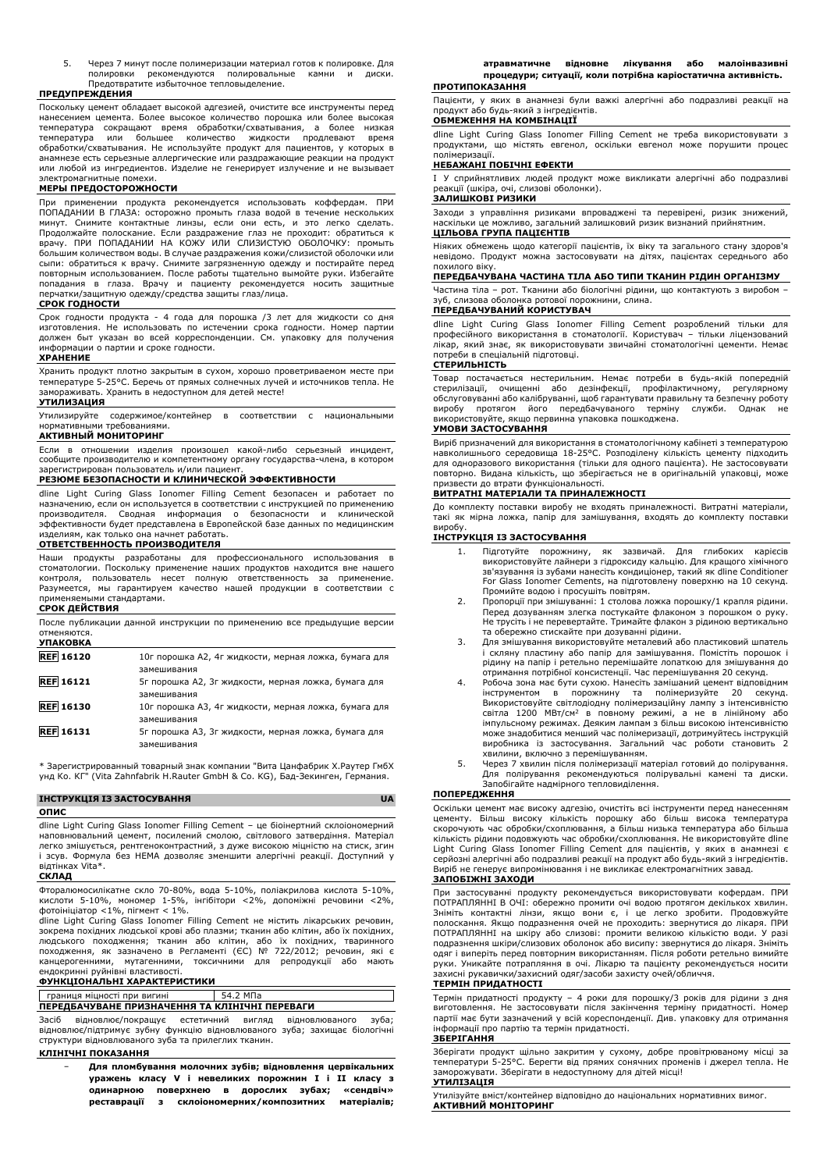5. Через 7 минут после полимеризации материал готов к полировке. Для полировки рекомендуются полировальные камни и диски. Предотвратите избыточное тепловыделение.

#### **ПРЕДУПРЕЖДЕНИЯ**

Поскольку цемент обладает высокой адгезией, очистите все инструменты перед нанесением цемента. Более высокое количество порошка или более высокая температура сокращают время обработки/схватывания, а более низкая температура или большее количество жидкости продлевают время обработки/схватывания. Не используйте продукт для пациентов, у которых в анамнезе есть серьезные аллергические или раздражающие реакции на продукт или любой из ингредиентов. Изделие не генерирует излучение и не вызывает электромагнитные помехи.

#### **МЕРЫ ПРЕДОСТОРОЖНОСТИ**

При применении продукта рекомендуется использовать коффердам. ПРИ ПОПАДАНИИ В ГЛАЗА: осторожно промыть глаза водой в течение нескольких<br>минут. Снимите контактные линзы, если они есть, и это легко сделать.<br>Продолжайте полоскание. Если раздражение глаз не проходит: обратиться к<br>врачу. ПРИ большим количеством воды. В случае раздражения кожи/слизистой оболочки или сыпи: обратиться к врачу. Снимите загрязненную одежду и постирайте перед повторным использованием. После работы тщательно вымойте руки. Избегайте попадания в глаза. Врачу и пациенту рекомендуется носить защитные перчатки/защитную одежду/средства защиты глаз/лица.

#### **СРОК ГОДНОСТИ**

Срок годности продукта - 4 года для порошка /3 лет для жидкости со дня изготовления. Не использовать по истечении срока годности. Номер партии должен быт указан во всей корреспонденции. См. упаковку для получения информации о партии и сроке годности.

#### **ХРАНЕНИЕ**

Хранить продукт плотно закрытым в сухом, хорошо проветриваемом месте при температуре 5-25°C. Беречь от прямых солнечных лучей и источников тепла. Не замораживать. Хранить в недоступном для детей месте!

#### **УТИЛИЗАЦИЯ**

Утилизируйте содержимое/контейнер в соответствии с национальными нормативными требованиями.

#### **АКТИВНЫЙ МОНИТОРИНГ**

Если в отношении изделия произошел какой-либо серьезный инцидент, сообщите производителю и компетентному органу государства-члена, в котором зарегистрирован пользователь и/или пациент.

# **РЕЗЮМЕ БЕЗОПАСНОСТИ И КЛИНИЧЕСКОЙ ЭФФЕКТИВНОСТИ**

dline Light Curing Glass Ionomer Filling Cement безопасен и работает по назначению, если он используется в соответствии с инструкцией по применению производителя. Сводная информация о безопасности и клинической эффективности будет представлена в Европейской базе данных по медицинским изделиям, как только она начнет работать.

#### **ОТВЕТСТВЕННОСТЬ ПРОИЗВОДИТЕЛЯ**

Наши продукты разработаны для профессионального использования стоматологии. Поскольку применение наших продуктов находится вне нашего контроля, пользователь несет полную ответственность за применение. Разумеется, мы гарантируем качество нашей продукции в соответствии с применяемыми стандартами. **СРОК ДЕЙСТВИЯ**

| После публикации данной инструкции по применению все предыдущие версии |  |  |  |  |
|------------------------------------------------------------------------|--|--|--|--|
| отменяются.                                                            |  |  |  |  |
| <b>УПАКОВКА</b>                                                        |  |  |  |  |

| JIIANUDNA        |                                                       |
|------------------|-------------------------------------------------------|
| <b>REF 16120</b> | 10г порошка А2, 4г жидкости, мерная ложка, бумага для |
|                  | замешивания                                           |
| <b>REF</b> 16121 | 5г порошка А2, 3г жидкости, мерная ложка, бумага для  |
|                  | замешивания                                           |
| <b>REF</b> 16130 | 10г порошка АЗ, 4г жидкости, мерная ложка, бумага для |
|                  | замешивания                                           |
| <b>REF</b> 16131 | 5г порошка АЗ, 3г жидкости, мерная ложка, бумага для  |
|                  | замешивания                                           |

\* Зарегистрированный товарный знак компании "Вита Цанфабрик Х.Раутер ГмбХ унд Ко. КГ" (Vita Zahnfabrik H.Rauter GmbH & Co. KG), Бад-Зекинген, Германия.

#### **ІНСТРУКЦІЯ ІЗ ЗАСТОСУВАННЯ UA**

**ОПИС**

dline Light Curing Glass Ionomer Filling Cement – це біоінертний склоіономерний наповнювальний цемент, посилений смолою, світлового затвердіння. Матеріал легко змішується, рентгеноконтрастний, з дуже високою міцністю на стиск, згин і зсув. Формула без HEMA дозволяє зменшити алергічні реакції. Доступний у відтінках Vita\*.

#### **СКЛАД**

Фторалюмосилікатне скло 70-80%, вода 5-10%, поліакрилова кислота 5-10%, кислоти 5-10%, мономер 1-5%, інгібітори <2%, допоміжні речовини <2%, фотоініціатор <1%, пігмент < 1%.

dline Light Curing Glass Ionomer Filling Cement не містить лікарських речовин, зокрема похідних людської крові або плазми; тканин або клітин, або їх похідних,<br>людського походження; тканин або клітин, або їх похідних, тваринного<br>походження, як зазначено в Регламенті (ЄС) канцерогенними, мутагенними, токсичними для репродукції або мають ендокринні руйнівні властивості.

# **ФУНКЦІОНАЛЬНІ ХАРАКТЕРИСТИКИ**

#### границя міцності при вигині 54.2 МПа **ПЕРЕДБАЧУВАНЕ ПРИЗНАЧЕННЯ ТА КЛІНІЧНІ ПЕРЕВАГИ**

Засіб відновлює/покращує естетичний вигляд відновлюваного зуба; відновлює/підтримує зубну функцію відновлюваного зуба; захищає біологічні структури відновлюваного зуба та прилеглих тканин.

#### **КЛІНІЧНІ ПОКАЗАННЯ**

− **Для пломбування молочних зубів; відновлення цервікальних уражень класу V і невеликих порожнин I і II класу з одинарною поверхнею в дорослих зубах; «сендвіч» реставрації з склоіономерних/композитних матеріалів;** **атравматичне відновне лікування або малоінвазивні процедури; ситуації, коли потрібна каріостатична активність.**

#### **ПРОТИПОКАЗАННЯ**

Пацієнти, у яких в анамнезі були важкі алергічні або подразливі реакції на продукт або будь-який з інгредієнтів.

#### **ОБМЕЖЕННЯ НА КОМБІНАЦІЇ**

dline Light Curing Glass Ionomer Filling Cement не треба використовувати з продуктами, що містять евгенол, оскільки евгенол може порушити процес полімеризації.

#### **НЕБАЖАНІ ПОБІЧНІ ЕФЕКТИ**

I У сприйнятливих людей продукт може викликати алергічні або подразливі реакції (шкіра, очі, слизові оболонки).

#### **ЗАЛИШКОВІ РИЗИКИ**

Заходи з управління ризиками впроваджені та перевірені, ризик знижений, наскільки це можливо, загальний залишковий ризик визнаний прийнятним. **ЦІЛЬОВА ГРУПА ПАЦІЄНТІВ**

Ніяких обмежень щодо категорії пацієнтів, їх віку та загального стану здоров'я невідомо. Продукт можна застосовувати на дітях, пацієнтах середнього або похилого віку.

#### **ПЕРЕДБАЧУВАНА ЧАСТИНА ТІЛА АБО ТИПИ ТКАНИН РІДИН ОРГАНІЗМУ**

Частина тіла – рот. Тканини або біологічні рідини, що контактують з виробом – зуб, слизова оболонка ротової порожнини, слина.

#### **ПЕРЕДБАЧУВАНИЙ КОРИСТУВАЧ**

dline Light Curing Glass Ionomer Filling Cement розроблений тільки для професійного використання в стоматології. Користувач – тільки ліцензований лікар, який знає, як використовувати звичайні стоматологічні цементи. Немає потреби в спеціальній підготовці.

#### **СТЕРИЛЬНІСТЬ**

Товар постачається нестерильним. Немає потреби в будь-якій попередній стерилізації, очищенні або дезінфекції, профілактичному, регулярному обслуговуванні або калібруванні, щоб гарантувати правильну та безпечну роботу виробу протягом його передбачуваного терміну служби. Однак використовуйте, якщо первинна упаковка пошкоджена.

#### **УМОВИ ЗАСТОСУВАННЯ**

Виріб призначений для використання в стоматологічному кабінеті з температурою навколишнього середовища 18-25°C. Розподілену кількість цементу підходить для одноразового використання (тільки для одного пацієнта). Не застосовувати повторно. Видана кількість, що зберігається не в оригінальній упаковці, може призвести до втрати функціональності.

## **ВИТРАТНІ МАТЕРІАЛИ ТА ПРИНАЛЕЖНОСТІ**

До комплекту поставки виробу не входять приналежності. Витратні матеріали, такі як мірна ложка, папір для замішування, входять до комплекту поставки виробу.

#### **ІНСТРУКЦІЯ ІЗ ЗАСТОСУВАННЯ**

- 1. Підготуйте порожнину, як зазвичай. Для глибоких карієсів використовуйте лайнери з гідроксиду кальцію. Для кращого хімічного зв'язування із зубами нанесіть кондиціонер, такий як dline Conditioner For Glass Ionomer Cements, на підготовлену поверхню на 10 секунд. Промийте водою і просушіть повітрям.
- 2. Пропорції при змішуванні: 1 столова ложка порошку/1 крапля рідини. Перед дозуванням злегка постукайте флаконом з порошком о руку. Не трусіть і не перевертайте. Тримайте флакон з рідиною вертикально та обережно стискайте при дозуванні рідини.
- 3. Для змішування використовуйте металевий або пластиковий шпатель і скляну пластину або папір для замішування. Помістіть порошок і рідину на папір і ретельно перемішайте лопаткою для змішування до отримання потрібної консистенції. Час перемішування 20 секунд.
- 4. Робоча зона має бути сухою. Нанесіть замішаний цемент відповідним<br>1- інструментом в порожнину та полімеризуйте 20 секунд.<br>Використовуйте світлодіодну полімеризаційну лампу з інтенсивністю<br>1- світла 1200 МВт/см<sup>2</sup> в пов може знадобитися менший час полімеризації, дотримуйтесь інструкцій виробника із застосування. Загальний час роботи становить 2 хвилини, включно з перемішуванням.
- 5. Через 7 хвилин після полімеризації матеріал готовий до полірування. Для полірування рекомендуються полірувальні камені та диски. Запобігайте надмірного тепловиділення.

#### **ПОПЕРЕДЖЕННЯ**

Оскільки цемент має високу адгезію, очистіть всі інструменти перед нанесенням цементу. Більш високу кількість порошку або більш висока температура<br>скорочують час обробки/схоплювання, а більш низька температура або більша<br>кількість рідини подовжують час обробки/схоплювання. Не використовуйте dline<br>L Виріб не генерує випромінювання і не викликає електромагнітних завад. **ЗАПОБІЖНІ ЗАХОДИ**

При застосуванні продукту рекомендується використовувати кофердам. ПРИ ПОТРАПЛЯННІ В ОЧІ: обережно промити очі водою протягом декількох хвилин.<br>Зніміть контактні лінзи, якщо вони є, і це легко зробити. Продовжуйте<br>полоскання. Якщо подразнення очей не проходить: звернутися до лікаря ПОТРАПЛЯННІ на шкіру або слизові: промити великою кількістю води. У разі подразнення шкіри/слизових оболонок або висипу: звернутися до лікаря. Зніміть одяг і виперіть перед повторним використанням. Після роботи ретельно вимийте руки. Уникайте потрапляння в очі. Лікарю та пацієнту рекомендується носити захисні рукавички/захисний одяг/засоби захисту очей/обличчя. **ТЕРМІН ПРИДАТНОСТІ**

Термін придатності продукту – 4 роки для порошку/3 років для рідини з дня виготовлення. Не застосовувати після закінчення терміну придатності. Номер партії має бути зазначений у всій кореспонденції. Див. упаковку для отримання інформації про партію та термін придатності.

#### **ЗБЕРІГАННЯ**

Зберігати продукт щільно закритим у сухому, добре провітрюваному місці за температури 5-25°C. Берегти від прямих сонячних променів і джерел тепла. Не заморожувати. Зберігати в недоступному для дітей місці! **УТИЛІЗАЦІЯ**

Утилізуйте вміст/контейнер відповідно до національних нормативних вимог. **АКТИВНИЙ МОНІТОРИНГ**